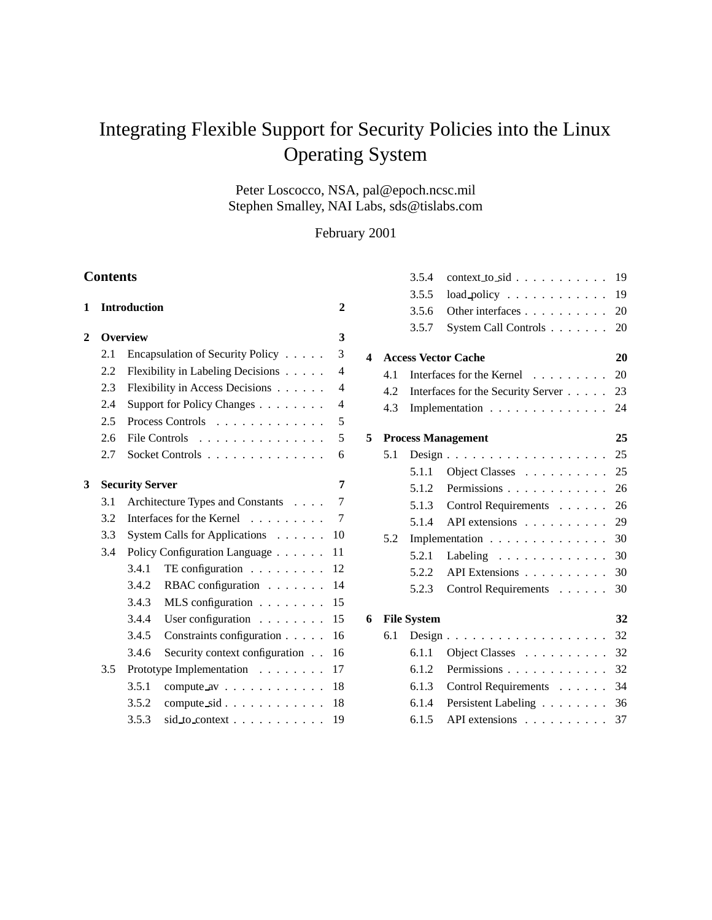# Integrating Flexible Support for Security Policies into the Linux Operating System

Peter Loscocco, NSA, pal@epoch.ncsc.mil Stephen Smalley, NAI Labs, sds@tislabs.com

February 2001

# **Contents**

| 1 |                 | <b>Introduction</b>    |                                           | 2                        |
|---|-----------------|------------------------|-------------------------------------------|--------------------------|
| 2 | <b>Overview</b> |                        |                                           |                          |
|   | 2.1             |                        | Encapsulation of Security Policy          | 3                        |
|   | 2.2             |                        | Flexibility in Labeling Decisions         | $\overline{A}$           |
|   | $2.3^{\circ}$   |                        | Flexibility in Access Decisions           | $\overline{\mathcal{L}}$ |
|   | 2.4             |                        | Support for Policy Changes                | $\overline{\mathcal{L}}$ |
|   | 2.5             |                        | Process Controls                          | 5                        |
|   | 2.6             |                        | File Controls                             | 5                        |
|   | 2.7             |                        | Socket Controls                           | 6                        |
| 3 |                 | <b>Security Server</b> |                                           | 7                        |
|   | 3.1             |                        | Architecture Types and Constants          | 7                        |
|   | 3.2             |                        | Interfaces for the Kernel                 | 7                        |
|   | 3.3             |                        | System Calls for Applications             | 10                       |
|   | $3.4^{\circ}$   |                        | Policy Configuration Language             | 11                       |
|   |                 | 3.4.1                  | TE configuration $\ldots$                 | 12                       |
|   |                 | 3.4.2                  | RBAC configuration $\ldots$               | 14                       |
|   |                 | 3.4.3                  | MLS configuration $\ldots$                | 15                       |
|   |                 | 3.4.4                  | User configuration $\ldots$               | 15                       |
|   |                 | 3.4.5                  | Constraints configuration                 | 16                       |
|   |                 | 3.4.6                  | Security context configuration            | 16                       |
|   | $3.5^{\circ}$   |                        | Prototype Implementation                  | 17                       |
|   |                 | 3.5.1                  | compute $av \dots \dots \dots$            | 18                       |
|   |                 | 3.5.2                  | compute $sid \ldots \ldots \ldots \ldots$ | 18                       |
|   |                 | 3.5.3                  | $sid_to.context$                          | 19                       |

|   |     | 3.5.4              | $context\_to\_sid$                          | 19 |
|---|-----|--------------------|---------------------------------------------|----|
|   |     | 3.5.5              | $load\_policy \dots \dots \dots \dots$      | 19 |
|   |     | 3.5.6              | Other interfaces                            | 20 |
|   |     | 3.5.7              | System Call Controls                        | 20 |
| 4 |     |                    | <b>Access Vector Cache</b>                  | 20 |
|   | 4.1 |                    | Interfaces for the Kernel                   | 20 |
|   | 4.2 |                    | Interfaces for the Security Server          | 23 |
|   | 4.3 |                    | Implementation                              | 24 |
| 5 |     |                    | <b>Process Management</b>                   | 25 |
|   | 5.1 |                    | $Design \ldots \ldots \ldots \ldots \ldots$ | 25 |
|   |     | 5.1.1              | Object Classes                              | 25 |
|   |     | 5.1.2              | Permissions                                 | 26 |
|   |     | 5.1.3              | Control Requirements                        | 26 |
|   |     | 5.1.4              | API extensions                              | 29 |
|   | 5.2 |                    | Implementation                              | 30 |
|   |     | 5.2.1              | Labeling $\ldots \ldots \ldots \ldots$      | 30 |
|   |     | 5.2.2              | API Extensions                              | 30 |
|   |     | 5.2.3              | Control Requirements                        | 30 |
| 6 |     | <b>File System</b> |                                             | 32 |
|   | 6.1 |                    |                                             | 32 |
|   |     | 6.1.1              | Object Classes                              | 32 |
|   |     | 6.1.2              | Permissions                                 | 32 |
|   |     | 6.1.3              | Control Requirements                        | 34 |
|   |     | 6.1.4              | Persistent Labeling                         | 36 |
|   |     | 6.1.5              | API extensions                              | 37 |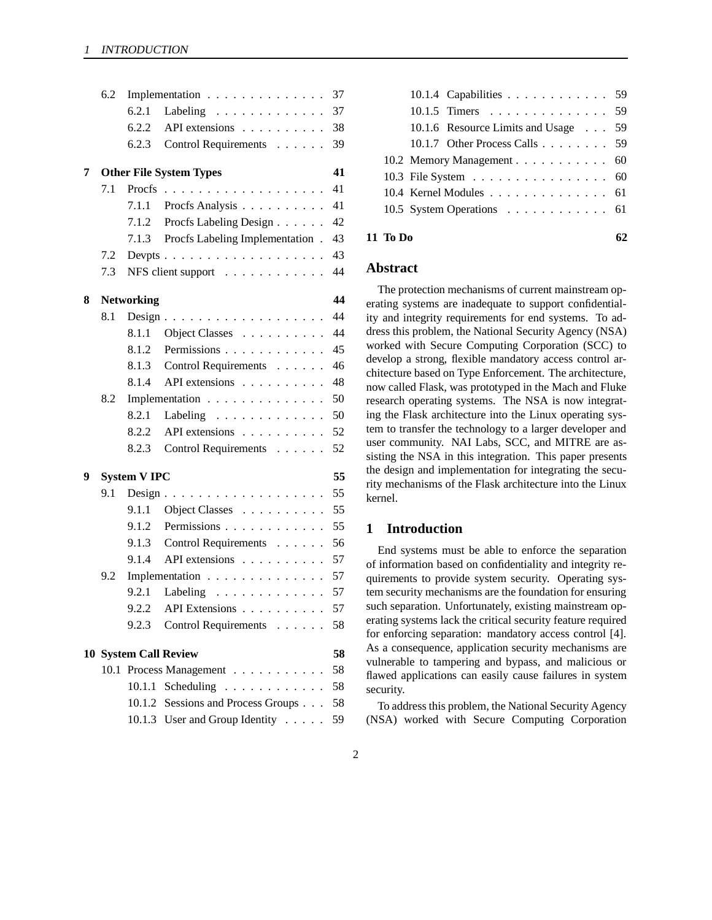|   | 6.2 |                    | Implementation                                     | 37 |
|---|-----|--------------------|----------------------------------------------------|----|
|   |     | 6.2.1              | Labeling                                           | 37 |
|   |     | 6.2.2              | API extensions $\ldots$                            | 38 |
|   |     | 6.2.3              | Control Requirements                               | 39 |
| 7 |     |                    | <b>Other File System Types</b>                     | 41 |
|   | 7.1 | Procfs             | .                                                  | 41 |
|   |     | 7.1.1              | Procfs Analysis                                    | 41 |
|   |     | 7.1.2              | Procfs Labeling Design                             | 42 |
|   |     |                    | 7.1.3 Procfs Labeling Implementation.              | 43 |
|   | 7.2 |                    | Devpts $\ldots \ldots \ldots \ldots \ldots \ldots$ | 43 |
|   | 7.3 |                    | NFS client support                                 | 44 |
| 8 |     | <b>Networking</b>  |                                                    | 44 |
|   | 8.1 |                    |                                                    | 44 |
|   |     | 8.1.1              | Object Classes                                     | 44 |
|   |     | 8.1.2              | Permissions                                        | 45 |
|   |     | 8.1.3              | Control Requirements                               | 46 |
|   |     | 8.1.4              | API extensions                                     | 48 |
|   | 8.2 |                    | Implementation                                     | 50 |
|   |     | 8.2.1              | Labeling $\ldots \ldots \ldots \ldots$             | 50 |
|   |     | 8.2.2              | API extensions                                     | 52 |
|   |     | 8.2.3              | Control Requirements                               | 52 |
| 9 |     | <b>System VIPC</b> |                                                    | 55 |
|   | 9.1 |                    | $Design \dots \dots \dots \dots \dots \dots \dots$ | 55 |
|   |     | 9.1.1              | Object Classes                                     | 55 |
|   |     | 9.1.2              | Permissions                                        | 55 |
|   |     |                    | 9.1.3 Control Requirements                         | 56 |
|   |     | 9.1.4              | API extensions                                     | 57 |
|   | 9.2 |                    | Implementation                                     | 57 |
|   |     | 9.2.1              | Labeling $\ldots \ldots \ldots \ldots$             | 57 |
|   |     |                    | $9.2.2$ API Extensions                             | 57 |
|   |     | 9.2.3              | Control Requirements                               | 58 |
|   |     |                    | <b>10 System Call Review</b>                       | 58 |
|   |     |                    | 10.1 Process Management                            | 58 |
|   |     | 10.1.1             | Scheduling                                         | 58 |
|   |     |                    | 10.1.2 Sessions and Process Groups                 | 58 |
|   |     |                    | 10.1.3 User and Group Identity                     | 59 |

| 10.1.4 Capabilities 59              |  |
|-------------------------------------|--|
| 10.1.5 Timers 59                    |  |
| 10.1.6 Resource Limits and Usage 59 |  |
| 10.1.7 Other Process Calls 59       |  |
| 10.2 Memory Management 60           |  |
| 10.3 File System 60                 |  |
| 10.4 Kernel Modules 61              |  |
| 10.5 System Operations 61           |  |
|                                     |  |

**11 To Do 62**

# **Abstract**

The protection mechanisms of current mainstream operating systems are inadequate to support confidentiality and integrity requirements for end systems. To address this problem, the National Security Agency (NSA) worked with Secure Computing Corporation (SCC) to develop a strong, flexible mandatory access control architecture based on Type Enforcement. The architecture, now called Flask, was prototyped in the Mach and Fluke research operating systems. The NSA is now integrating the Flask architecture into the Linux operating system to transfer the technology to a larger developer and user community. NAI Labs, SCC, and MITRE are assisting the NSA in this integration. This paper presents the design and implementation for integrating the security mechanisms of the Flask architecture into the Linux kernel.

# **1 Introduction**

End systems must be able to enforce the separation of information based on confidentiality and integrity requirements to provide system security. Operating system security mechanisms are the foundation for ensuring such separation. Unfortunately, existing mainstream operating systems lack the critical security feature required for enforcing separation: mandatory access control [4]. As a consequence, application security mechanisms are vulnerable to tampering and bypass, and malicious or flawed applications can easily cause failures in system security.

To address this problem, the National Security Agency (NSA) worked with Secure Computing Corporation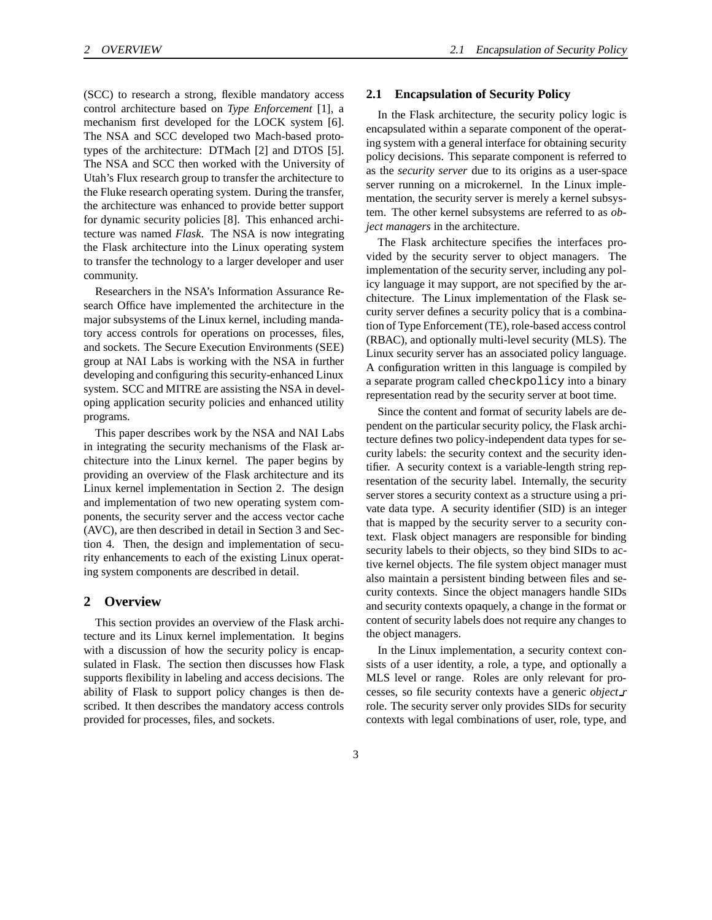(SCC) to research a strong, flexible mandatory access control architecture based on *Type Enforcement* [1], a mechanism first developed for the LOCK system [6]. The NSA and SCC developed two Mach-based prototypes of the architecture: DTMach [2] and DTOS [5]. The NSA and SCC then worked with the University of Utah's Flux research group to transfer the architecture to the Fluke research operating system. During the transfer, the architecture was enhanced to provide better support for dynamic security policies [8]. This enhanced architecture was named *Flask*. The NSA is now integrating the Flask architecture into the Linux operating system to transfer the technology to a larger developer and user community.

Researchers in the NSA's Information Assurance Research Office have implemented the architecture in the major subsystems of the Linux kernel, including mandatory access controls for operations on processes, files, and sockets. The Secure Execution Environments (SEE) group at NAI Labs is working with the NSA in further developing and configuring this security-enhanced Linux system. SCC and MITRE are assisting the NSA in developing application security policies and enhanced utility programs.

This paper describes work by the NSA and NAI Labs in integrating the security mechanisms of the Flask architecture into the Linux kernel. The paper begins by providing an overview of the Flask architecture and its Linux kernel implementation in Section 2. The design and implementation of two new operating system components, the security server and the access vector cache (AVC), are then described in detail in Section 3 and Section 4. Then, the design and implementation of security enhancements to each of the existing Linux operating system components are described in detail.

## **2 Overview**

This section provides an overview of the Flask architecture and its Linux kernel implementation. It begins with a discussion of how the security policy is encapsulated in Flask. The section then discusses how Flask supports flexibility in labeling and access decisions. The ability of Flask to support policy changes is then described. It then describes the mandatory access controls provided for processes, files, and sockets.

# **2.1 Encapsulation of Security Policy**

In the Flask architecture, the security policy logic is encapsulated within a separate component of the operating system with a general interface for obtaining security policy decisions. This separate component is referred to as the *security server* due to its origins as a user-space server running on a microkernel. In the Linux implementation, the security server is merely a kernel subsystem. The other kernel subsystems are referred to as *object managers* in the architecture.

The Flask architecture specifies the interfaces provided by the security server to object managers. The implementation of the security server, including any policy language it may support, are not specified by the architecture. The Linux implementation of the Flask security server defines a security policy that is a combination of Type Enforcement (TE), role-based access control (RBAC), and optionally multi-level security (MLS). The Linux security server has an associated policy language. A configuration written in this language is compiled by a separate program called checkpolicy into a binary representation read by the security server at boot time.

Since the content and format of security labels are dependent on the particular security policy, the Flask architecture defines two policy-independent data types for security labels: the security context and the security identifier. A security context is a variable-length string representation of the security label. Internally, the security server stores a security context as a structure using a private data type. A security identifier (SID) is an integer that is mapped by the security server to a security context. Flask object managers are responsible for binding security labels to their objects, so they bind SIDs to active kernel objects. The file system object manager must also maintain a persistent binding between files and security contexts. Since the object managers handle SIDs and security contexts opaquely, a change in the format or content of security labels does not require any changes to the object managers.

In the Linux implementation, a security context consists of a user identity, a role, a type, and optionally a MLS level or range. Roles are only relevant for processes, so file security contexts have a generic *object r* role. The security server only provides SIDs for security contexts with legal combinations of user, role, type, and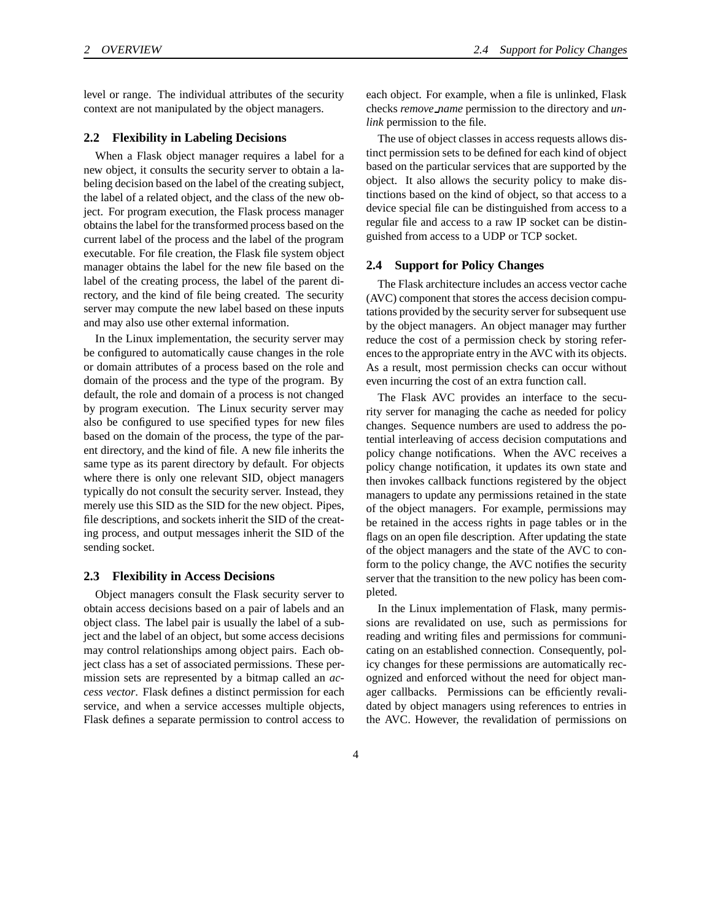level or range. The individual attributes of the security context are not manipulated by the object managers.

#### **2.2 Flexibility in Labeling Decisions**

When a Flask object manager requires a label for a new object, it consults the security server to obtain a labeling decision based on the label of the creating subject, the label of a related object, and the class of the new object. For program execution, the Flask process manager obtainsthe label for the transformed process based on the current label of the process and the label of the program executable. For file creation, the Flask file system object manager obtains the label for the new file based on the label of the creating process, the label of the parent directory, and the kind of file being created. The security server may compute the new label based on these inputs and may also use other external information.

In the Linux implementation, the security server may be configured to automatically cause changes in the role or domain attributes of a process based on the role and domain of the process and the type of the program. By default, the role and domain of a process is not changed by program execution. The Linux security server may also be configured to use specified types for new files based on the domain of the process, the type of the parent directory, and the kind of file. A new file inherits the same type as its parent directory by default. For objects where there is only one relevant SID, object managers typically do not consult the security server. Instead, they merely use this SID as the SID for the new object. Pipes, file descriptions, and sockets inherit the SID of the creating process, and output messages inherit the SID of the sending socket.

#### **2.3 Flexibility in Access Decisions**

Object managers consult the Flask security server to obtain access decisions based on a pair of labels and an object class. The label pair is usually the label of a subject and the label of an object, but some access decisions may control relationships among object pairs. Each object class has a set of associated permissions. These permission sets are represented by a bitmap called an *access vector*. Flask defines a distinct permission for each service, and when a service accesses multiple objects, Flask defines a separate permission to control access to

each object. For example, when a file is unlinked, Flask checks *remove name* permission to the directory and *unlink* permission to the file.

The use of object classes in access requests allows distinct permission sets to be defined for each kind of object based on the particular services that are supported by the object. It also allows the security policy to make distinctions based on the kind of object, so that access to a device special file can be distinguished from access to a regular file and access to a raw IP socket can be distinguished from access to a UDP or TCP socket.

#### **2.4 Support for Policy Changes**

The Flask architecture includes an access vector cache (AVC) component that stores the access decision computations provided by the security server for subsequent use by the object managers. An object manager may further reduce the cost of a permission check by storing references to the appropriate entry in the AVC with its objects. As a result, most permission checks can occur without even incurring the cost of an extra function call.

The Flask AVC provides an interface to the security server for managing the cache as needed for policy changes. Sequence numbers are used to address the potential interleaving of access decision computations and policy change notifications. When the AVC receives a policy change notification, it updates its own state and then invokes callback functions registered by the object managers to update any permissions retained in the state of the object managers. For example, permissions may be retained in the access rights in page tables or in the flags on an open file description. After updating the state of the object managers and the state of the AVC to conform to the policy change, the AVC notifies the security server that the transition to the new policy has been completed.

In the Linux implementation of Flask, many permissions are revalidated on use, such as permissions for reading and writing files and permissions for communicating on an established connection. Consequently, policy changes for these permissions are automatically recognized and enforced without the need for object manager callbacks. Permissions can be efficiently revalidated by object managers using references to entries in the AVC. However, the revalidation of permissions on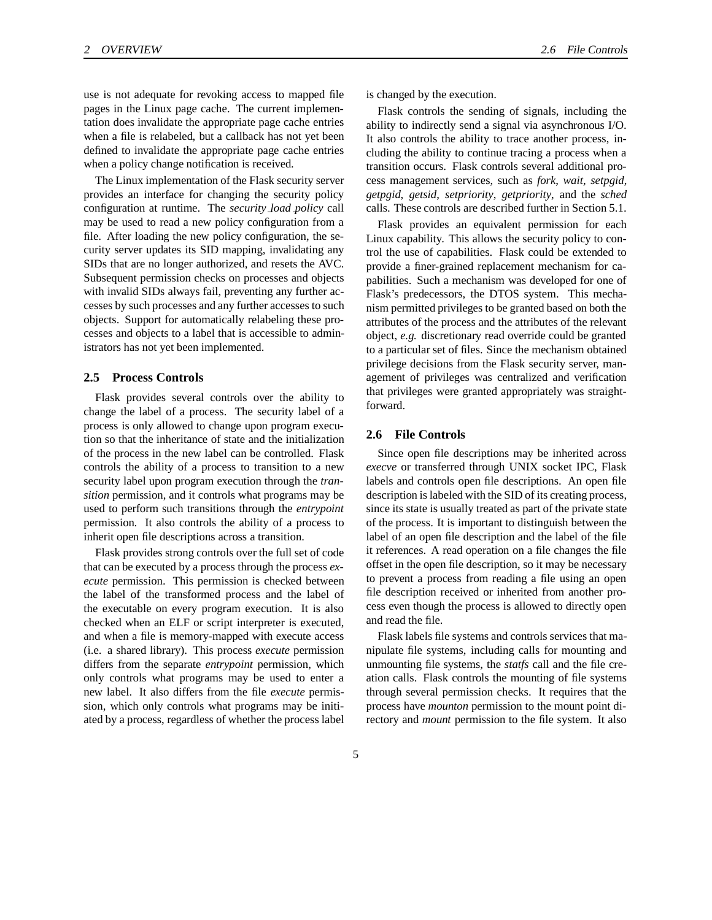use is not adequate for revoking access to mapped file pages in the Linux page cache. The current implementation does invalidate the appropriate page cache entries when a file is relabeled, but a callback has not yet been defined to invalidate the appropriate page cache entries when a policy change notification is received.

The Linux implementation of the Flask security server provides an interface for changing the security policy configuration at runtime. The *security load policy* call may be used to read a new policy configuration from a file. After loading the new policy configuration, the security server updates its SID mapping, invalidating any SIDs that are no longer authorized, and resets the AVC. Subsequent permission checks on processes and objects with invalid SIDs always fail, preventing any further accesses by such processes and any further accesses to such objects. Support for automatically relabeling these processes and objects to a label that is accessible to administrators has not yet been implemented.

# **2.5 Process Controls**

Flask provides several controls over the ability to change the label of a process. The security label of a process is only allowed to change upon program execution so that the inheritance of state and the initialization of the process in the new label can be controlled. Flask controls the ability of a process to transition to a new security label upon program execution through the *transition* permission, and it controls what programs may be used to perform such transitions through the *entrypoint* permission. It also controls the ability of a process to inherit open file descriptions across a transition.

Flask provides strong controls over the full set of code that can be executed by a process through the process *execute* permission. This permission is checked between the label of the transformed process and the label of the executable on every program execution. It is also checked when an ELF or script interpreter is executed, and when a file is memory-mapped with execute access (i.e. a shared library). This process *execute* permission differs from the separate *entrypoint* permission, which only controls what programs may be used to enter a new label. It also differs from the file *execute* permission, which only controls what programs may be initiated by a process, regardless of whether the process label

is changed by the execution.

Flask controls the sending of signals, including the ability to indirectly send a signal via asynchronous I/O. It also controls the ability to trace another process, including the ability to continue tracing a process when a transition occurs. Flask controls several additional process management services, such as *fork*, *wait*, *setpgid*, *getpgid*, *getsid*, *setpriority*, *getpriority*, and the *sched* calls. These controls are described further in Section 5.1.

Flask provides an equivalent permission for each Linux capability. This allows the security policy to control the use of capabilities. Flask could be extended to provide a finer-grained replacement mechanism for capabilities. Such a mechanism was developed for one of Flask's predecessors, the DTOS system. This mechanism permitted privileges to be granted based on both the attributes of the process and the attributes of the relevant object, *e.g.* discretionary read override could be granted to a particular set of files. Since the mechanism obtained privilege decisions from the Flask security server, management of privileges was centralized and verification that privileges were granted appropriately was straightforward.

## **2.6 File Controls**

Since open file descriptions may be inherited across *execve* or transferred through UNIX socket IPC, Flask labels and controls open file descriptions. An open file description is labeled with the SID of its creating process, since its state is usually treated as part of the private state of the process. It is important to distinguish between the label of an open file description and the label of the file it references. A read operation on a file changes the file offset in the open file description, so it may be necessary to prevent a process from reading a file using an open file description received or inherited from another process even though the process is allowed to directly open and read the file.

Flask labels file systems and controls services that manipulate file systems, including calls for mounting and unmounting file systems, the *statfs* call and the file creation calls. Flask controls the mounting of file systems through several permission checks. It requires that the process have *mounton* permission to the mount point directory and *mount* permission to the file system. It also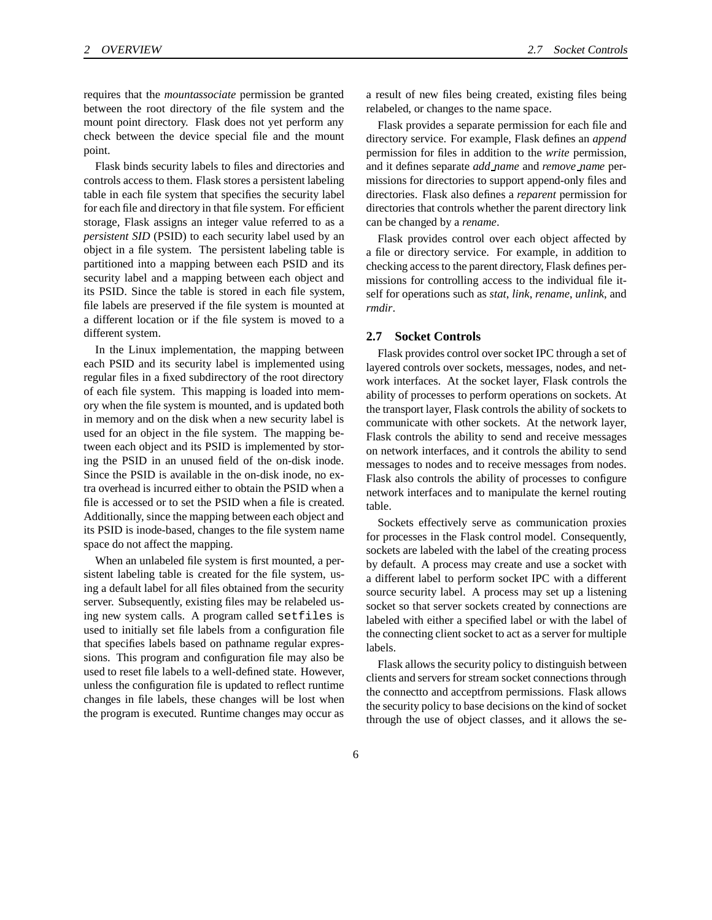requires that the *mountassociate* permission be granted between the root directory of the file system and the mount point directory. Flask does not yet perform any check between the device special file and the mount point.

Flask binds security labels to files and directories and controls access to them. Flask stores a persistent labeling table in each file system that specifies the security label for each file and directory in that file system. For efficient storage, Flask assigns an integer value referred to as a *persistent SID* (PSID) to each security label used by an object in a file system. The persistent labeling table is partitioned into a mapping between each PSID and its security label and a mapping between each object and its PSID. Since the table is stored in each file system, file labels are preserved if the file system is mounted at a different location or if the file system is moved to a different system.

In the Linux implementation, the mapping between each PSID and its security label is implemented using regular files in a fixed subdirectory of the root directory of each file system. This mapping is loaded into memory when the file system is mounted, and is updated both in memory and on the disk when a new security label is used for an object in the file system. The mapping between each object and its PSID is implemented by storing the PSID in an unused field of the on-disk inode. Since the PSID is available in the on-disk inode, no extra overhead is incurred either to obtain the PSID when a file is accessed or to set the PSID when a file is created. Additionally, since the mapping between each object and its PSID is inode-based, changes to the file system name space do not affect the mapping.

When an unlabeled file system is first mounted, a persistent labeling table is created for the file system, using a default label for all files obtained from the security server. Subsequently, existing files may be relabeled using new system calls. A program called setfiles is used to initially set file labels from a configuration file that specifies labels based on pathname regular expressions. This program and configuration file may also be used to reset file labels to a well-defined state. However, unless the configuration file is updated to reflect runtime changes in file labels, these changes will be lost when the program is executed. Runtime changes may occur as a result of new files being created, existing files being relabeled, or changes to the name space.

Flask provides a separate permission for each file and directory service. For example, Flask defines an *append* permission for files in addition to the *write* permission, and it defines separate *add name* and *remove name* permissions for directories to support append-only files and directories. Flask also defines a *reparent* permission for directories that controls whether the parent directory link can be changed by a *rename*.

Flask provides control over each object affected by a file or directory service. For example, in addition to checking accessto the parent directory, Flask defines permissions for controlling access to the individual file itself for operations such as *stat*, *link*, *rename*, *unlink*, and *rmdir*.

#### **2.7 Socket Controls**

Flask provides control over socket IPC through a set of layered controls over sockets, messages, nodes, and network interfaces. At the socket layer, Flask controls the ability of processes to perform operations on sockets. At the transport layer, Flask controls the ability of sockets to communicate with other sockets. At the network layer, Flask controls the ability to send and receive messages on network interfaces, and it controls the ability to send messages to nodes and to receive messages from nodes. Flask also controls the ability of processes to configure network interfaces and to manipulate the kernel routing table.

Sockets effectively serve as communication proxies for processes in the Flask control model. Consequently, sockets are labeled with the label of the creating process by default. A process may create and use a socket with a different label to perform socket IPC with a different source security label. A process may set up a listening socket so that server sockets created by connections are labeled with either a specified label or with the label of the connecting client socket to act as a server for multiple labels.

Flask allows the security policy to distinguish between clients and servers for stream socket connections through the connectto and acceptfrom permissions. Flask allows the security policy to base decisions on the kind of socket through the use of object classes, and it allows the se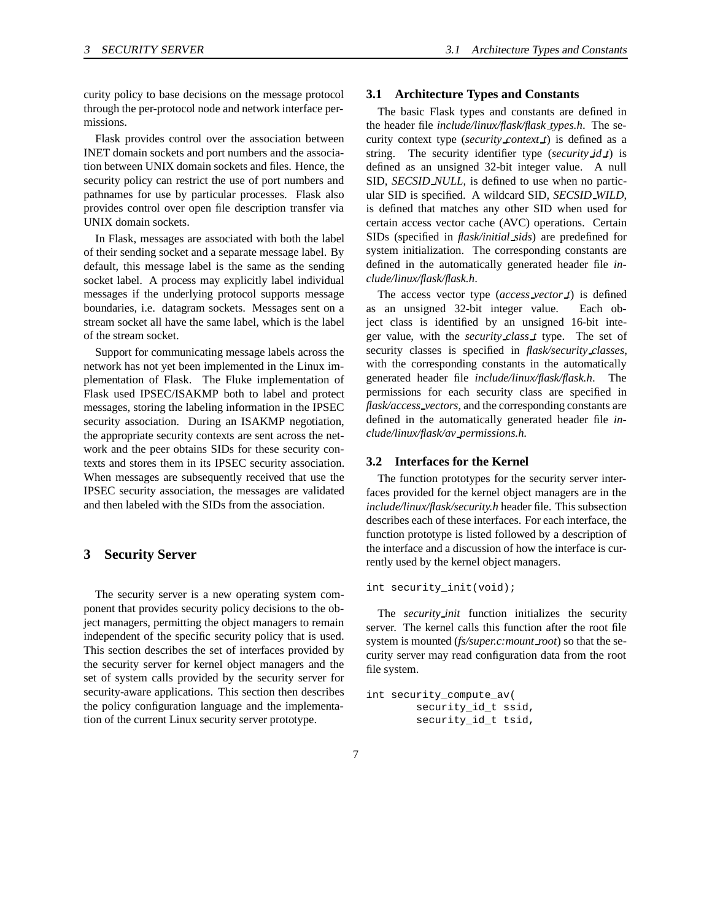curity policy to base decisions on the message protocol through the per-protocol node and network interface permissions.

Flask provides control over the association between INET domain sockets and port numbers and the association between UNIX domain sockets and files. Hence, the security policy can restrict the use of port numbers and pathnames for use by particular processes. Flask also provides control over open file description transfer via UNIX domain sockets.

In Flask, messages are associated with both the label of their sending socket and a separate message label. By default, this message label is the same as the sending socket label. A process may explicitly label individual messages if the underlying protocol supports message boundaries, i.e. datagram sockets. Messages sent on a stream socket all have the same label, which is the label of the stream socket.

Support for communicating message labels across the network has not yet been implemented in the Linux implementation of Flask. The Fluke implementation of Flask used IPSEC/ISAKMP both to label and protect messages, storing the labeling information in the IPSEC security association. During an ISAKMP negotiation, the appropriate security contexts are sent across the network and the peer obtains SIDs for these security contexts and stores them in its IPSEC security association. When messages are subsequently received that use the IPSEC security association, the messages are validated and then labeled with the SIDs from the association.

# **3 Security Server**

The security server is a new operating system component that provides security policy decisions to the object managers, permitting the object managers to remain independent of the specific security policy that is used. This section describes the set of interfaces provided by the security server for kernel object managers and the set of system calls provided by the security server for security-aware applications. This section then describes the policy configuration language and the implementation of the current Linux security server prototype.

#### **3.1 Architecture Types and Constants**

The basic Flask types and constants are defined in the header file *include/linux/flask/flask types.h*. The security context type (*security context t*) is defined as a string. The security identifier type (*security*  $\text{id } t$ ) is defined as an unsigned 32-bit integer value. A null SID, *SECSID NULL*, is defined to use when no particular SID is specified. A wildcard SID, *SECSID WILD*, is defined that matches any other SID when used for certain access vector cache (AVC) operations. Certain SIDs (specified in *flask/initial sids*) are predefined for system initialization. The corresponding constants are defined in the automatically generated header file *include/linux/flask/flask.h*.

The access vector type (*access vector t*) is defined as an unsigned 32-bit integer value. Each object class is identified by an unsigned 16-bit integer value, with the *security class t* type. The set of security classes is specified in *flask/security\_classes*, with the corresponding constants in the automatically generated header file *include/linux/flask/flask.h*. The permissions for each security class are specified in *flask/access vectors*, and the corresponding constants are defined in the automatically generated header file *include/linux/flask/av permissions.h*.

#### **3.2 Interfaces for the Kernel**

The function prototypes for the security server interfaces provided for the kernel object managers are in the *include/linux/flask/security.h* header file. This subsection describes each of these interfaces. For each interface, the function prototype is listed followed by a description of the interface and a discussion of how the interface is currently used by the kernel object managers.

int security\_init(void);

The *security init* function initializes the security server. The kernel calls this function after the root file system is mounted (*fs/super.c:mount root*) so that the security server may read configuration data from the root file system.

```
int security_compute_av(
        security_id_t ssid,
        security_id_t tsid,
```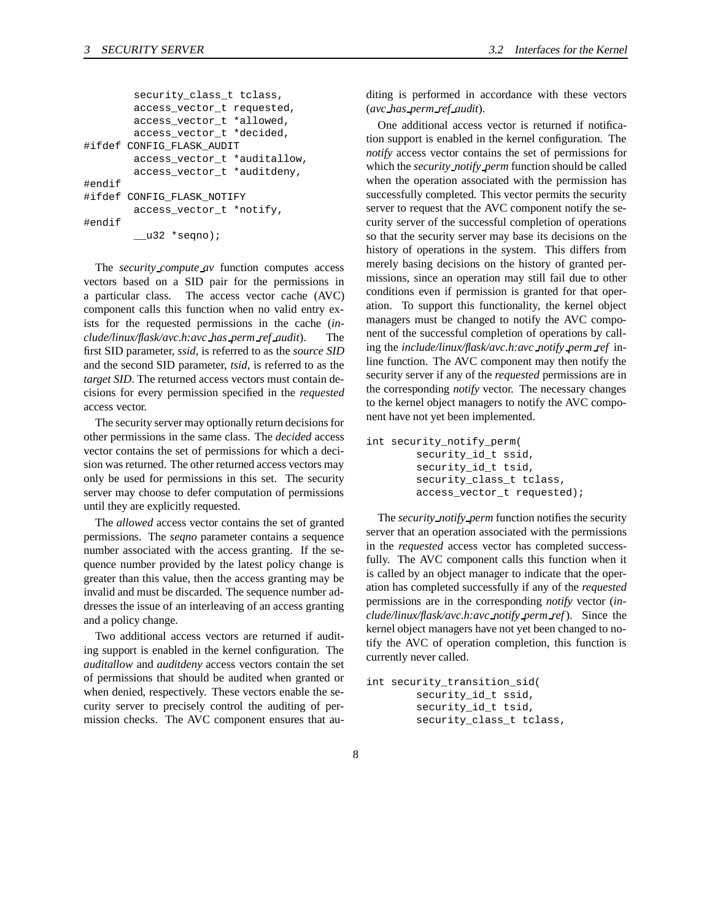```
security_class_t tclass,
        access_vector_t requested,
        access_vector_t *allowed,
        access_vector_t *decided,
#ifdef CONFIG_FLASK_AUDIT
        access_vector_t *auditallow,
        access_vector_t *auditdeny,
#endif
#ifdef CONFIG_FLASK_NOTIFY
        access_vector_t *notify,
#endif
        \_\_\_32 *seqno);
```
The *security compute av* function computes access vectors based on a SID pair for the permissions in a particular class. The access vector cache (AVC) component calls this function when no valid entry exists for the requested permissions in the cache (*include/linux/flask/avc.h:avc has perm ref audit*). The first SID parameter, *ssid*, is referred to as the *source SID* and the second SID parameter, *tsid*, is referred to as the *target SID*. The returned access vectors must contain decisions for every permission specified in the *requested* access vector.

The security server may optionally return decisions for other permissions in the same class. The *decided* access vector contains the set of permissions for which a decision was returned. The other returned access vectors may only be used for permissions in this set. The security server may choose to defer computation of permissions until they are explicitly requested.

The *allowed* access vector contains the set of granted permissions. The *seqno* parameter contains a sequence number associated with the access granting. If the sequence number provided by the latest policy change is greater than this value, then the access granting may be invalid and must be discarded. The sequence number addresses the issue of an interleaving of an access granting and a policy change.

Two additional access vectors are returned if auditing support is enabled in the kernel configuration. The *auditallow* and *auditdeny* access vectors contain the set of permissions that should be audited when granted or when denied, respectively. These vectors enable the security server to precisely control the auditing of permission checks. The AVC component ensures that auditing is performed in accordance with these vectors (*avc has perm ref audit*).

One additional access vector is returned if notification support is enabled in the kernel configuration. The *notify* access vector contains the set of permissions for which the *security notify perm* function should be called when the operation associated with the permission has successfully completed. This vector permits the security server to request that the AVC component notify the security server of the successful completion of operations so that the security server may base its decisions on the history of operations in the system. This differs from merely basing decisions on the history of granted permissions, since an operation may still fail due to other conditions even if permission is granted for that operation. To support this functionality, the kernel object managers must be changed to notify the AVC component of the successful completion of operations by calling the *include/linux/flask/avc.h:avc notify perm ref* inline function. The AVC component may then notify the security server if any of the *requested* permissions are in the corresponding *notify* vector. The necessary changes to the kernel object managers to notify the AVC component have not yet been implemented.

```
int security_notify_perm(
        security_id_t ssid,
        security_id_t tsid,
        security_class_t tclass,
        access_vector_t requested);
```
The *security notify perm* function notifies the security server that an operation associated with the permissions in the *requested* access vector has completed successfully. The AVC component calls this function when it is called by an object manager to indicate that the operation has completed successfully if any of the *requested* permissions are in the corresponding *notify* vector (*include/linux/flask/avc.h:avc notify perm ref*). Since the kernel object managers have not yet been changed to notify the AVC of operation completion, this function is currently never called.

```
int security_transition_sid(
        security_id_t ssid,
        security_id_t tsid,
        security_class_t tclass,
```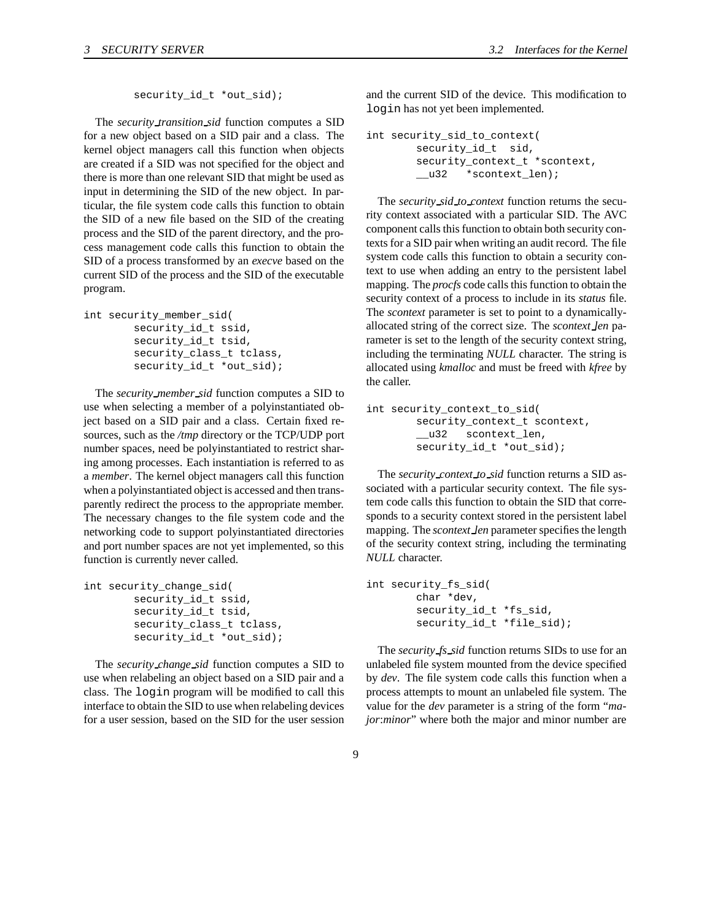security\_id\_t \*out\_sid);

The *security transition sid* function computes a SID for a new object based on a SID pair and a class. The kernel object managers call this function when objects are created if a SID was not specified for the object and there is more than one relevant SID that might be used as input in determining the SID of the new object. In particular, the file system code calls this function to obtain the SID of a new file based on the SID of the creating process and the SID of the parent directory, and the process management code calls this function to obtain the SID of a process transformed by an *execve* based on the current SID of the process and the SID of the executable program.

```
int security_member_sid(
        security id t ssid,
        security_id_t tsid,
        security_class_t tclass,
        security_id_t *out_sid);
```
The *security member sid* function computes a SID to use when selecting a member of a polyinstantiated object based on a SID pair and a class. Certain fixed resources, such as the */tmp* directory or the TCP/UDP port number spaces, need be polyinstantiated to restrict sharing among processes. Each instantiation is referred to as a *member*. The kernel object managers call this function when a polyinstantiated object is accessed and then transparently redirect the process to the appropriate member. The necessary changes to the file system code and the networking code to support polyinstantiated directories and port number spaces are not yet implemented, so this function is currently never called.

```
int security_change_sid(
        security_id_t ssid,
        security_id_t tsid,
        security_class_t tclass,
        security_id_t *out_sid);
```
The *security change sid* function computes a SID to use when relabeling an object based on a SID pair and a class. The login program will be modified to call this interface to obtain the SID to use when relabeling devices for a user session, based on the SID for the user session and the current SID of the device. This modification to login has not yet been implemented.

```
int security_sid_to_context(
       security_id_t sid,
       security_context_t *scontext,
       __u32 *scontext_len);
```
The *security sid to context* function returns the security context associated with a particular SID. The AVC component calls this function to obtain both security contexts for a SID pair when writing an audit record. The file system code calls this function to obtain a security context to use when adding an entry to the persistent label mapping. The *procfs* code calls this function to obtain the security context of a process to include in its *status* file. The *scontext* parameter is set to point to a dynamicallyallocated string of the correct size. The *scontext len* parameter is set to the length of the security context string, including the terminating *NULL* character. The string is allocated using *kmalloc* and must be freed with *kfree* by the caller.

```
int security_context_to_sid(
        security_context_t scontext,
        __u32 scontext_len,
        security_id_t *out_sid);
```
The *security context to sid* function returns a SID associated with a particular security context. The file system code calls this function to obtain the SID that corresponds to a security context stored in the persistent label mapping. The *scontext len* parameter specifies the length of the security context string, including the terminating *NULL* character.

```
int security_fs_sid(
        char *dev,
        security id t *fs sid,
        security_id_t *file_sid);
```
The *security fs sid* function returns SIDs to use for an unlabeled file system mounted from the device specified by *dev*. The file system code calls this function when a process attempts to mount an unlabeled file system. The value for the *dev* parameter is a string of the form "*major*:*minor*" where both the major and minor number are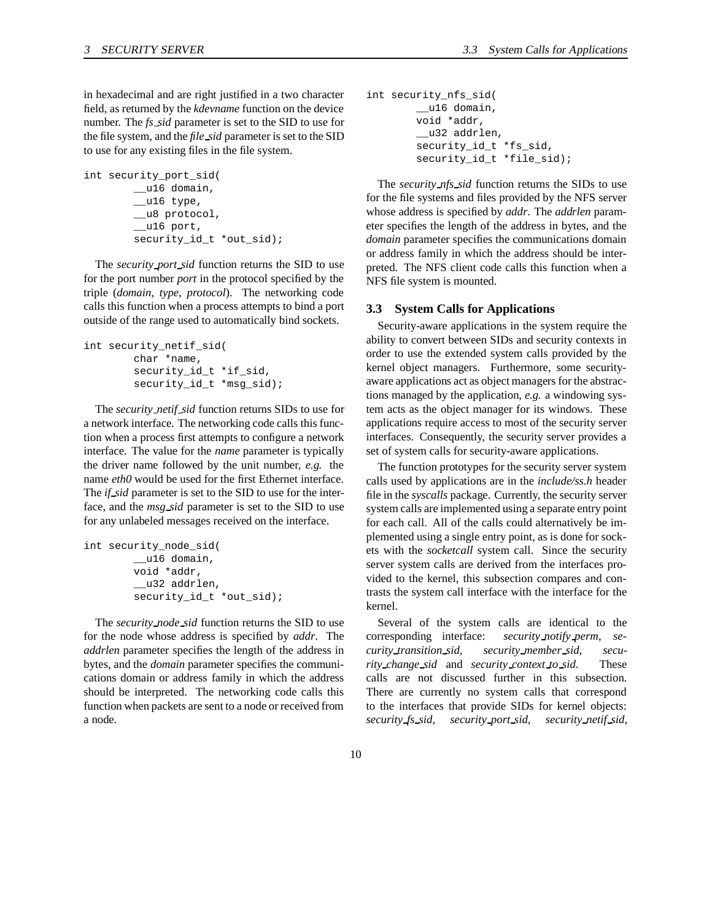in hexadecimal and are right justified in a two character field, as returned by the *kdevname* function on the device number. The *fs sid* parameter is set to the SID to use for the file system, and the *file sid* parameter is set to the SID to use for any existing files in the file system.

```
int security_port_sid(
        __u16 domain,
        \_u16 type,
        __u8 protocol,
        __u16 port,
        security_id_t *out_sid);
```
The *security port sid* function returns the SID to use for the port number *port* in the protocol specified by the triple (*domain*, *type*, *protocol*). The networking code calls this function when a process attempts to bind a port outside of the range used to automatically bind sockets.

```
int security_netif_sid(
        char *name,
        security_id_t *if_sid,
        security_id_t *msg_sid);
```
The *security netif sid* function returns SIDs to use for a network interface. The networking code calls this function when a process first attempts to configure a network interface. The value for the *name* parameter is typically the driver name followed by the unit number, *e.g.* the name *eth0* would be used for the first Ethernet interface. The *if sid* parameter is set to the SID to use for the interface, and the *msg sid* parameter is set to the SID to use for any unlabeled messages received on the interface.

```
int security_node_sid(
        __u16 domain,
        void *addr,
        __u32 addrlen,
        security_id_t *out_sid);
```
The *security node sid* function returns the SID to use for the node whose address is specified by *addr*. The *addrlen* parameter specifies the length of the address in bytes, and the *domain* parameter specifies the communications domain or address family in which the address should be interpreted. The networking code calls this function when packets are sent to a node or received from a node.

```
int security_nfs_sid(
        __u16 domain,
        void *addr,
        __u32 addrlen,
        security_id_t *fs_sid,
        security_id_t *file_sid);
```
The *security nfs sid* function returns the SIDs to use for the file systems and files provided by the NFS server whose address is specified by *addr*. The *addrlen* parameter specifies the length of the address in bytes, and the *domain* parameter specifies the communications domain or address family in which the address should be interpreted. The NFS client code calls this function when a NFS file system is mounted.

#### **3.3 System Calls for Applications**

Security-aware applications in the system require the ability to convert between SIDs and security contexts in order to use the extended system calls provided by the kernel object managers. Furthermore, some securityaware applications act as object managers for the abstractions managed by the application, *e.g.* a windowing system acts as the object manager for its windows. These applications require access to most of the security server interfaces. Consequently, the security server provides a set of system calls for security-aware applications.

The function prototypes for the security server system calls used by applications are in the *include/ss.h* header file in the *syscalls* package. Currently, the security server system calls are implemented using a separate entry point for each call. All of the calls could alternatively be implemented using a single entry point, as is done for sockets with the *socketcall* system call. Since the security server system calls are derived from the interfaces provided to the kernel, this subsection compares and contrasts the system call interface with the interface for the kernel.

Several of the system calls are identical to the corresponding interface: *security notify perm*, *security transition sid*, *security member sid*, *security change sid* and *security context to sid*. These calls are not discussed further in this subsection. There are currently no system calls that correspond to the interfaces that provide SIDs for kernel objects: *security fs sid*, *security port sid*, *security netif sid*,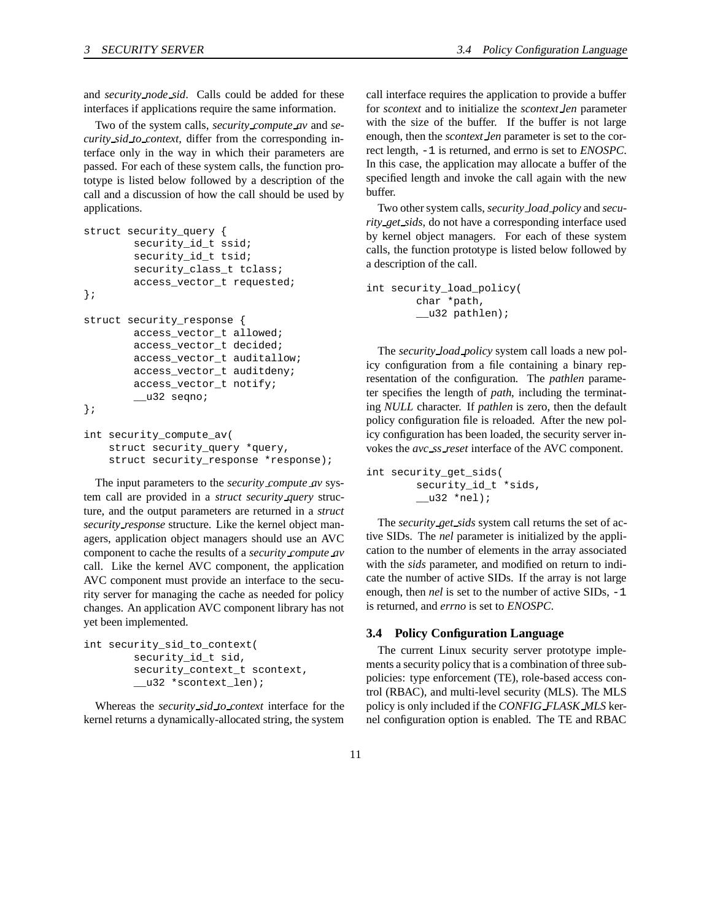and *security node sid*. Calls could be added for these interfaces if applications require the same information.

Two of the system calls, *security compute av* and *security sid to context*, differ from the corresponding interface only in the way in which their parameters are passed. For each of these system calls, the function prototype is listed below followed by a description of the call and a discussion of how the call should be used by applications.

```
struct security_query {
        security_id_t ssid;
        security_id_t tsid;
        security_class_t tclass;
        access_vector_t requested;
};
struct security_response {
        access_vector_t allowed;
        access_vector_t decided;
        access_vector_t auditallow;
        access_vector_t auditdeny;
        access_vector_t notify;
        __u32 seqno;
};
```

```
int security_compute_av(
    struct security_query *query,
    struct security_response *response);
```
The input parameters to the *security compute av* system call are provided in a *struct security query* structure, and the output parameters are returned in a *struct security response* structure. Like the kernel object managers, application object managers should use an AVC component to cache the results of a *security compute av* call. Like the kernel AVC component, the application AVC component must provide an interface to the security server for managing the cache as needed for policy changes. An application AVC component library has not yet been implemented.

```
int security_sid_to_context(
        security_id_t sid,
        security_context_t scontext,
        __u32 *scontext_len);
```
Whereas the *security sid to context* interface for the kernel returns a dynamically-allocated string, the system

call interface requires the application to provide a buffer for *scontext* and to initialize the *scontext len* parameter with the size of the buffer. If the buffer is not large enough, then the *scontext len* parameter is set to the correct length, -1 is returned, and errno is set to *ENOSPC*. In this case, the application may allocate a buffer of the specified length and invoke the call again with the new buffer.

Two other system calls, *security load policy* and *security get sids*, do not have a corresponding interface used by kernel object managers. For each of these system calls, the function prototype is listed below followed by a description of the call.

```
int security_load_policy(
        char *path,
        __u32 pathlen);
```
The *security load policy* system call loads a new policy configuration from a file containing a binary representation of the configuration. The *pathlen* parameter specifies the length of *path*, including the terminating *NULL* character. If *pathlen* is zero, then the default policy configuration file is reloaded. After the new policy configuration has been loaded, the security server invokes the *avc ss reset* interface of the AVC component.

```
int security_get_sids(
        security_id_t *sids,
        \_u32 *nel);
```
The *security get sids* system call returns the set of active SIDs. The *nel* parameter is initialized by the application to the number of elements in the array associated with the *sids* parameter, and modified on return to indicate the number of active SIDs. If the array is not large enough, then *nel* is set to the number of active SIDs, -1 is returned, and *errno* is set to *ENOSPC*.

#### **3.4 Policy Configuration Language**

The current Linux security server prototype implements a security policy that is a combination of three subpolicies: type enforcement (TE), role-based access control (RBAC), and multi-level security (MLS). The MLS policy is only included if the *CONFIG FLASK MLS* kernel configuration option is enabled. The TE and RBAC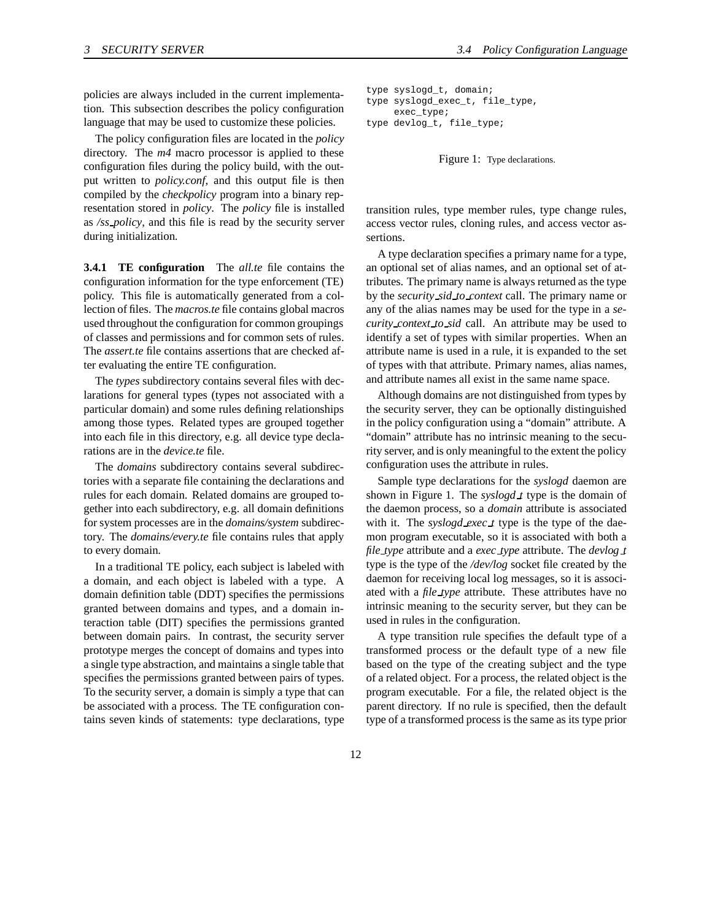policies are always included in the current implementation. This subsection describes the policy configuration language that may be used to customize these policies.

The policy configuration files are located in the *policy* directory. The *m4* macro processor is applied to these configuration files during the policy build, with the output written to *policy.conf*, and this output file is then compiled by the *checkpolicy* program into a binary representation stored in *policy*. The *policy* file is installed as */ss policy*, and this file is read by the security server during initialization.

**3.4.1 TE configuration** The *all.te* file contains the configuration information for the type enforcement (TE) policy. This file is automatically generated from a collection of files. The *macros.te* file contains global macros used throughout the configuration for common groupings of classes and permissions and for common sets of rules. The *assert.te* file contains assertions that are checked after evaluating the entire TE configuration.

The *types* subdirectory contains several files with declarations for general types (types not associated with a particular domain) and some rules defining relationships among those types. Related types are grouped together into each file in this directory, e.g. all device type declarations are in the *device.te* file.

The *domains* subdirectory contains several subdirectories with a separate file containing the declarations and rules for each domain. Related domains are grouped together into each subdirectory, e.g. all domain definitions for system processes are in the *domains/system* subdirectory. The *domains/every.te* file contains rules that apply to every domain.

In a traditional TE policy, each subject is labeled with a domain, and each object is labeled with a type. A domain definition table (DDT) specifies the permissions granted between domains and types, and a domain interaction table (DIT) specifies the permissions granted between domain pairs. In contrast, the security server prototype merges the concept of domains and types into a single type abstraction, and maintains a single table that specifies the permissions granted between pairs of types. To the security server, a domain is simply a type that can be associated with a process. The TE configuration contains seven kinds of statements: type declarations, type

```
type syslogd_t, domain;
type syslogd_exec_t, file_type,
     exec_type;
type devlog_t, file_type;
```
Figure 1: Type declarations.

transition rules, type member rules, type change rules, access vector rules, cloning rules, and access vector assertions.

A type declaration specifies a primary name for a type, an optional set of alias names, and an optional set of attributes. The primary name is always returned as the type by the *security sid to context* call. The primary name or any of the alias names may be used for the type in a *security context to sid* call. An attribute may be used to identify a set of types with similar properties. When an attribute name is used in a rule, it is expanded to the set of types with that attribute. Primary names, alias names, and attribute names all exist in the same name space.

Although domains are not distinguished from types by the security server, they can be optionally distinguished in the policy configuration using a "domain" attribute. A "domain" attribute has no intrinsic meaning to the security server, and is only meaningful to the extent the policy configuration uses the attribute in rules.

Sample type declarations for the *syslogd* daemon are shown in Figure 1. The *syslogd t* type is the domain of the daemon process, so a *domain* attribute is associated with it. The *syslogd exec t* type is the type of the daemon program executable, so it is associated with both a *file type* attribute and a *exec type* attribute. The *devlog t* type is the type of the */dev/log* socket file created by the daemon for receiving local log messages, so it is associated with a *file type* attribute. These attributes have no intrinsic meaning to the security server, but they can be used in rules in the configuration.

A type transition rule specifies the default type of a transformed process or the default type of a new file based on the type of the creating subject and the type of a related object. For a process, the related object is the program executable. For a file, the related object is the parent directory. If no rule is specified, then the default type of a transformed process is the same as its type prior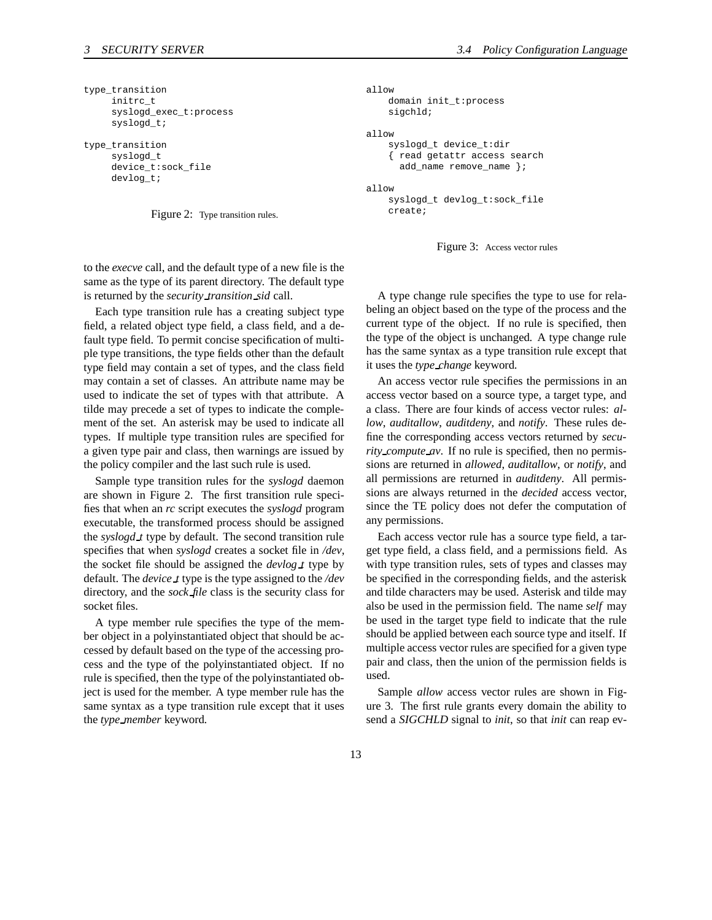```
type_transition
     initrc_t
     syslogd_exec_t:process
     syslogd_t;
```

```
type_transition
     syslogd_t
     device_t:sock_file
     devlog_t;
```


```
allow
    domain init_t:process
    sigchld;
allow
    syslogd_t device_t:dir
    { read getattr access search
      add_name remove_name };
allow
    syslogd_t devlog_t:sock_file
```
create;



to the *execve* call, and the default type of a new file is the same as the type of its parent directory. The default type is returned by the *security transition sid* call.

Each type transition rule has a creating subject type field, a related object type field, a class field, and a default type field. To permit concise specification of multiple type transitions, the type fields other than the default type field may contain a set of types, and the class field may contain a set of classes. An attribute name may be used to indicate the set of types with that attribute. A tilde may precede a set of types to indicate the complement of the set. An asterisk may be used to indicate all types. If multiple type transition rules are specified for a given type pair and class, then warnings are issued by the policy compiler and the last such rule is used.

Sample type transition rules for the *syslogd* daemon are shown in Figure 2. The first transition rule specifies that when an *rc* script executes the *syslogd* program executable, the transformed process should be assigned the *syslogd t* type by default. The second transition rule specifies that when *syslogd* creates a socket file in */dev*, the socket file should be assigned the *devlog t* type by default. The *device t* type is the type assigned to the */dev* directory, and the *sock file* class is the security class for socket files.

A type member rule specifies the type of the member object in a polyinstantiated object that should be accessed by default based on the type of the accessing process and the type of the polyinstantiated object. If no rule is specified, then the type of the polyinstantiated object is used for the member. A type member rule has the same syntax as a type transition rule except that it uses the *type member* keyword.

A type change rule specifies the type to use for relabeling an object based on the type of the process and the current type of the object. If no rule is specified, then the type of the object is unchanged. A type change rule has the same syntax as a type transition rule except that it uses the *type change* keyword.

An access vector rule specifies the permissions in an access vector based on a source type, a target type, and a class. There are four kinds of access vector rules: *allow*, *auditallow*, *auditdeny*, and *notify*. These rules define the corresponding access vectors returned by *security\_compute\_av.* If no rule is specified, then no permissions are returned in *allowed*, *auditallow*, or *notify*, and all permissions are returned in *auditdeny*. All permissions are always returned in the *decided* access vector, since the TE policy does not defer the computation of any permissions.

Each access vector rule has a source type field, a target type field, a class field, and a permissions field. As with type transition rules, sets of types and classes may be specified in the corresponding fields, and the asterisk and tilde characters may be used. Asterisk and tilde may also be used in the permission field. The name *self* may be used in the target type field to indicate that the rule should be applied between each source type and itself. If multiple access vector rules are specified for a given type pair and class, then the union of the permission fields is used.

Sample *allow* access vector rules are shown in Figure 3. The first rule grants every domain the ability to send a *SIGCHLD* signal to *init*, so that *init* can reap ev-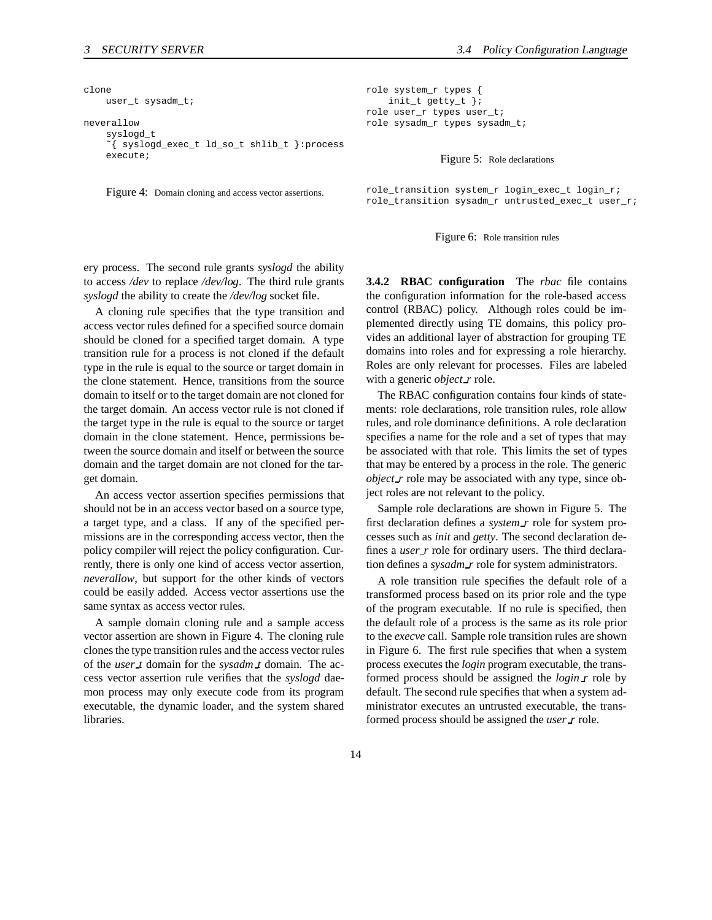```
clone
    user_t sysadm_t;
neverallow
    syslogd_t
    ˜{ syslogd_exec_t ld_so_t shlib_t }:process
    execute;
```
Figure 4: Domain cloning and access vector assertions.

ery process. The second rule grants *syslogd* the ability to access */dev* to replace */dev/log*. The third rule grants *syslogd* the ability to create the */dev/log* socket file.

A cloning rule specifies that the type transition and access vector rules defined for a specified source domain should be cloned for a specified target domain. A type transition rule for a process is not cloned if the default type in the rule is equal to the source or target domain in the clone statement. Hence, transitions from the source domain to itself or to the target domain are not cloned for the target domain. An access vector rule is not cloned if the target type in the rule is equal to the source or target domain in the clone statement. Hence, permissions between the source domain and itself or between the source domain and the target domain are not cloned for the target domain.

An access vector assertion specifies permissions that should not be in an access vector based on a source type, a target type, and a class. If any of the specified permissions are in the corresponding access vector, then the policy compiler will reject the policy configuration. Currently, there is only one kind of access vector assertion, *neverallow*, but support for the other kinds of vectors could be easily added. Access vector assertions use the same syntax as access vector rules.

A sample domain cloning rule and a sample access vector assertion are shown in Figure 4. The cloning rule clonesthe type transition rules and the access vector rules of the *user t* domain for the *sysadm t* domain. The access vector assertion rule verifies that the *syslogd* daemon process may only execute code from its program executable, the dynamic loader, and the system shared libraries.

role system\_r types { init\_t getty\_t }; role user\_r types user\_t; role sysadm\_r types sysadm\_t;

Figure 5: Role declarations

role\_transition system\_r login\_exec\_t login\_r; role\_transition sysadm\_r untrusted\_exec\_t user\_r;

Figure 6: Role transition rules

**3.4.2 RBAC configuration** The *rbac* file contains the configuration information for the role-based access control (RBAC) policy. Although roles could be implemented directly using TE domains, this policy provides an additional layer of abstraction for grouping TE domains into roles and for expressing a role hierarchy. Roles are only relevant for processes. Files are labeled with a generic *object r* role.

The RBAC configuration contains four kinds of statements: role declarations, role transition rules, role allow rules, and role dominance definitions. A role declaration specifies a name for the role and a set of types that may be associated with that role. This limits the set of types that may be entered by a process in the role. The generic *object\_r* role may be associated with any type, since object roles are not relevant to the policy.

Sample role declarations are shown in Figure 5. The first declaration defines a *system r* role for system processes such as *init* and *getty*. The second declaration defines a *user\_r* role for ordinary users. The third declaration defines a *sysadm r* role for system administrators.

A role transition rule specifies the default role of a transformed process based on its prior role and the type of the program executable. If no rule is specified, then the default role of a process is the same as its role prior to the *execve* call. Sample role transition rules are shown in Figure 6. The first rule specifies that when a system process executes the *login* program executable, the transformed process should be assigned the *login r* role by default. The second rule specifies that when a system administrator executes an untrusted executable, the transformed process should be assigned the *user r* role.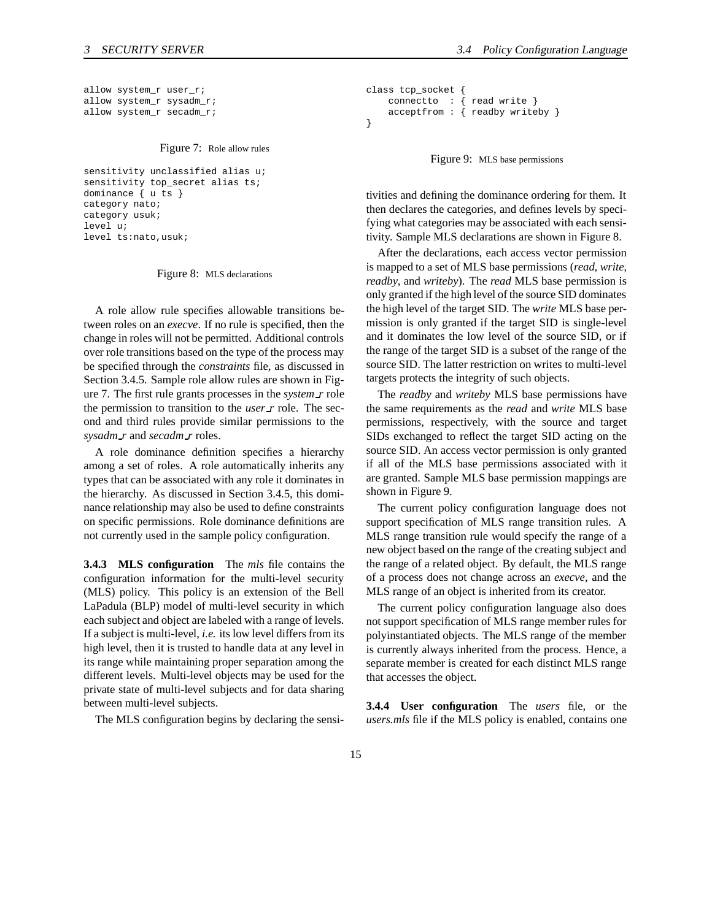```
allow system_r user_r;
allow system_r sysadm_r;
allow system_r secadm_r;
```
Figure 7: Role allow rules

```
sensitivity unclassified alias u;
sensitivity top_secret alias ts;
dominance { u ts }
category nato;
category usuk;
level u;
level ts:nato,usuk;
```
Figure 8: MLS declarations

A role allow rule specifies allowable transitions between roles on an *execve*. If no rule is specified, then the change in roles will not be permitted. Additional controls over role transitions based on the type of the process may be specified through the *constraints* file, as discussed in Section 3.4.5. Sample role allow rules are shown in Figure 7. The first rule grants processes in the *system r* role the permission to transition to the *user r* role. The second and third rules provide similar permissions to the *sysadm r* and *secadm r* roles.

A role dominance definition specifies a hierarchy among a set of roles. A role automatically inherits any types that can be associated with any role it dominates in the hierarchy. As discussed in Section 3.4.5, this dominance relationship may also be used to define constraints on specific permissions. Role dominance definitions are not currently used in the sample policy configuration.

**3.4.3 MLS configuration** The *mls* file contains the configuration information for the multi-level security (MLS) policy. This policy is an extension of the Bell LaPadula (BLP) model of multi-level security in which each subject and object are labeled with a range of levels. If a subject is multi-level, *i.e.* its low level differs from its high level, then it is trusted to handle data at any level in its range while maintaining proper separation among the different levels. Multi-level objects may be used for the private state of multi-level subjects and for data sharing between multi-level subjects.

The MLS configuration begins by declaring the sensi-

```
class tcp_socket
   connectto : { read write }
    acceptfrom : { readby writeby }
}
```
Figure 9: MLS base permissions

tivities and defining the dominance ordering for them. It then declares the categories, and defines levels by specifying what categories may be associated with each sensitivity. Sample MLS declarations are shown in Figure 8.

After the declarations, each access vector permission is mapped to a set of MLS base permissions (*read*, *write*, *readby*, and *writeby*). The *read* MLS base permission is only granted if the high level of the source SID dominates the high level of the target SID. The *write* MLS base permission is only granted if the target SID is single-level and it dominates the low level of the source SID, or if the range of the target SID is a subset of the range of the source SID. The latter restriction on writes to multi-level targets protects the integrity of such objects.

The *readby* and *writeby* MLS base permissions have the same requirements as the *read* and *write* MLS base permissions, respectively, with the source and target SIDs exchanged to reflect the target SID acting on the source SID. An access vector permission is only granted if all of the MLS base permissions associated with it are granted. Sample MLS base permission mappings are shown in Figure 9.

The current policy configuration language does not support specification of MLS range transition rules. A MLS range transition rule would specify the range of a new object based on the range of the creating subject and the range of a related object. By default, the MLS range of a process does not change across an *execve*, and the MLS range of an object is inherited from its creator.

The current policy configuration language also does not support specification of MLS range member rules for polyinstantiated objects. The MLS range of the member is currently always inherited from the process. Hence, a separate member is created for each distinct MLS range that accesses the object.

**3.4.4 User configuration** The *users* file, or the *users.mls* file if the MLS policy is enabled, contains one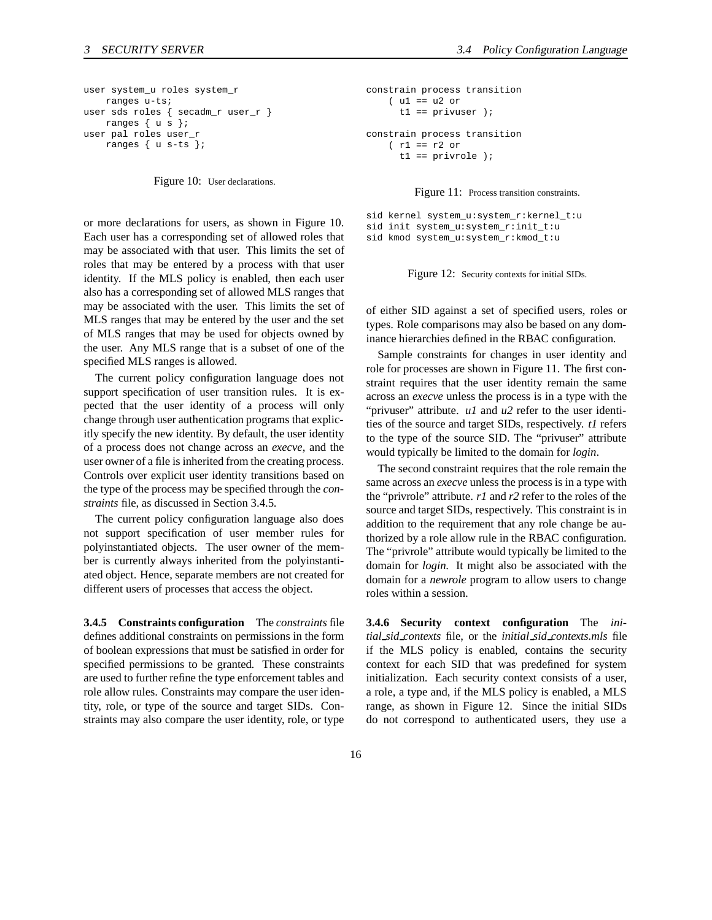```
user system_u roles system_r
   ranges u-ts;
user sds roles { secadm_r user_r }
   ranges { u s };
user pal roles user_r
   ranges { u s-ts };
```
Figure 10: User declarations.

or more declarations for users, as shown in Figure 10. Each user has a corresponding set of allowed roles that may be associated with that user. This limits the set of roles that may be entered by a process with that user identity. If the MLS policy is enabled, then each user also has a corresponding set of allowed MLS ranges that may be associated with the user. This limits the set of MLS ranges that may be entered by the user and the set of MLS ranges that may be used for objects owned by the user. Any MLS range that is a subset of one of the specified MLS ranges is allowed.

The current policy configuration language does not support specification of user transition rules. It is expected that the user identity of a process will only change through user authentication programs that explicitly specify the new identity. By default, the user identity of a process does not change across an *execve*, and the user owner of a file is inherited from the creating process. Controls over explicit user identity transitions based on the type of the process may be specified through the *constraints* file, as discussed in Section 3.4.5.

The current policy configuration language also does not support specification of user member rules for polyinstantiated objects. The user owner of the member is currently always inherited from the polyinstantiated object. Hence, separate members are not created for different users of processes that access the object.

**3.4.5 Constraints configuration** The *constraints* file defines additional constraints on permissions in the form of boolean expressions that must be satisfied in order for specified permissions to be granted. These constraints are used to further refine the type enforcement tables and role allow rules. Constraints may compare the user identity, role, or type of the source and target SIDs. Constraints may also compare the user identity, role, or type

```
constrain process transition
   ( u1 == u2 or
     t1 == privuser );
constrain process transition
    (r1 == r2 ort1 == privrole );
```
Figure 11: Process transition constraints.

```
sid kernel system_u:system_r:kernel_t:u
sid init system_u:system_r:init_t:u
sid kmod system_u:system_r:kmod_t:u
```
Figure 12: Security contexts for initial SIDs.

of either SID against a set of specified users, roles or types. Role comparisons may also be based on any dominance hierarchies defined in the RBAC configuration.

Sample constraints for changes in user identity and role for processes are shown in Figure 11. The first constraint requires that the user identity remain the same across an *execve* unless the process is in a type with the "privuser" attribute. *u1* and *u2* refer to the user identities of the source and target SIDs, respectively. *t1* refers to the type of the source SID. The "privuser" attribute would typically be limited to the domain for *login*.

The second constraint requires that the role remain the same across an *execve* unless the process is in a type with the "privrole" attribute. *r1* and *r2* refer to the roles of the source and target SIDs, respectively. This constraint is in addition to the requirement that any role change be authorized by a role allow rule in the RBAC configuration. The "privrole" attribute would typically be limited to the domain for *login*. It might also be associated with the domain for a *newrole* program to allow users to change roles within a session.

**3.4.6 Security context configuration** The *initial sid contexts* file, or the *initial sid contexts.mls* file if the MLS policy is enabled, contains the security context for each SID that was predefined for system initialization. Each security context consists of a user, a role, a type and, if the MLS policy is enabled, a MLS range, as shown in Figure 12. Since the initial SIDs do not correspond to authenticated users, they use a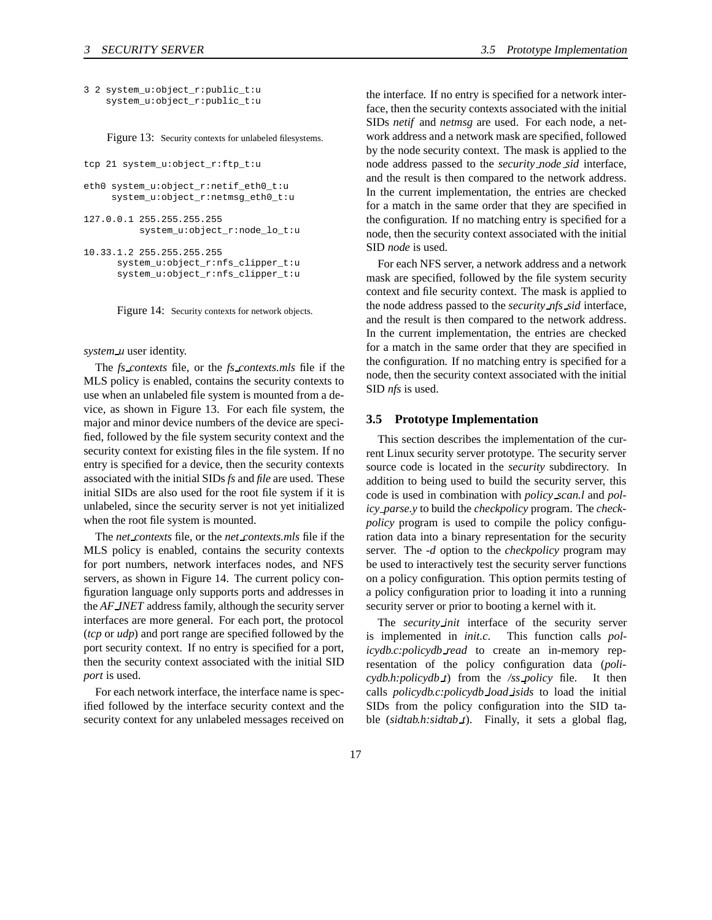```
3 2 system_u:object_r:public_t:u
    system_u:object_r:public_t:u
```
Figure 13: Security contexts for unlabeled filesystems.

```
tcp 21 system_u:object_r:ftp_t:u
```

```
eth0 system_u:object_r:netif_eth0_t:u
     system_u:object_r:netmsg_eth0_t:u
```

```
127.0.0.1 255.255.255.255
          system_u:object_r:node_lo_t:u
```

```
10.33.1.2 255.255.255.255
      system_u:object_r:nfs_clipper_t:u
      system_u:object_r:nfs_clipper_t:u
```
Figure 14: Security contexts for network objects.

#### *system u* user identity.

The *fs contexts* file, or the *fs contexts.mls* file if the MLS policy is enabled, contains the security contexts to use when an unlabeled file system is mounted from a device, as shown in Figure 13. For each file system, the major and minor device numbers of the device are specified, followed by the file system security context and the security context for existing files in the file system. If no entry is specified for a device, then the security contexts associated with the initial SIDs *fs* and *file* are used. These initial SIDs are also used for the root file system if it is unlabeled, since the security server is not yet initialized when the root file system is mounted.

The *net contexts* file, or the *net contexts.mls* file if the MLS policy is enabled, contains the security contexts for port numbers, network interfaces nodes, and NFS servers, as shown in Figure 14. The current policy configuration language only supports ports and addresses in the *AF INET* address family, although the security server interfaces are more general. For each port, the protocol (*tcp* or *udp*) and port range are specified followed by the port security context. If no entry is specified for a port, then the security context associated with the initial SID *port* is used.

For each network interface, the interface name is specified followed by the interface security context and the security context for any unlabeled messages received on the interface. If no entry is specified for a network interface, then the security contexts associated with the initial SIDs *netif* and *netmsg* are used. For each node, a network address and a network mask are specified, followed by the node security context. The mask is applied to the node address passed to the *security node sid* interface, and the result is then compared to the network address. In the current implementation, the entries are checked for a match in the same order that they are specified in the configuration. If no matching entry is specified for a node, then the security context associated with the initial SID *node* is used.

For each NFS server, a network address and a network mask are specified, followed by the file system security context and file security context. The mask is applied to the node address passed to the *security nfs sid* interface, and the result is then compared to the network address. In the current implementation, the entries are checked for a match in the same order that they are specified in the configuration. If no matching entry is specified for a node, then the security context associated with the initial SID *nfs* is used.

#### **3.5 Prototype Implementation**

This section describes the implementation of the current Linux security server prototype. The security server source code is located in the *security* subdirectory. In addition to being used to build the security server, this code is used in combination with *policy scan.l* and *policy parse.y* to build the *checkpolicy* program. The *checkpolicy* program is used to compile the policy configuration data into a binary representation for the security server. The *-d* option to the *checkpolicy* program may be used to interactively test the security server functions on a policy configuration. This option permits testing of a policy configuration prior to loading it into a running security server or prior to booting a kernel with it.

The *security init* interface of the security server is implemented in *init.c*. This function calls *policydb.c:policydb read* to create an in-memory representation of the policy configuration data (*policydb.h:policydb t*) from the */ss policy* file. It then calls *policydb.c:policydb load isids* to load the initial SIDs from the policy configuration into the SID table (*sidtab.h:sidtab t*). Finally, it sets a global flag,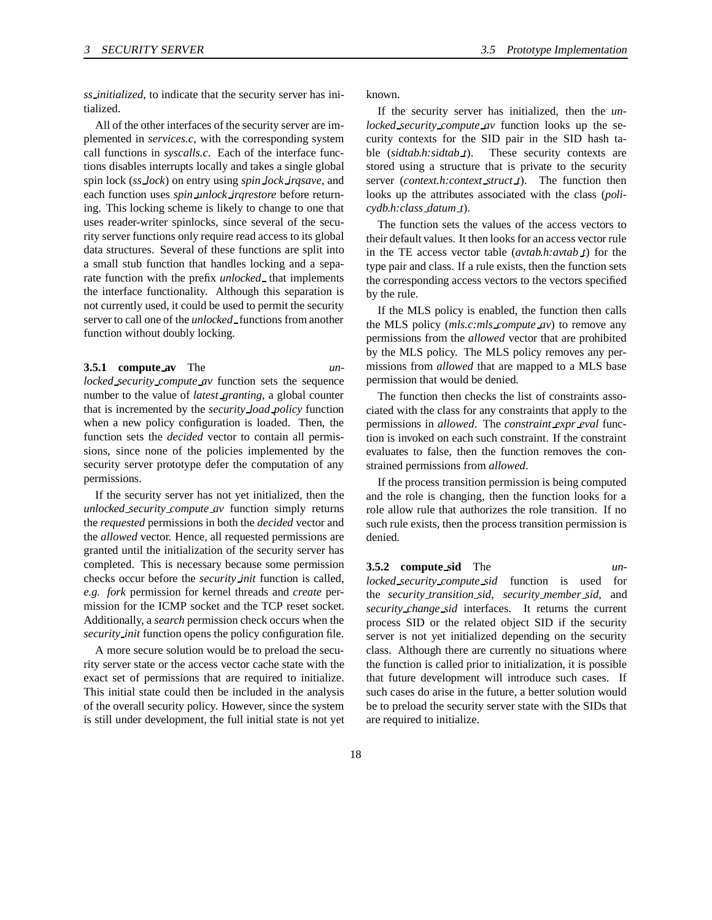*ss initialized*, to indicate that the security server has initialized.

All of the other interfaces of the security server are implemented in *services.c*, with the corresponding system call functions in *syscalls.c*. Each of the interface functions disables interrupts locally and takes a single global spin lock (*ss lock*) on entry using *spin lock irqsave*, and each function uses *spin unlock irqrestore* before returning. This locking scheme is likely to change to one that uses reader-writer spinlocks, since several of the security server functions only require read access to its global data structures. Several of these functions are split into a small stub function that handles locking and a separate function with the prefix *unlocked* that implements the interface functionality. Although this separation is not currently used, it could be used to permit the security server to call one of the *unlocked* functions from another function without doubly locking.

#### **3.5.1 compute av** The *un-*

*locked security compute av* function sets the sequence number to the value of *latest granting*, a global counter that is incremented by the *security load policy* function when a new policy configuration is loaded. Then, the function sets the *decided* vector to contain all permissions, since none of the policies implemented by the security server prototype defer the computation of any permissions.

If the security server has not yet initialized, then the *unlocked security compute av* function simply returns the *requested* permissions in both the *decided* vector and the *allowed* vector. Hence, all requested permissions are granted until the initialization of the security server has completed. This is necessary because some permission checks occur before the *security init* function is called, *e.g. fork* permission for kernel threads and *create* permission for the ICMP socket and the TCP reset socket. Additionally, a *search* permission check occurs when the *security init* function opens the policy configuration file.

A more secure solution would be to preload the security server state or the access vector cache state with the exact set of permissions that are required to initialize. This initial state could then be included in the analysis of the overall security policy. However, since the system is still under development, the full initial state is not yet known.

If the security server has initialized, then the *unlocked security compute av* function looks up the security contexts for the SID pair in the SID hash table (*sidtab.h:sidtab t*). These security contexts are stored using a structure that is private to the security server (*context.h:context struct t*). The function then looks up the attributes associated with the class (*policydb.h:class datum t*).

The function sets the values of the access vectors to their default values. It then looks for an access vector rule in the TE access vector table (*avtab.h:avtab t*) for the type pair and class. If a rule exists, then the function sets the corresponding access vectors to the vectors specified by the rule.

If the MLS policy is enabled, the function then calls the MLS policy (*mls.c:mls compute av*) to remove any permissions from the *allowed* vector that are prohibited by the MLS policy. The MLS policy removes any permissions from *allowed* that are mapped to a MLS base permission that would be denied.

The function then checks the list of constraints associated with the class for any constraints that apply to the permissions in *allowed*. The *constraint expr eval* function is invoked on each such constraint. If the constraint evaluates to false, then the function removes the constrained permissions from *allowed*.

If the process transition permission is being computed and the role is changing, then the function looks for a role allow rule that authorizes the role transition. If no such rule exists, then the process transition permission is denied.

**3.5.2 compute sid** The *unlocked security compute sid* function is used for the *security transition sid*, *security member sid*, and *security change sid* interfaces. It returns the current process SID or the related object SID if the security server is not yet initialized depending on the security class. Although there are currently no situations where the function is called prior to initialization, it is possible that future development will introduce such cases. If such cases do arise in the future, a better solution would be to preload the security server state with the SIDs that are required to initialize.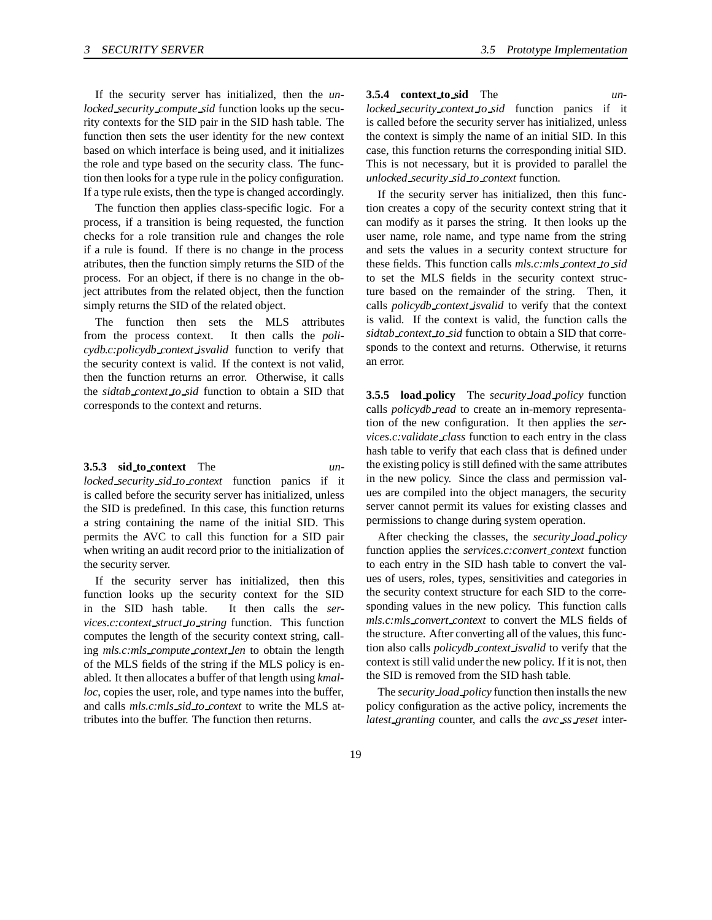If the security server has initialized, then the *unlocked security compute sid* function looks up the security contexts for the SID pair in the SID hash table. The function then sets the user identity for the new context based on which interface is being used, and it initializes the role and type based on the security class. The function then looks for a type rule in the policy configuration. If a type rule exists, then the type is changed accordingly.

The function then applies class-specific logic. For a process, if a transition is being requested, the function checks for a role transition rule and changes the role if a rule is found. If there is no change in the process atributes, then the function simply returns the SID of the process. For an object, if there is no change in the object attributes from the related object, then the function simply returns the SID of the related object.

The function then sets the MLS attributes from the process context. It then calls the *policydb.c:policydb context isvalid* function to verify that the security context is valid. If the context is not valid, then the function returns an error. Otherwise, it calls the *sidtab context to sid* function to obtain a SID that corresponds to the context and returns.

**3.5.3 sid to context** The *un-*

*locked security sid to context* function panics if it is called before the security server has initialized, unless the SID is predefined. In this case, this function returns a string containing the name of the initial SID. This permits the AVC to call this function for a SID pair when writing an audit record prior to the initialization of the security server.

If the security server has initialized, then this function looks up the security context for the SID in the SID hash table. It then calls the *services.c:context struct to string* function. This function computes the length of the security context string, calling *mls.c:mls compute context len* to obtain the length of the MLS fields of the string if the MLS policy is enabled. It then allocates a buffer of that length using *kmalloc*, copies the user, role, and type names into the buffer, and calls *mls.c:mls sid to context* to write the MLS attributes into the buffer. The function then returns.

**3.5.4 context to sid** The *unlocked security context to sid* function panics if it is called before the security server has initialized, unless the context is simply the name of an initial SID. In this case, this function returns the corresponding initial SID. This is not necessary, but it is provided to parallel the *unlocked security sid to context* function.

If the security server has initialized, then this function creates a copy of the security context string that it can modify as it parses the string. It then looks up the user name, role name, and type name from the string and sets the values in a security context structure for these fields. This function calls *mls.c:mls context to sid* to set the MLS fields in the security context structure based on the remainder of the string. Then, it calls *policydb context isvalid* to verify that the context is valid. If the context is valid, the function calls the *sidtab context to sid* function to obtain a SID that corresponds to the context and returns. Otherwise, it returns an error.

**3.5.5 load policy** The *security load policy* function calls *policydb read* to create an in-memory representation of the new configuration. It then applies the *services.c:validate class* function to each entry in the class hash table to verify that each class that is defined under the existing policy is still defined with the same attributes in the new policy. Since the class and permission values are compiled into the object managers, the security server cannot permit its values for existing classes and permissions to change during system operation.

After checking the classes, the *security load policy* function applies the *services.c:convert context* function to each entry in the SID hash table to convert the values of users, roles, types, sensitivities and categories in the security context structure for each SID to the corresponding values in the new policy. This function calls *mls.c:mls convert context* to convert the MLS fields of the structure. After converting all of the values, this function also calls *policydb context isvalid* to verify that the context is still valid under the new policy. If it is not, then the SID is removed from the SID hash table.

The *security load policy* function then installs the new policy configuration as the active policy, increments the *latest granting* counter, and calls the *avc ss reset* inter-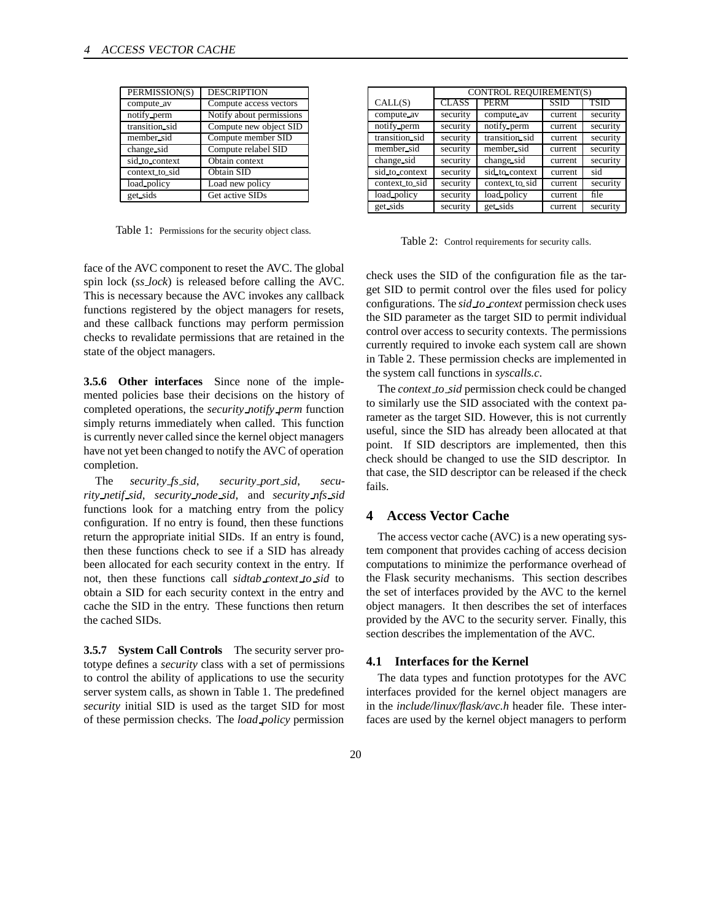| PERMISSION(S)  | <b>DESCRIPTION</b>       |
|----------------|--------------------------|
| compute av     | Compute access vectors   |
| notify perm    | Notify about permissions |
| transition_sid | Compute new object SID   |
| member_sid     | Compute member SID       |
| change sid     | Compute relabel SID      |
| sid to context | Obtain context           |
| context to sid | Obtain SID               |
| load_policy    | Load new policy          |
| get sids       | Get active SIDs          |
|                |                          |

Table 1: Permissions for the security object class.

|                | <b>CONTROL REQUIREMENT(S)</b> |                |             |             |
|----------------|-------------------------------|----------------|-------------|-------------|
| CALL(S)        | CLASS                         | <b>PERM</b>    | <b>SSID</b> | <b>TSID</b> |
| compute av     | security                      | compute av     | current     | security    |
| notify perm    | security                      | notify perm    | current     | security    |
| transition sid | security                      | transition sid | current     | security    |
| member sid     | security                      | member sid     | current     | security    |
| change sid     | security                      | change sid     | current     | security    |
| sid to context | security                      | sid to context | current     | sid         |
| context to sid | security                      | context to sid | current     | security    |
| load policy    | security                      | load policy    | current     | file        |
| get_sids       | security                      | get_sids       | current     | security    |

Table 2: Control requirements for security calls.

face of the AVC component to reset the AVC. The global spin lock (*ss lock*) is released before calling the AVC. This is necessary because the AVC invokes any callback functions registered by the object managers for resets, and these callback functions may perform permission checks to revalidate permissions that are retained in the state of the object managers.

**3.5.6 Other interfaces** Since none of the implemented policies base their decisions on the history of completed operations, the *security notify perm* function simply returns immediately when called. This function is currently never called since the kernel object managers have not yet been changed to notify the AVC of operation completion.

The *security fs sid*, *security port sid*, *security netif sid*, *security node sid*, and *security nfs sid* functions look for a matching entry from the policy configuration. If no entry is found, then these functions return the appropriate initial SIDs. If an entry is found, then these functions check to see if a SID has already been allocated for each security context in the entry. If not, then these functions call *sidtab context to sid* to obtain a SID for each security context in the entry and cache the SID in the entry. These functions then return the cached SIDs.

**3.5.7 System Call Controls** The security server prototype defines a *security* class with a set of permissions to control the ability of applications to use the security server system calls, as shown in Table 1. The predefined *security* initial SID is used as the target SID for most of these permission checks. The *load policy* permission

check uses the SID of the configuration file as the target SID to permit control over the files used for policy configurations. The *sid to context* permission check uses the SID parameter as the target SID to permit individual control over access to security contexts. The permissions currently required to invoke each system call are shown in Table 2. These permission checks are implemented in the system call functions in *syscalls.c*.

The *context to sid* permission check could be changed to similarly use the SID associated with the context parameter as the target SID. However, this is not currently useful, since the SID has already been allocated at that point. If SID descriptors are implemented, then this check should be changed to use the SID descriptor. In that case, the SID descriptor can be released if the check fails.

# **4 Access Vector Cache**

The access vector cache (AVC) is a new operating system component that provides caching of access decision computations to minimize the performance overhead of the Flask security mechanisms. This section describes the set of interfaces provided by the AVC to the kernel object managers. It then describes the set of interfaces provided by the AVC to the security server. Finally, this section describes the implementation of the AVC.

#### **4.1 Interfaces for the Kernel**

The data types and function prototypes for the AVC interfaces provided for the kernel object managers are in the *include/linux/flask/avc.h* header file. These interfaces are used by the kernel object managers to perform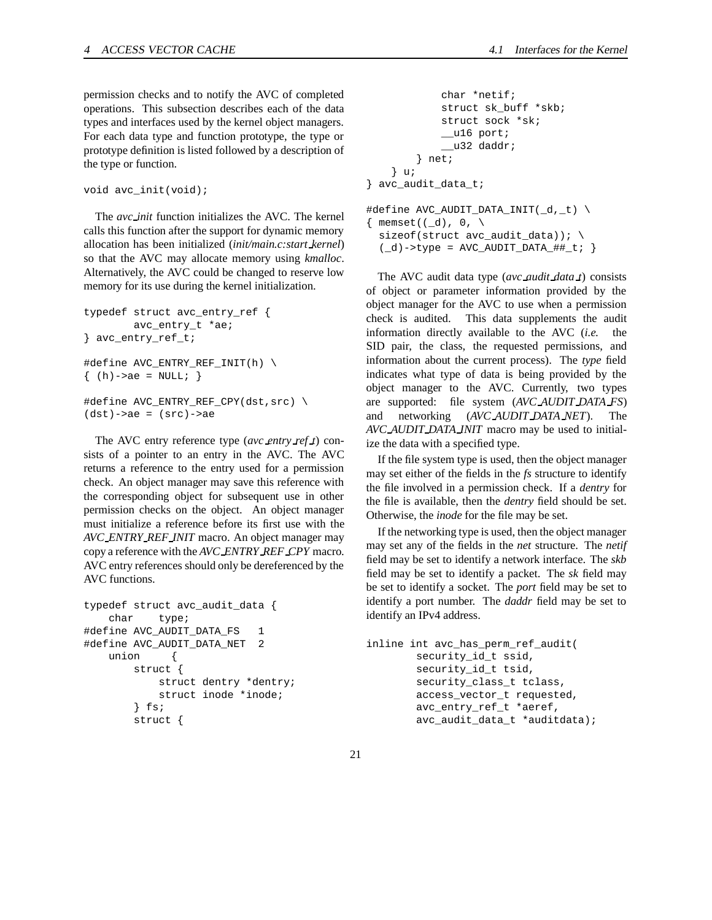permission checks and to notify the AVC of completed operations. This subsection describes each of the data types and interfaces used by the kernel object managers. For each data type and function prototype, the type or prototype definition is listed followed by a description of the type or function.

```
void avc_init(void);
```
The *avc init* function initializes the AVC. The kernel calls this function after the support for dynamic memory allocation has been initialized (*init/main.c:start kernel*) so that the AVC may allocate memory using *kmalloc*. Alternatively, the AVC could be changed to reserve low memory for its use during the kernel initialization.

```
typedef struct avc_entry_ref {
        avc_entry_t *ae;
} avc_entry_ref_t;
#define AVC_ENTRY_REF_INIT(h) \
\{ (h)-a e = NULL; \}#define AVC_ENTRY_REF_CPY(dst, src) \
```
 $(dst)$ ->ae =  $(src)$ ->ae

The AVC entry reference type (*avc entry ref t*) consists of a pointer to an entry in the AVC. The AVC returns a reference to the entry used for a permission check. An object manager may save this reference with the corresponding object for subsequent use in other permission checks on the object. An object manager must initialize a reference before its first use with the *AVC ENTRY REF INIT* macro. An object manager may copy a reference with the *AVC ENTRY REF CPY* macro. AVC entry references should only be dereferenced by the AVC functions.

```
typedef struct avc_audit_data {
   char type;
#define AVC_AUDIT_DATA_FS 1
#define AVC_AUDIT_DATA_NET 2
   union {
       struct {
           struct dentry *dentry;
           struct inode *inode;
       } fs;
       struct {
```

```
char *netif;
            struct sk_buff *skb;
            struct sock *sk;
            __u16 port;
             _u32 daddr;
        } net;
    } u;
} avc_audit_data_t;
#define AVC_AUDIT_DATA_INIT(_d,_t) \
\{ memset((_d), 0, \
```
sizeof(struct avc\_audit\_data)); \  $(\_d)$ ->type = AVC\_AUDIT\_DATA\_##\_t; }

The AVC audit data type (*avc audit data t*) consists of object or parameter information provided by the object manager for the AVC to use when a permission check is audited. This data supplements the audit information directly available to the AVC (*i.e.* the SID pair, the class, the requested permissions, and information about the current process). The *type* field indicates what type of data is being provided by the object manager to the AVC. Currently, two types are supported: file system (*AVC AUDIT DATA FS*) and networking (*AVC AUDIT DATA NET*). The *AVC AUDIT DATA INIT* macro may be used to initial-

If the file system type is used, then the object manager may set either of the fields in the *fs* structure to identify the file involved in a permission check. If a *dentry* for the file is available, then the *dentry* field should be set. Otherwise, the *inode* for the file may be set.

ize the data with a specified type.

If the networking type is used, then the object manager may set any of the fields in the *net* structure. The *netif* field may be set to identify a network interface. The *skb* field may be set to identify a packet. The *sk* field may be set to identify a socket. The *port* field may be set to identify a port number. The *daddr* field may be set to identify an IPv4 address.

```
inline int avc_has_perm_ref_audit(
        security_id_t ssid,
        security_id_t tsid,
        security_class_t tclass,
        access_vector_t requested,
        avc_entry_ref_t *aeref,
        avc_audit_data_t *auditdata);
```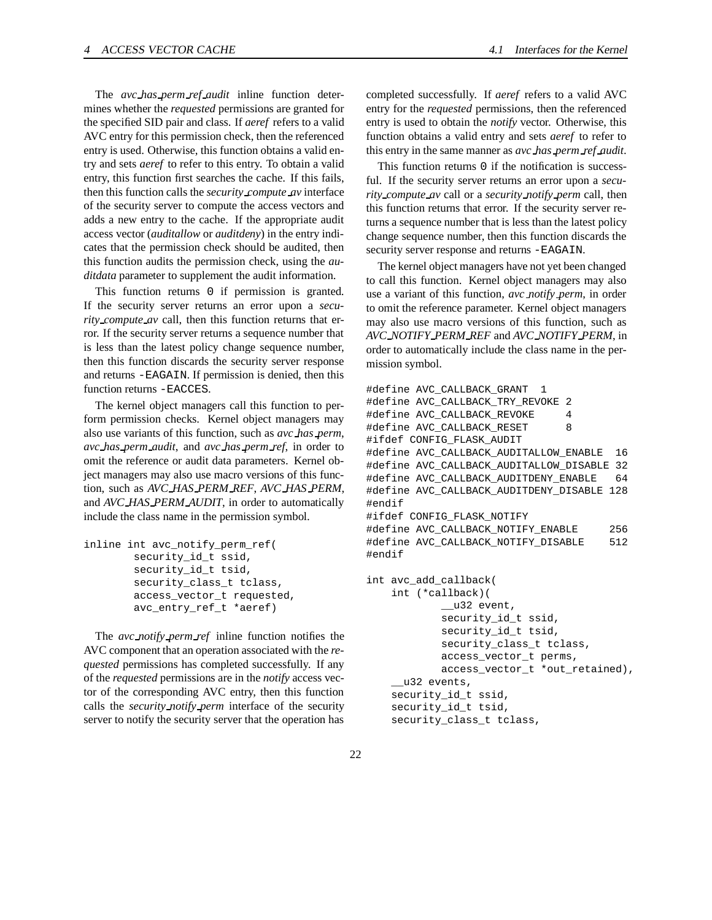The *avc has perm ref audit* inline function determines whether the *requested* permissions are granted for the specified SID pair and class. If *aeref* refers to a valid AVC entry for this permission check, then the referenced entry is used. Otherwise, this function obtains a valid entry and sets *aeref* to refer to this entry. To obtain a valid entry, this function first searches the cache. If this fails, then this function calls the *security compute av* interface of the security server to compute the access vectors and adds a new entry to the cache. If the appropriate audit access vector (*auditallow* or *auditdeny*) in the entry indicates that the permission check should be audited, then this function audits the permission check, using the *auditdata* parameter to supplement the audit information.

This function returns 0 if permission is granted. If the security server returns an error upon a *security compute av* call, then this function returns that error. If the security server returns a sequence number that is less than the latest policy change sequence number, then this function discards the security server response and returns -EAGAIN. If permission is denied, then this function returns -EACCES.

The kernel object managers call this function to perform permission checks. Kernel object managers may also use variants of this function, such as *avc has perm*, *avc has perm audit*, and *avc has perm ref*, in order to omit the reference or audit data parameters. Kernel object managers may also use macro versions of this function, such as *AVC HAS PERM REF*, *AVC HAS PERM*, and *AVC HAS PERM AUDIT*, in order to automatically include the class name in the permission symbol.

```
inline int avc_notify_perm_ref(
        security_id_t ssid,
        security_id_t tsid,
        security_class_t tclass,
        access_vector_t requested,
        avc_entry_ref_t *aeref)
```
The *avc notify perm ref* inline function notifies the AVC component that an operation associated with the *requested* permissions has completed successfully. If any of the *requested* permissions are in the *notify* access vector of the corresponding AVC entry, then this function calls the *security notify perm* interface of the security server to notify the security server that the operation has

completed successfully. If *aeref* refers to a valid AVC entry for the *requested* permissions, then the referenced entry is used to obtain the *notify* vector. Otherwise, this function obtains a valid entry and sets *aeref* to refer to this entry in the same manner as *avc has perm ref audit*.

This function returns 0 if the notification is successful. If the security server returns an error upon a *security compute av* call or a *security notify perm* call, then this function returns that error. If the security server returns a sequence number that is less than the latest policy change sequence number, then this function discards the security server response and returns -EAGAIN.

The kernel object managers have not yet been changed to call this function. Kernel object managers may also use a variant of this function, *avc notify perm*, in order to omit the reference parameter. Kernel object managers may also use macro versions of this function, such as *AVC NOTIFY PERM REF* and *AVC NOTIFY PERM*, in order to automatically include the class name in the permission symbol.

```
#define AVC_CALLBACK_GRANT 1
#define AVC_CALLBACK_TRY_REVOKE 2
#define AVC_CALLBACK_REVOKE 4
#define AVC_CALLBACK_RESET 8
#ifdef CONFIG_FLASK_AUDIT
#define AVC_CALLBACK_AUDITALLOW_ENABLE 16
#define AVC_CALLBACK_AUDITALLOW_DISABLE 32
#define AVC_CALLBACK_AUDITDENY_ENABLE 64
#define AVC_CALLBACK_AUDITDENY_DISABLE 128
#endif
#ifdef CONFIG_FLASK_NOTIFY
#define AVC_CALLBACK_NOTIFY_ENABLE 256
#define AVC_CALLBACK_NOTIFY_DISABLE 512
#endif
```

```
int avc_add_callback(
    int (*callback)(
            __u32 event,
            security_id_t ssid,
            security_id_t tsid,
            security_class_t tclass,
            access_vector_t perms,
            access_vector_t *out_retained),
    __u32 events,
    security_id_t ssid,
    security_id_t tsid,
    security_class_t tclass,
```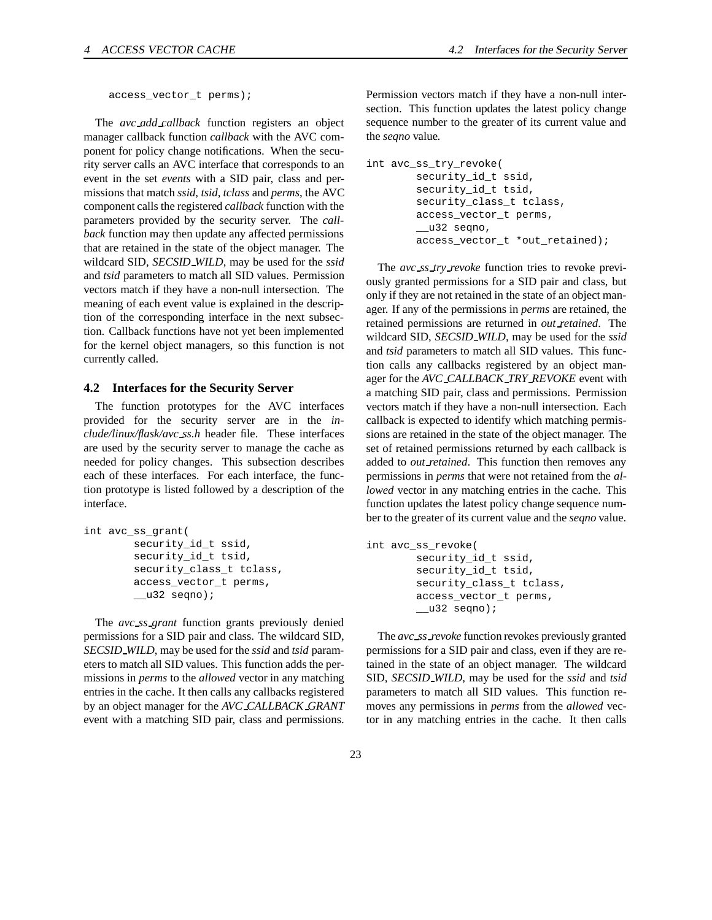access\_vector\_t perms);

The *avc add callback* function registers an object manager callback function *callback* with the AVC component for policy change notifications. When the security server calls an AVC interface that corresponds to an event in the set *events* with a SID pair, class and permissions that match *ssid*, *tsid*, *tclass* and *perms*, the AVC component calls the registered *callback* function with the parameters provided by the security server. The *callback* function may then update any affected permissions that are retained in the state of the object manager. The wildcard SID, *SECSID WILD*, may be used for the *ssid* and *tsid* parameters to match all SID values. Permission vectors match if they have a non-null intersection. The meaning of each event value is explained in the description of the corresponding interface in the next subsection. Callback functions have not yet been implemented for the kernel object managers, so this function is not currently called.

#### **4.2 Interfaces for the Security Server**

The function prototypes for the AVC interfaces provided for the security server are in the *include/linux/flask/avc ss.h* header file. These interfaces are used by the security server to manage the cache as needed for policy changes. This subsection describes each of these interfaces. For each interface, the function prototype is listed followed by a description of the interface.

```
int avc_ss_grant(
        security_id_t ssid,
        security_id_t tsid,
        security_class_t tclass,
        access_vector_t perms,
        __u32 seqno);
```
The *avc ss grant* function grants previously denied permissions for a SID pair and class. The wildcard SID, *SECSID WILD*, may be used for the *ssid* and *tsid* parameters to match all SID values. This function adds the permissions in *perms* to the *allowed* vector in any matching entries in the cache. It then calls any callbacks registered by an object manager for the *AVC CALLBACK GRANT* event with a matching SID pair, class and permissions.

Permission vectors match if they have a non-null intersection. This function updates the latest policy change sequence number to the greater of its current value and the *seqno* value.

```
int avc_ss_try_revoke(
        security_id_t ssid,
        security_id_t tsid,
        security_class_t tclass,
        access_vector_t perms,
        __u32 seqno,
        access_vector_t *out_retained);
```
The *avc ss try revoke* function tries to revoke previously granted permissions for a SID pair and class, but only if they are not retained in the state of an object manager. If any of the permissions in *perms* are retained, the retained permissions are returned in *out retained*. The wildcard SID, *SECSID WILD*, may be used for the *ssid* and *tsid* parameters to match all SID values. This function calls any callbacks registered by an object manager for the *AVC CALLBACK TRY REVOKE* event with a matching SID pair, class and permissions. Permission vectors match if they have a non-null intersection. Each callback is expected to identify which matching permissions are retained in the state of the object manager. The set of retained permissions returned by each callback is added to *out retained*. This function then removes any permissions in *perms* that were not retained from the *allowed* vector in any matching entries in the cache. This function updates the latest policy change sequence number to the greater of its current value and the *seqno* value.

```
int avc_ss_revoke(
        security_id_t ssid,
        security_id_t tsid,
        security_class_t tclass,
        access_vector_t perms,
        \_\_\u32 seqno);
```
The *avc ss revoke* function revokes previously granted permissions for a SID pair and class, even if they are retained in the state of an object manager. The wildcard SID, *SECSID WILD*, may be used for the *ssid* and *tsid* parameters to match all SID values. This function removes any permissions in *perms* from the *allowed* vector in any matching entries in the cache. It then calls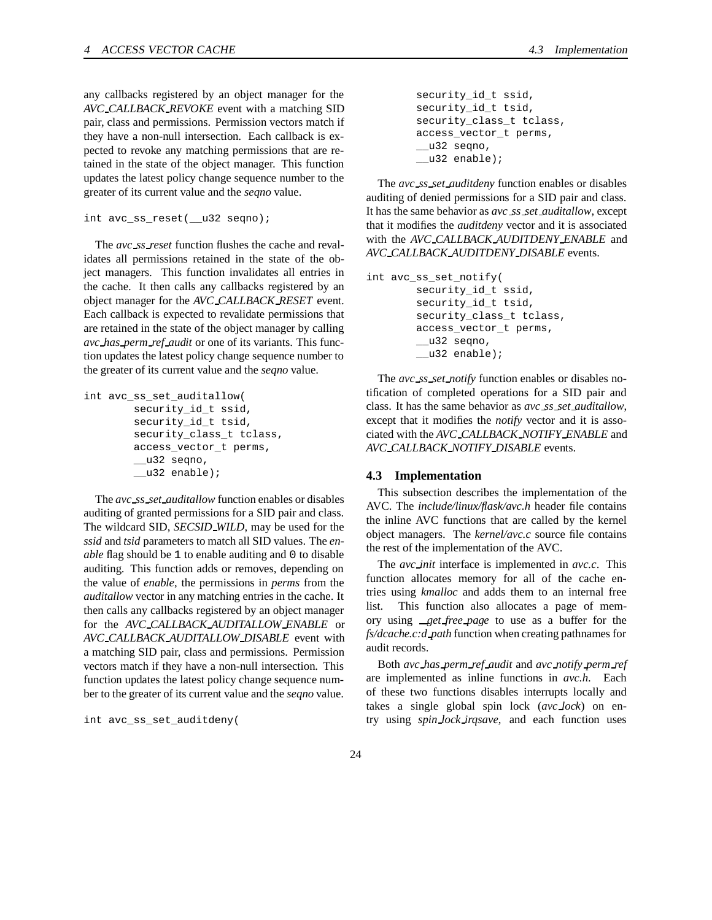any callbacks registered by an object manager for the *AVC CALLBACK REVOKE* event with a matching SID pair, class and permissions. Permission vectors match if they have a non-null intersection. Each callback is expected to revoke any matching permissions that are retained in the state of the object manager. This function updates the latest policy change sequence number to the greater of its current value and the *seqno* value.

```
int avc_ss_reset(__u32 seqno);
```
The *avc ss reset* function flushes the cache and revalidates all permissions retained in the state of the object managers. This function invalidates all entries in the cache. It then calls any callbacks registered by an object manager for the *AVC CALLBACK RESET* event. Each callback is expected to revalidate permissions that are retained in the state of the object manager by calling *avc has perm ref audit* or one of its variants. This function updates the latest policy change sequence number to the greater of its current value and the *seqno* value.

```
int avc_ss_set_auditallow(
        security_id_t ssid,
        security_id_t tsid,
        security_class_t tclass,
        access_vector_t perms,
        __u32 seqno,
        __u32 enable);
```
The *avc ss set auditallow* function enables or disables auditing of granted permissions for a SID pair and class. The wildcard SID, *SECSID WILD*, may be used for the *ssid* and *tsid* parameters to match all SID values. The *enable* flag should be 1 to enable auditing and 0 to disable auditing. This function adds or removes, depending on the value of *enable*, the permissions in *perms* from the *auditallow* vector in any matching entries in the cache. It then calls any callbacks registered by an object manager for the *AVC CALLBACK AUDITALLOW ENABLE* or *AVC CALLBACK AUDITALLOW DISABLE* event with a matching SID pair, class and permissions. Permission vectors match if they have a non-null intersection. This function updates the latest policy change sequence number to the greater of its current value and the *seqno* value.

```
int avc_ss_set_auditdeny(
```
security\_id\_t ssid, security\_id\_t tsid, security\_class\_t tclass, access\_vector\_t perms, \_\_u32 seqno, \_\_u32 enable);

The *avc ss set auditdeny* function enables or disables auditing of denied permissions for a SID pair and class. It has the same behavior as *avc ss set auditallow*, except that it modifies the *auditdeny* vector and it is associated with the *AVC CALLBACK AUDITDENY ENABLE* and *AVC CALLBACK AUDITDENY DISABLE* events.

```
int avc_ss_set_notify(
        security_id_t ssid,
        security_id_t tsid,
        security class t tclass,
        access_vector_t perms,
        __u32 seqno,
        __u32 enable);
```
The *avc ss set notify* function enables or disables notification of completed operations for a SID pair and class. It has the same behavior as *avc ss set auditallow*, except that it modifies the *notify* vector and it is associated with the *AVC CALLBACK NOTIFY ENABLE* and *AVC CALLBACK NOTIFY DISABLE* events.

#### **4.3 Implementation**

This subsection describes the implementation of the AVC. The *include/linux/flask/avc.h* header file contains the inline AVC functions that are called by the kernel object managers. The *kernel/avc.c* source file contains the rest of the implementation of the AVC.

The *avc init* interface is implemented in *avc.c*. This function allocates memory for all of the cache entries using *kmalloc* and adds them to an internal free list. This function also allocates a page of memory using *get free page* to use as a buffer for the *fs/dcache.c:d path* function when creating pathnames for audit records.

Both *avc has perm ref audit* and *avc notify perm ref* are implemented as inline functions in *avc.h*. Each of these two functions disables interrupts locally and takes a single global spin lock (*avc lock*) on entry using *spin lock irqsave*, and each function uses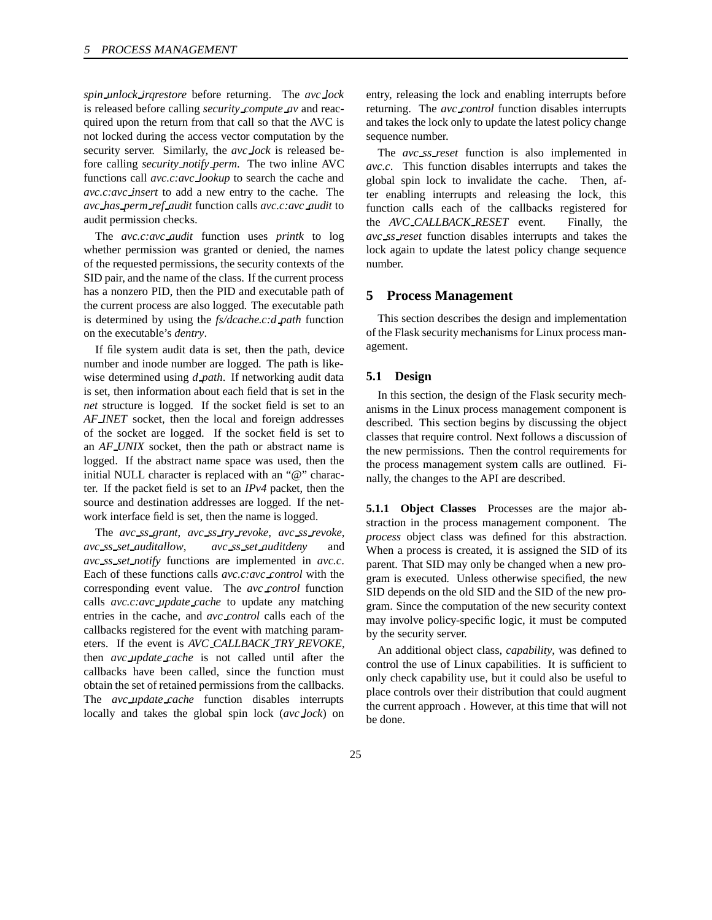*spin unlock irqrestore* before returning. The *avc lock* is released before calling *security compute av* and reacquired upon the return from that call so that the AVC is not locked during the access vector computation by the security server. Similarly, the *avc lock* is released before calling *security notify perm*. The two inline AVC functions call *avc.c:avc lookup* to search the cache and *avc.c:avc insert* to add a new entry to the cache. The *avc has perm ref audit* function calls *avc.c:avc audit* to audit permission checks.

The *avc.c:avc audit* function uses *printk* to log whether permission was granted or denied, the names of the requested permissions, the security contexts of the SID pair, and the name of the class. If the current process has a nonzero PID, then the PID and executable path of the current process are also logged. The executable path is determined by using the *fs/dcache.c:d path* function on the executable's *dentry*.

If file system audit data is set, then the path, device number and inode number are logged. The path is likewise determined using *d path*. If networking audit data is set, then information about each field that is set in the *net* structure is logged. If the socket field is set to an *AF INET* socket, then the local and foreign addresses of the socket are logged. If the socket field is set to an *AF UNIX* socket, then the path or abstract name is logged. If the abstract name space was used, then the initial NULL character is replaced with an "@" character. If the packet field is set to an *IPv4* packet, then the source and destination addresses are logged. If the network interface field is set, then the name is logged.

The *avc ss grant*, *avc ss try revoke*, *avc ss revoke*, *avc ss set auditallow*, *avc ss set auditdeny* and *avc ss set notify* functions are implemented in *avc.c*. Each of these functions calls *avc.c:avc control* with the corresponding event value. The *avc control* function calls *avc.c:avc update cache* to update any matching entries in the cache, and *avc control* calls each of the callbacks registered for the event with matching parameters. If the event is *AVC CALLBACK TRY REVOKE*, then *avc update cache* is not called until after the callbacks have been called, since the function must obtain the set of retained permissions from the callbacks. The *avc update cache* function disables interrupts locally and takes the global spin lock (*avc lock*) on entry, releasing the lock and enabling interrupts before returning. The *avc control* function disables interrupts and takes the lock only to update the latest policy change sequence number.

The *avc ss reset* function is also implemented in *avc.c*. This function disables interrupts and takes the global spin lock to invalidate the cache. Then, after enabling interrupts and releasing the lock, this function calls each of the callbacks registered for the *AVC CALLBACK RESET* event. Finally, the *avc ss reset* function disables interrupts and takes the lock again to update the latest policy change sequence number.

# **5 Process Management**

This section describes the design and implementation of the Flask security mechanisms for Linux process management.

## **5.1 Design**

In this section, the design of the Flask security mechanisms in the Linux process management component is described. This section begins by discussing the object classes that require control. Next follows a discussion of the new permissions. Then the control requirements for the process management system calls are outlined. Finally, the changes to the API are described.

**5.1.1 Object Classes** Processes are the major abstraction in the process management component. The *process* object class was defined for this abstraction. When a process is created, it is assigned the SID of its parent. That SID may only be changed when a new program is executed. Unless otherwise specified, the new SID depends on the old SID and the SID of the new program. Since the computation of the new security context may involve policy-specific logic, it must be computed by the security server.

An additional object class, *capability*, was defined to control the use of Linux capabilities. It is sufficient to only check capability use, but it could also be useful to place controls over their distribution that could augment the current approach . However, at this time that will not be done.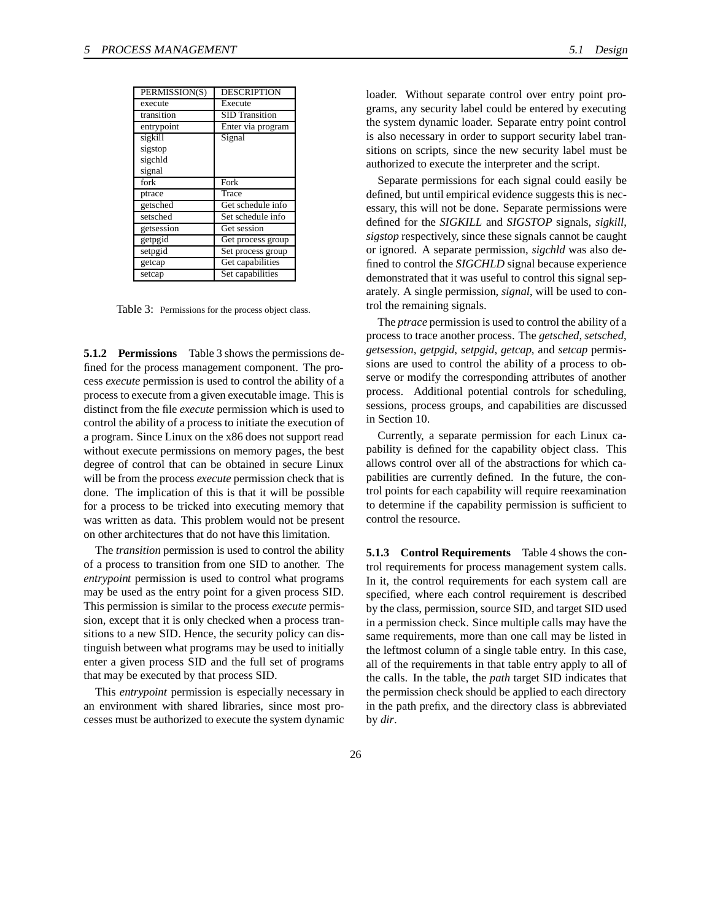| PERMISSION(S) | <b>DESCRIPTION</b>    |
|---------------|-----------------------|
| execute       | Execute               |
| transition    | <b>SID</b> Transition |
| entrypoint    | Enter via program     |
| sigkill       | Signal                |
| sigstop       |                       |
| sigchld       |                       |
| signal        |                       |
| fork          | Fork                  |
| ptrace        | Trace                 |
| getsched      | Get schedule info     |
| setsched      | Set schedule info     |
| getsession    | Get session           |
| getpgid       | Get process group     |
| setpgid       | Set process group     |
| getcap        | Get capabilities      |
| setcap        | Set capabilities      |

Table 3: Permissions for the process object class.

**5.1.2 Permissions** Table 3 shows the permissions defined for the process management component. The process *execute* permission is used to control the ability of a process to execute from a given executable image. This is distinct from the file *execute* permission which is used to control the ability of a process to initiate the execution of a program. Since Linux on the x86 does not support read without execute permissions on memory pages, the best degree of control that can be obtained in secure Linux will be from the process *execute* permission check that is done. The implication of this is that it will be possible for a process to be tricked into executing memory that was written as data. This problem would not be present on other architectures that do not have this limitation.

The *transition* permission is used to control the ability of a process to transition from one SID to another. The *entrypoint* permission is used to control what programs may be used as the entry point for a given process SID. This permission is similar to the process *execute* permission, except that it is only checked when a process transitions to a new SID. Hence, the security policy can distinguish between what programs may be used to initially enter a given process SID and the full set of programs that may be executed by that process SID.

This *entrypoint* permission is especially necessary in an environment with shared libraries, since most processes must be authorized to execute the system dynamic

loader. Without separate control over entry point programs, any security label could be entered by executing the system dynamic loader. Separate entry point control is also necessary in order to support security label transitions on scripts, since the new security label must be authorized to execute the interpreter and the script.

Separate permissions for each signal could easily be defined, but until empirical evidence suggests this is necessary, this will not be done. Separate permissions were defined for the *SIGKILL* and *SIGSTOP* signals, *sigkill*, *sigstop* respectively, since these signals cannot be caught or ignored. A separate permission, *sigchld* was also defined to control the *SIGCHLD* signal because experience demonstrated that it was useful to control this signal separately. A single permission, *signal*, will be used to control the remaining signals.

The *ptrace* permission is used to control the ability of a process to trace another process. The *getsched*, *setsched*, *getsession*, *getpgid*, *setpgid*, *getcap*, and *setcap* permissions are used to control the ability of a process to observe or modify the corresponding attributes of another process. Additional potential controls for scheduling, sessions, process groups, and capabilities are discussed in Section 10.

Currently, a separate permission for each Linux capability is defined for the capability object class. This allows control over all of the abstractions for which capabilities are currently defined. In the future, the control points for each capability will require reexamination to determine if the capability permission is sufficient to control the resource.

**5.1.3 Control Requirements** Table 4 shows the control requirements for process management system calls. In it, the control requirements for each system call are specified, where each control requirement is described by the class, permission, source SID, and target SID used in a permission check. Since multiple calls may have the same requirements, more than one call may be listed in the leftmost column of a single table entry. In this case, all of the requirements in that table entry apply to all of the calls. In the table, the *path* target SID indicates that the permission check should be applied to each directory in the path prefix, and the directory class is abbreviated by *dir*.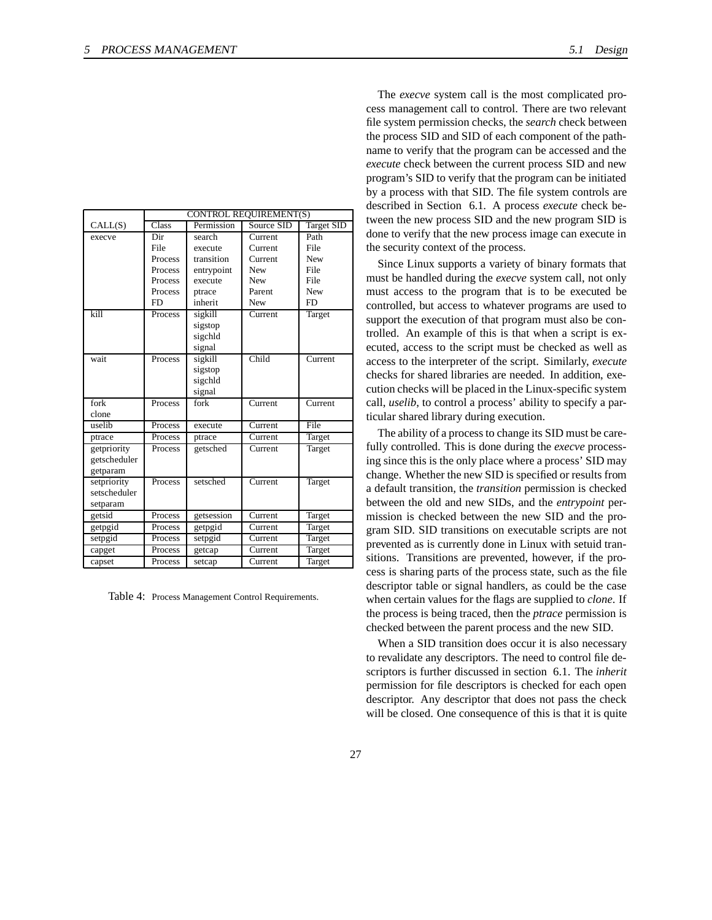| Design |
|--------|
|        |
|        |

|              | <b>CONTROL REQUIREMENT(S)</b> |            |            |                   |
|--------------|-------------------------------|------------|------------|-------------------|
| CALL(S)      | Class                         | Permission | Source SID | <b>Target SID</b> |
| execve       | Dir                           | search     | Current    | Path              |
|              | File                          | execute    | Current    | File              |
|              | Process                       | transition | Current    | <b>New</b>        |
|              | Process                       | entrypoint | <b>New</b> | File              |
|              | Process                       | execute    | <b>New</b> | File              |
|              | Process                       | ptrace     | Parent     | <b>New</b>        |
|              | <b>FD</b>                     | inherit    | <b>New</b> | <b>FD</b>         |
| kill         | Process                       | sigkill    | Current    | Target            |
|              |                               | sigstop    |            |                   |
|              |                               | sigchld    |            |                   |
|              |                               | signal     |            |                   |
| wait         | Process                       | sigkill    | Child      | Current           |
|              |                               | sigstop    |            |                   |
|              |                               | sigchld    |            |                   |
|              |                               | signal     |            |                   |
| fork         | Process                       | fork       | Current    | Current           |
| clone        |                               |            |            |                   |
| uselib       | Process                       | execute    | Current    | File              |
| ptrace       | Process                       | ptrace     | Current    | Target            |
| getpriority  | Process                       | getsched   | Current    | Target            |
| getscheduler |                               |            |            |                   |
| getparam     |                               |            |            |                   |
| setpriority  | Process                       | setsched   | Current    | Target            |
| setscheduler |                               |            |            |                   |
| setparam     |                               |            |            |                   |
| getsid       | Process                       | getsession | Current    | Target            |
| getpgid      | Process                       | getpgid    | Current    | Target            |
| setpgid      | Process                       | setpgid    | Current    | Target            |
| capget       | Process                       | getcap     | Current    | Target            |
| capset       | Process                       | setcap     | Current    | Target            |

Table 4: Process Management Control Requirements.

The *execve* system call is the most complicated process management call to control. There are two relevant file system permission checks, the *search* check between the process SID and SID of each component of the pathname to verify that the program can be accessed and the *execute* check between the current process SID and new program's SID to verify that the program can be initiated by a process with that SID. The file system controls are described in Section 6.1. A process *execute* check between the new process SID and the new program SID is done to verify that the new process image can execute in the security context of the process.

Since Linux supports a variety of binary formats that must be handled during the *execve* system call, not only must access to the program that is to be executed be controlled, but access to whatever programs are used to support the execution of that program must also be controlled. An example of this is that when a script is executed, access to the script must be checked as well as access to the interpreter of the script. Similarly, *execute* checks for shared libraries are needed. In addition, execution checks will be placed in the Linux-specific system call, *uselib*, to control a process' ability to specify a particular shared library during execution.

The ability of a process to change its SID must be carefully controlled. This is done during the *execve* processing since this is the only place where a process' SID may change. Whether the new SID is specified or results from a default transition, the *transition* permission is checked between the old and new SIDs, and the *entrypoint* permission is checked between the new SID and the program SID. SID transitions on executable scripts are not prevented as is currently done in Linux with setuid transitions. Transitions are prevented, however, if the process is sharing parts of the process state, such as the file descriptor table or signal handlers, as could be the case when certain values for the flags are supplied to *clone*. If the process is being traced, then the *ptrace* permission is checked between the parent process and the new SID.

When a SID transition does occur it is also necessary to revalidate any descriptors. The need to control file descriptors is further discussed in section 6.1. The *inherit* permission for file descriptors is checked for each open descriptor. Any descriptor that does not pass the check will be closed. One consequence of this is that it is quite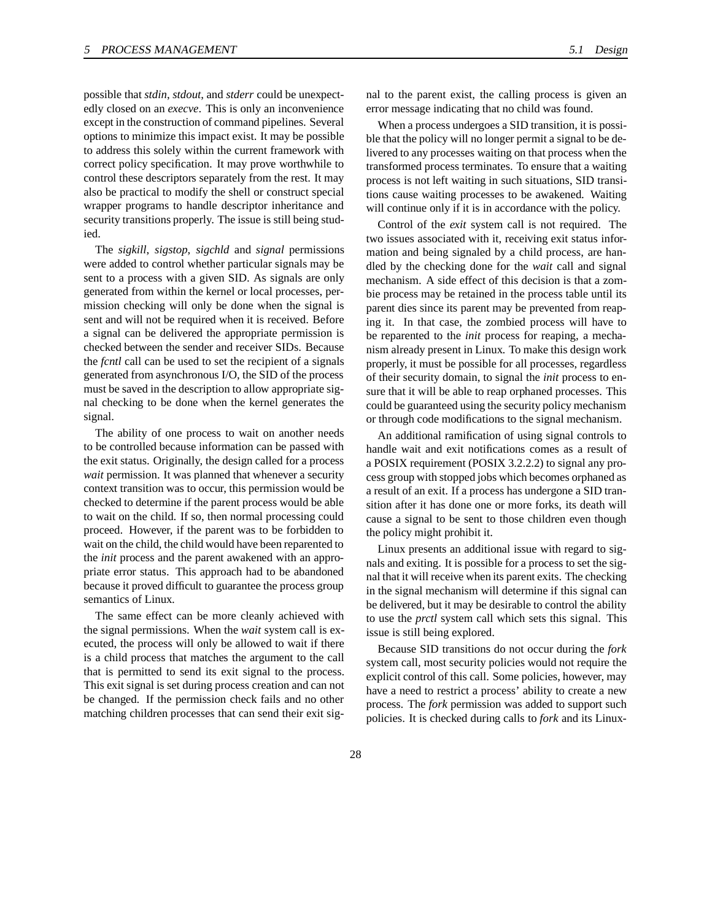ied.

possible that *stdin*, *stdout*, and *stderr* could be unexpectedly closed on an *execve*. This is only an inconvenience except in the construction of command pipelines. Several options to minimize this impact exist. It may be possible to address this solely within the current framework with correct policy specification. It may prove worthwhile to control these descriptors separately from the rest. It may also be practical to modify the shell or construct special wrapper programs to handle descriptor inheritance and security transitions properly. The issue is still being stud-

The *sigkill*, *sigstop*, *sigchld* and *signal* permissions were added to control whether particular signals may be sent to a process with a given SID. As signals are only generated from within the kernel or local processes, permission checking will only be done when the signal is sent and will not be required when it is received. Before a signal can be delivered the appropriate permission is checked between the sender and receiver SIDs. Because the *fcntl* call can be used to set the recipient of a signals generated from asynchronous I/O, the SID of the process must be saved in the description to allow appropriate signal checking to be done when the kernel generates the signal.

The ability of one process to wait on another needs to be controlled because information can be passed with the exit status. Originally, the design called for a process *wait* permission. It was planned that whenever a security context transition was to occur, this permission would be checked to determine if the parent process would be able to wait on the child. If so, then normal processing could proceed. However, if the parent was to be forbidden to wait on the child, the child would have been reparented to the *init* process and the parent awakened with an appropriate error status. This approach had to be abandoned because it proved difficult to guarantee the process group semantics of Linux.

The same effect can be more cleanly achieved with the signal permissions. When the *wait* system call is executed, the process will only be allowed to wait if there is a child process that matches the argument to the call that is permitted to send its exit signal to the process. This exit signal is set during process creation and can not be changed. If the permission check fails and no other matching children processes that can send their exit signal to the parent exist, the calling process is given an error message indicating that no child was found.

When a process undergoes a SID transition, it is possible that the policy will no longer permit a signal to be delivered to any processes waiting on that process when the transformed process terminates. To ensure that a waiting process is not left waiting in such situations, SID transitions cause waiting processes to be awakened. Waiting will continue only if it is in accordance with the policy.

Control of the *exit* system call is not required. The two issues associated with it, receiving exit status information and being signaled by a child process, are handled by the checking done for the *wait* call and signal mechanism. A side effect of this decision is that a zombie process may be retained in the process table until its parent dies since its parent may be prevented from reaping it. In that case, the zombied process will have to be reparented to the *init* process for reaping, a mechanism already present in Linux. To make this design work properly, it must be possible for all processes, regardless of their security domain, to signal the *init* process to ensure that it will be able to reap orphaned processes. This could be guaranteed using the security policy mechanism or through code modifications to the signal mechanism.

An additional ramification of using signal controls to handle wait and exit notifications comes as a result of a POSIX requirement (POSIX 3.2.2.2) to signal any process group with stopped jobs which becomes orphaned as a result of an exit. If a process has undergone a SID transition after it has done one or more forks, its death will cause a signal to be sent to those children even though the policy might prohibit it.

Linux presents an additional issue with regard to signals and exiting. It is possible for a process to set the signal that it will receive when its parent exits. The checking in the signal mechanism will determine if this signal can be delivered, but it may be desirable to control the ability to use the *prctl* system call which sets this signal. This issue is still being explored.

Because SID transitions do not occur during the *fork* system call, most security policies would not require the explicit control of this call. Some policies, however, may have a need to restrict a process' ability to create a new process. The *fork* permission was added to support such policies. It is checked during calls to *fork* and its Linux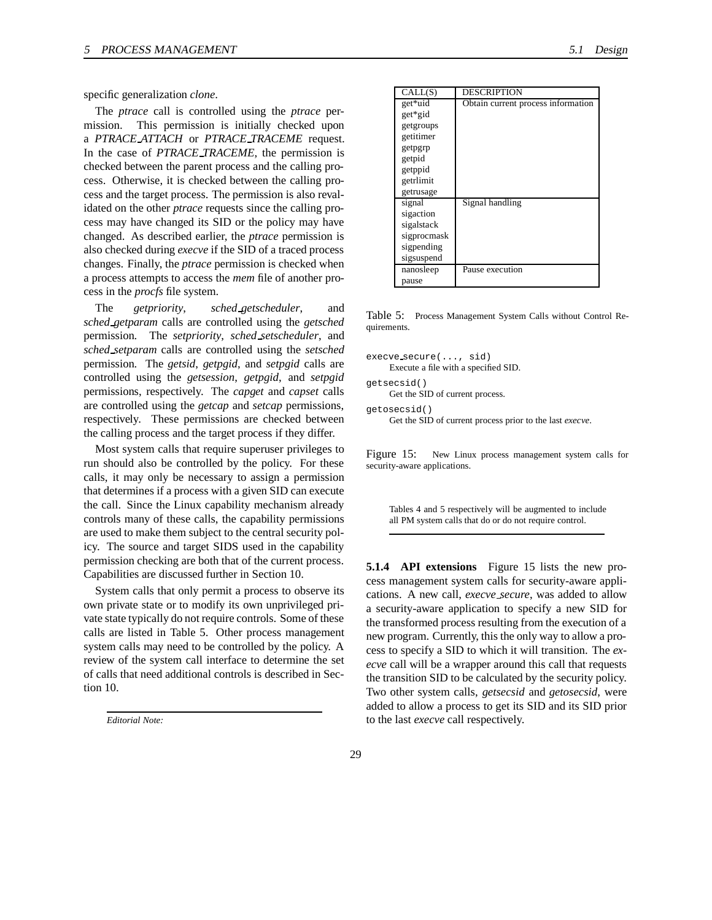specific generalization *clone*.

The *ptrace* call is controlled using the *ptrace* permission. This permission is initially checked upon a *PTRACE ATTACH* or *PTRACE TRACEME* request. In the case of *PTRACE TRACEME*, the permission is checked between the parent process and the calling process. Otherwise, it is checked between the calling process and the target process. The permission is also revalidated on the other *ptrace* requests since the calling process may have changed its SID or the policy may have changed. As described earlier, the *ptrace* permission is also checked during *execve* if the SID of a traced process changes. Finally, the *ptrace* permission is checked when a process attempts to access the *mem* file of another process in the *procfs* file system.

The *getpriority*, *sched getscheduler*, and *sched getparam* calls are controlled using the *getsched* permission. The *setpriority*, *sched setscheduler*, and *sched setparam* calls are controlled using the *setsched* permission. The *getsid*, *getpgid*, and *setpgid* calls are controlled using the *getsession*, *getpgid*, and *setpgid* permissions, respectively. The *capget* and *capset* calls are controlled using the *getcap* and *setcap* permissions, respectively. These permissions are checked between the calling process and the target process if they differ.

Most system calls that require superuser privileges to run should also be controlled by the policy. For these calls, it may only be necessary to assign a permission that determines if a process with a given SID can execute the call. Since the Linux capability mechanism already controls many of these calls, the capability permissions are used to make them subject to the central security policy. The source and target SIDS used in the capability permission checking are both that of the current process. Capabilities are discussed further in Section 10.

System calls that only permit a process to observe its own private state or to modify its own unprivileged private state typically do not require controls. Some of these calls are listed in Table 5. Other process management system calls may need to be controlled by the policy. A review of the system call interface to determine the set of calls that need additional controls is described in Section 10.

| CALL(S)     | <b>DESCRIPTION</b>                 |
|-------------|------------------------------------|
| get*uid     | Obtain current process information |
| get*gid     |                                    |
| getgroups   |                                    |
| getitimer   |                                    |
| getpgrp     |                                    |
| getpid      |                                    |
| getppid     |                                    |
| getrlimit   |                                    |
| getrusage   |                                    |
| signal      | Signal handling                    |
| sigaction   |                                    |
| sigalstack  |                                    |
| sigprocmask |                                    |
| sigpending  |                                    |
| sigsuspend  |                                    |
| nanosleep   | Pause execution                    |
| pause       |                                    |

Table 5: Process Management System Calls without Control Requirements.

```
execve secure(..., sid)
     Execute a file with a specified SID.
getsecsid()
     Get the SID of current process.
getosecsid()
     Get the SID of current process prior to the last execve.
```
Figure 15: New Linux process management system calls for security-aware applications.

Tables 4 and 5 respectively will be augmented to include all PM system calls that do or do not require control.

**5.1.4 API extensions** Figure 15 lists the new process management system calls for security-aware applications. A new call, *execve secure*, was added to allow a security-aware application to specify a new SID for the transformed process resulting from the execution of a new program. Currently, this the only way to allow a process to specify a SID to which it will transition. The *execve* call will be a wrapper around this call that requests the transition SID to be calculated by the security policy. Two other system calls, *getsecsid* and *getosecsid*, were added to allow a process to get its SID and its SID prior to the last *execve* call respectively.

*Editorial Note:*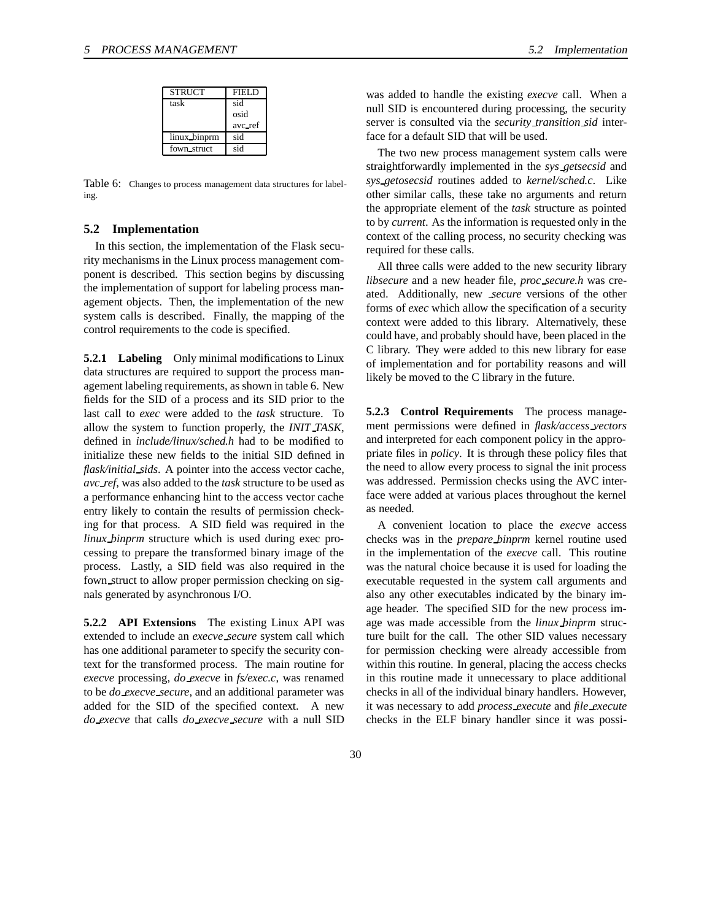| <b>STRUCT</b> | <b>FIELD</b> |
|---------------|--------------|
| task          | sid          |
|               | osid         |
|               | avc_ref      |
| linux_binprm  | sid          |
| fown struct   | sid          |

Table 6: Changes to process management data structures for labeling.

#### **5.2 Implementation**

In this section, the implementation of the Flask security mechanisms in the Linux process management component is described. This section begins by discussing the implementation of support for labeling process management objects. Then, the implementation of the new system calls is described. Finally, the mapping of the control requirements to the code is specified.

**5.2.1 Labeling** Only minimal modifications to Linux data structures are required to support the process management labeling requirements, as shown in table 6. New fields for the SID of a process and its SID prior to the last call to *exec* were added to the *task* structure. To allow the system to function properly, the *INIT TASK*, defined in *include/linux/sched.h* had to be modified to initialize these new fields to the initial SID defined in *flask/initial sids*. A pointer into the access vector cache, *avc ref*, was also added to the *task* structure to be used as a performance enhancing hint to the access vector cache entry likely to contain the results of permission checking for that process. A SID field was required in the *linux binprm* structure which is used during exec processing to prepare the transformed binary image of the process. Lastly, a SID field was also required in the fown struct to allow proper permission checking on signals generated by asynchronous I/O.

**5.2.2 API Extensions** The existing Linux API was extended to include an *execve secure* system call which has one additional parameter to specify the security context for the transformed process. The main routine for *execve* processing, *do execve* in *fs/exec.c*, was renamed to be *do execve secure*, and an additional parameter was added for the SID of the specified context. A new *do execve* that calls *do execve secure* with a null SID was added to handle the existing *execve* call. When a null SID is encountered during processing, the security server is consulted via the *security transition sid* interface for a default SID that will be used.

The two new process management system calls were straightforwardly implemented in the *sys getsecsid* and *sys getosecsid* routines added to *kernel/sched.c*. Like other similar calls, these take no arguments and return the appropriate element of the *task* structure as pointed to by *current*. As the information is requested only in the context of the calling process, no security checking was required for these calls.

All three calls were added to the new security library *libsecure* and a new header file, *proc secure.h* was created. Additionally, new *secure* versions of the other forms of *exec* which allow the specification of a security context were added to this library. Alternatively, these could have, and probably should have, been placed in the C library. They were added to this new library for ease of implementation and for portability reasons and will likely be moved to the C library in the future.

**5.2.3 Control Requirements** The process management permissions were defined in *flask/access vectors* and interpreted for each component policy in the appropriate files in *policy*. It is through these policy files that the need to allow every process to signal the init process was addressed. Permission checks using the AVC interface were added at various places throughout the kernel as needed.

A convenient location to place the *execve* access checks was in the *prepare binprm* kernel routine used in the implementation of the *execve* call. This routine was the natural choice because it is used for loading the executable requested in the system call arguments and also any other executables indicated by the binary image header. The specified SID for the new process image was made accessible from the *linux binprm* structure built for the call. The other SID values necessary for permission checking were already accessible from within this routine. In general, placing the access checks in this routine made it unnecessary to place additional checks in all of the individual binary handlers. However, it was necessary to add *process execute* and *file execute* checks in the ELF binary handler since it was possi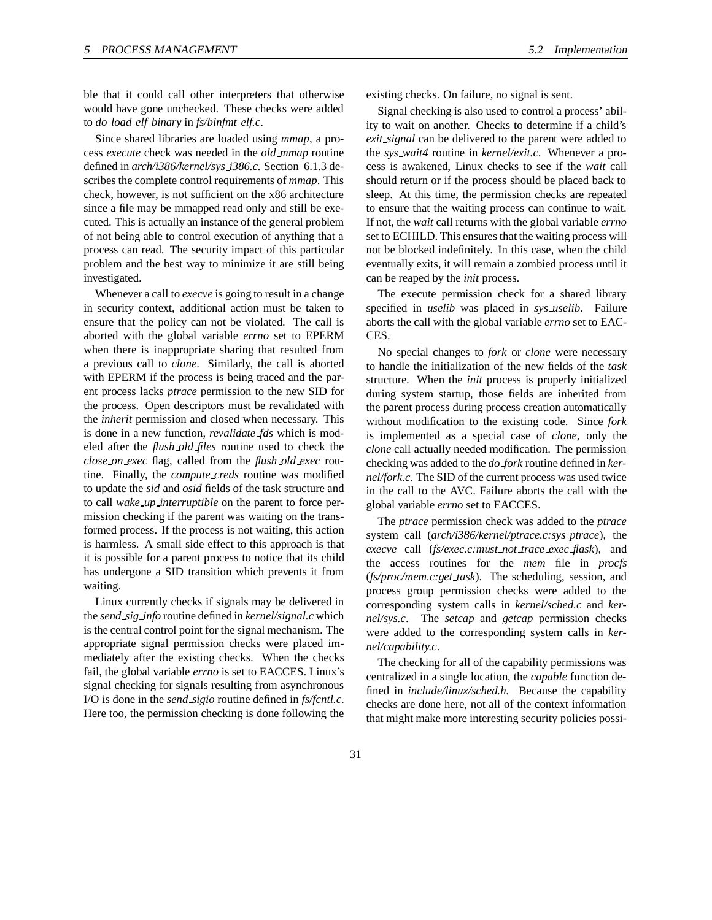ble that it could call other interpreters that otherwise would have gone unchecked. These checks were added to *do load elf binary* in *fs/binfmt elf.c*.

Since shared libraries are loaded using *mmap*, a process *execute* check was needed in the *old mmap* routine defined in *arch/i386/kernel/sys i386.c*. Section 6.1.3 describes the complete control requirements of *mmap*. This check, however, is not sufficient on the x86 architecture since a file may be mmapped read only and still be executed. This is actually an instance of the general problem of not being able to control execution of anything that a process can read. The security impact of this particular problem and the best way to minimize it are still being investigated.

Whenever a call to *execve* is going to result in a change in security context, additional action must be taken to ensure that the policy can not be violated. The call is aborted with the global variable *errno* set to EPERM when there is inappropriate sharing that resulted from a previous call to *clone*. Similarly, the call is aborted with EPERM if the process is being traced and the parent process lacks *ptrace* permission to the new SID for the process. Open descriptors must be revalidated with the *inherit* permission and closed when necessary. This is done in a new function, *revalidate fds* which is modeled after the *flush old files* routine used to check the *close on exec* flag, called from the *flush old exec* routine. Finally, the *compute creds* routine was modified to update the *sid* and *osid* fields of the task structure and to call *wake up interruptible* on the parent to force permission checking if the parent was waiting on the transformed process. If the process is not waiting, this action is harmless. A small side effect to this approach is that it is possible for a parent process to notice that its child has undergone a SID transition which prevents it from waiting.

Linux currently checks if signals may be delivered in the *send sig info* routine defined in *kernel/signal.c* which is the central control point for the signal mechanism. The appropriate signal permission checks were placed immediately after the existing checks. When the checks fail, the global variable *errno* is set to EACCES. Linux's signal checking for signals resulting from asynchronous I/O is done in the *send sigio* routine defined in *fs/fcntl.c*. Here too, the permission checking is done following the

existing checks. On failure, no signal is sent.

Signal checking is also used to control a process' ability to wait on another. Checks to determine if a child's *exit signal* can be delivered to the parent were added to the *sys wait4* routine in *kernel/exit.c*. Whenever a process is awakened, Linux checks to see if the *wait* call should return or if the process should be placed back to sleep. At this time, the permission checks are repeated to ensure that the waiting process can continue to wait. If not, the *wait* call returns with the global variable *errno* set to ECHILD. This ensures that the waiting process will not be blocked indefinitely. In this case, when the child eventually exits, it will remain a zombied process until it can be reaped by the *init* process.

The execute permission check for a shared library specified in *uselib* was placed in *sys uselib*. Failure aborts the call with the global variable *errno* set to EAC-CES.

No special changes to *fork* or *clone* were necessary to handle the initialization of the new fields of the *task* structure. When the *init* process is properly initialized during system startup, those fields are inherited from the parent process during process creation automatically without modification to the existing code. Since *fork* is implemented as a special case of *clone*, only the *clone* call actually needed modification. The permission checking was added to the *do fork* routine defined in *kernel/fork.c*. The SID of the current process was used twice in the call to the AVC. Failure aborts the call with the global variable *errno* set to EACCES.

The *ptrace* permission check was added to the *ptrace* system call (*arch/i386/kernel/ptrace.c:sys ptrace*), the *execve* call (*fs/exec.c:must not trace exec flask*), and the access routines for the *mem* file in *procfs* (*fs/proc/mem.c:get task*). The scheduling, session, and process group permission checks were added to the corresponding system calls in *kernel/sched.c* and *kernel/sys.c*. The *setcap* and *getcap* permission checks were added to the corresponding system calls in *kernel/capability.c*.

The checking for all of the capability permissions was centralized in a single location, the *capable* function defined in *include/linux/sched.h*. Because the capability checks are done here, not all of the context information that might make more interesting security policies possi-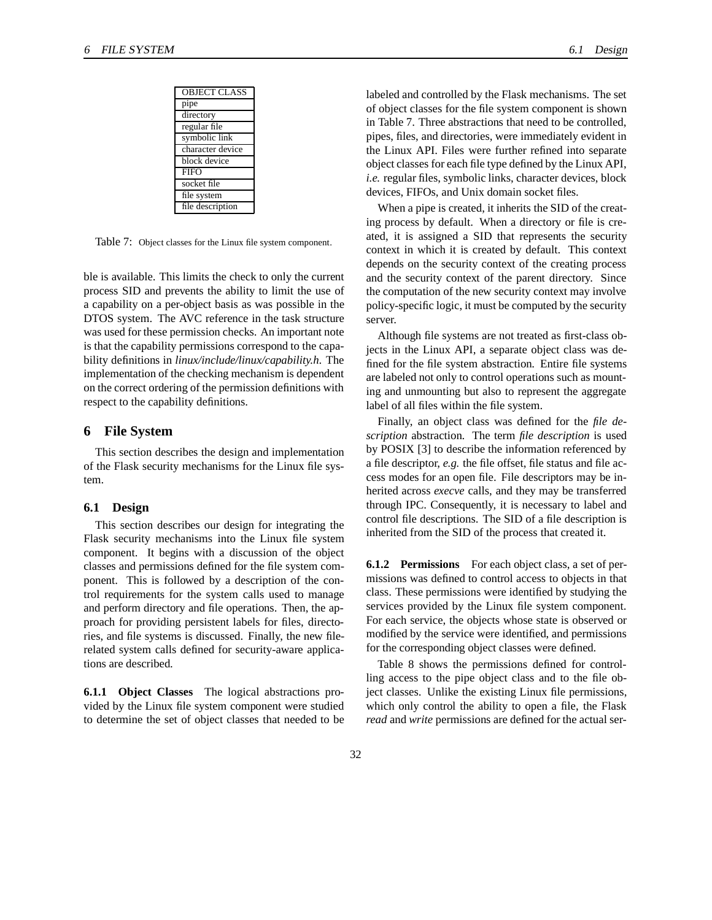| <b>OBJECT CLASS</b> |
|---------------------|
| pipe                |
| directory           |
| regular file        |
| symbolic link       |
| character device    |
| block device        |
| <b>FIFO</b>         |
| socket file         |
| file system         |
| file description    |

Table 7: Object classes for the Linux file system component.

ble is available. This limits the check to only the current process SID and prevents the ability to limit the use of a capability on a per-object basis as was possible in the DTOS system. The AVC reference in the task structure was used for these permission checks. An important note is that the capability permissions correspond to the capability definitions in *linux/include/linux/capability.h*. The implementation of the checking mechanism is dependent on the correct ordering of the permission definitions with respect to the capability definitions.

#### **6 File System**

This section describes the design and implementation of the Flask security mechanisms for the Linux file system.

#### **6.1 Design**

This section describes our design for integrating the Flask security mechanisms into the Linux file system component. It begins with a discussion of the object classes and permissions defined for the file system component. This is followed by a description of the control requirements for the system calls used to manage and perform directory and file operations. Then, the approach for providing persistent labels for files, directories, and file systems is discussed. Finally, the new filerelated system calls defined for security-aware applications are described.

**6.1.1 Object Classes** The logical abstractions provided by the Linux file system component were studied to determine the set of object classes that needed to be labeled and controlled by the Flask mechanisms. The set of object classes for the file system component is shown in Table 7. Three abstractions that need to be controlled, pipes, files, and directories, were immediately evident in the Linux API. Files were further refined into separate object classes for each file type defined by the Linux API, *i.e.* regular files, symbolic links, character devices, block devices, FIFOs, and Unix domain socket files.

When a pipe is created, it inherits the SID of the creating process by default. When a directory or file is created, it is assigned a SID that represents the security context in which it is created by default. This context depends on the security context of the creating process and the security context of the parent directory. Since the computation of the new security context may involve policy-specific logic, it must be computed by the security server.

Although file systems are not treated as first-class objects in the Linux API, a separate object class was defined for the file system abstraction. Entire file systems are labeled not only to control operations such as mounting and unmounting but also to represent the aggregate label of all files within the file system.

Finally, an object class was defined for the *file description* abstraction. The term *file description* is used by POSIX [3] to describe the information referenced by a file descriptor, *e.g.* the file offset, file status and file access modes for an open file. File descriptors may be inherited across *execve* calls, and they may be transferred through IPC. Consequently, it is necessary to label and control file descriptions. The SID of a file description is inherited from the SID of the process that created it.

**6.1.2 Permissions** For each object class, a set of permissions was defined to control access to objects in that class. These permissions were identified by studying the services provided by the Linux file system component. For each service, the objects whose state is observed or modified by the service were identified, and permissions for the corresponding object classes were defined.

Table 8 shows the permissions defined for controlling access to the pipe object class and to the file object classes. Unlike the existing Linux file permissions, which only control the ability to open a file, the Flask *read* and *write* permissions are defined for the actual ser-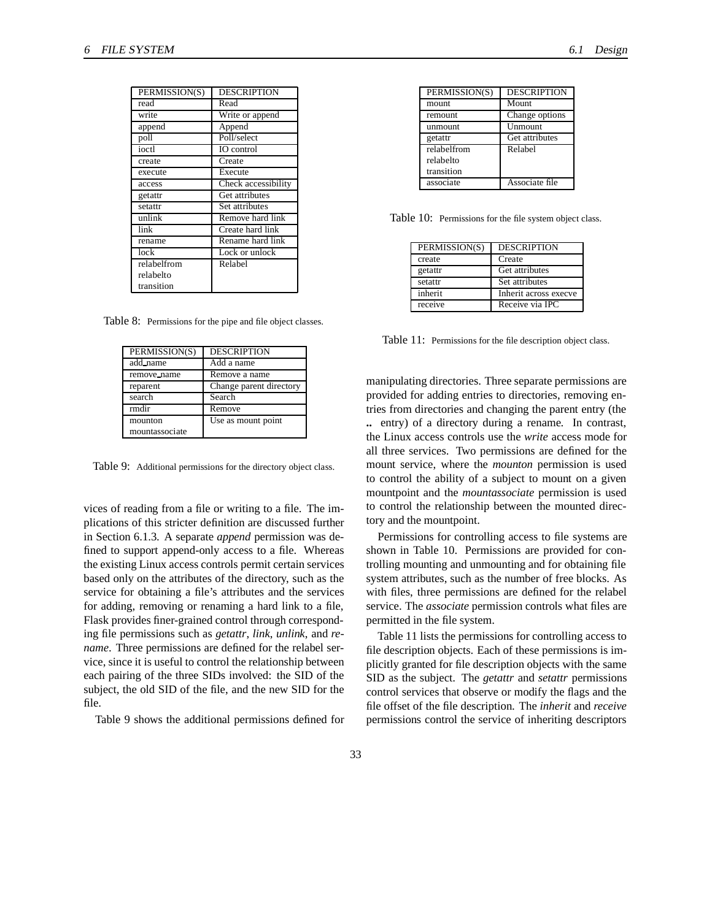| PERMISSION(S) | <b>DESCRIPTION</b>  |
|---------------|---------------------|
| read          | Read                |
| write         | Write or append     |
| append        | Append              |
| poll          | Poll/select         |
| ioctl         | IO control          |
| create        | Create              |
| execute       | Execute             |
| access        | Check accessibility |
| getattr       | Get attributes      |
| setattr       | Set attributes      |
| unlink        | Remove hard link    |
| link          | Create hard link    |
| rename        | Rename hard link    |
| lock          | Lock or unlock      |
| relabelfrom   | Relabel             |
| relabelto     |                     |
| transition    |                     |

Table 8: Permissions for the pipe and file object classes.

| PERMISSION(S)  | <b>DESCRIPTION</b>      |
|----------------|-------------------------|
| add_name       | Add a name              |
| remove_name    | Remove a name           |
| reparent       | Change parent directory |
| search         | Search                  |
| rmdir          | Remove                  |
| mounton        | Use as mount point      |
| mountassociate |                         |

Table 9: Additional permissions for the directory object class.

vices of reading from a file or writing to a file. The implications of this stricter definition are discussed further in Section 6.1.3. A separate *append* permission was defined to support append-only access to a file. Whereas the existing Linux access controls permit certain services based only on the attributes of the directory, such as the service for obtaining a file's attributes and the services for adding, removing or renaming a hard link to a file, Flask provides finer-grained control through corresponding file permissions such as *getattr*, *link*, *unlink*, and *rename*. Three permissions are defined for the relabel service, since it is useful to control the relationship between each pairing of the three SIDs involved: the SID of the subject, the old SID of the file, and the new SID for the file.

Table 9 shows the additional permissions defined for

| PERMISSION(S) | <b>DESCRIPTION</b> |
|---------------|--------------------|
| mount         | Mount              |
| remount       | Change options     |
| unmount       | Unmount            |
| getattr       | Get attributes     |
| relabelfrom   | Relabel            |
| relabelto     |                    |
| transition    |                    |
| associate     | Associate file     |

Table 10: Permissions for the file system object class.

| PERMISSION(S) | <b>DESCRIPTION</b>    |
|---------------|-----------------------|
| create        | Create                |
| getattr       | Get attributes        |
| setattr       | Set attributes        |
| inherit       | Inherit across execve |
| receive       | Receive via IPC       |

Table 11: Permissions for the file description object class.

manipulating directories. Three separate permissions are provided for adding entries to directories, removing entries from directories and changing the parent entry (the **..** entry) of a directory during a rename. In contrast, the Linux access controls use the *write* access mode for all three services. Two permissions are defined for the mount service, where the *mounton* permission is used to control the ability of a subject to mount on a given mountpoint and the *mountassociate* permission is used to control the relationship between the mounted directory and the mountpoint.

Permissions for controlling access to file systems are shown in Table 10. Permissions are provided for controlling mounting and unmounting and for obtaining file system attributes, such as the number of free blocks. As with files, three permissions are defined for the relabel service. The *associate* permission controls what files are permitted in the file system.

Table 11 lists the permissions for controlling access to file description objects. Each of these permissions is implicitly granted for file description objects with the same SID as the subject. The *getattr* and *setattr* permissions control services that observe or modify the flags and the file offset of the file description. The *inherit* and *receive* permissions control the service of inheriting descriptors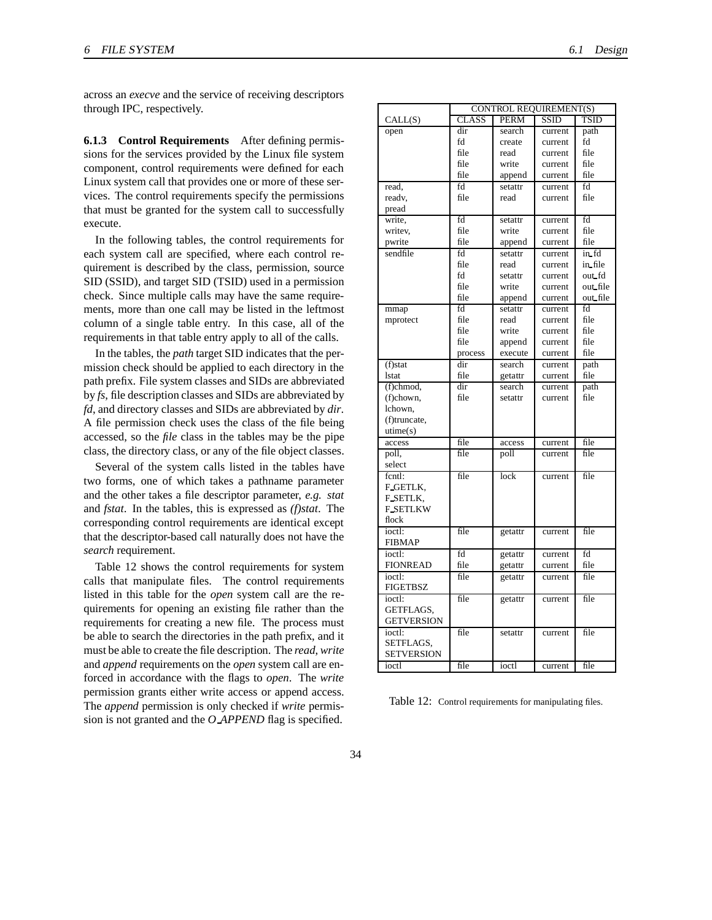across an *execve* and the service of receiving descriptors through IPC, respectively.

**6.1.3 Control Requirements** After defining permissions for the services provided by the Linux file system component, control requirements were defined for each Linux system call that provides one or more of these services. The control requirements specify the permissions that must be granted for the system call to successfully execute.

In the following tables, the control requirements for each system call are specified, where each control requirement is described by the class, permission, source SID (SSID), and target SID (TSID) used in a permission check. Since multiple calls may have the same requirements, more than one call may be listed in the leftmost column of a single table entry. In this case, all of the requirements in that table entry apply to all of the calls.

In the tables, the *path* target SID indicates that the permission check should be applied to each directory in the path prefix. File system classes and SIDs are abbreviated by *fs*, file description classes and SIDs are abbreviated by *fd*, and directory classes and SIDs are abbreviated by *dir*. A file permission check uses the class of the file being accessed, so the *file* class in the tables may be the pipe class, the directory class, or any of the file object classes.

Several of the system calls listed in the tables have two forms, one of which takes a pathname parameter and the other takes a file descriptor parameter, *e.g. stat* and *fstat*. In the tables, this is expressed as *(f)stat*. The corresponding control requirements are identical except that the descriptor-based call naturally does not have the *search* requirement.

Table 12 shows the control requirements for system calls that manipulate files. The control requirements listed in this table for the *open* system call are the requirements for opening an existing file rather than the requirements for creating a new file. The process must be able to search the directories in the path prefix, and it must be able to create the file description. The *read*, *write* and *append* requirements on the *open* system call are enforced in accordance with the flags to *open*. The *write* permission grants either write access or append access. The *append* permission is only checked if *write* permission is not granted and the *O APPEND* flag is specified.

| <b>CONTROL REQUIREMENT(S)</b> |              |         |         |          |
|-------------------------------|--------------|---------|---------|----------|
| CALL(S)                       | <b>CLASS</b> | PERM    | SSID    | TSID     |
| open                          | dir          | search  | current | path     |
|                               | fd           | create  | current | fd       |
|                               | file         | read    | current | file     |
|                               | file         | write   | current | file     |
|                               | file         | append  | current | file     |
| read,                         | fd           | setattr | current | fd       |
| readv,                        | file         | read    | current | file     |
| pread                         |              |         |         |          |
| write,                        | fd           | setattr | current | fd       |
| writev,                       | file         | write   | current | file     |
| pwrite                        | file         | append  | current | file     |
| sendfile                      | fd           | setattr | current | in fd    |
|                               | file         | read    | current | in file  |
|                               | fd           | setattr | current | out fd   |
|                               | file         | write   | current | out file |
|                               | file         | append  | current | out file |
| mmap                          | fd           | setattr | current | fd       |
| mprotect                      | file         | read    | current | file     |
|                               | file         | write   | current | file     |
|                               | file         | append  | current | file     |
|                               | process      | execute | current | file     |
| $(f)$ stat                    | dir          | search  | current | path     |
| lstat                         | file         | getattr | current | file     |
| (f)chmod,                     | dir          | search  | current | path     |
| (f)chown,                     | file         | setattr | current | file     |
| lchown.                       |              |         |         |          |
| (f)truncate,                  |              |         |         |          |
| utime(s)                      |              |         |         |          |
| access                        | file         | access  | current | file     |
| poll,                         | file         | poll    | current | file     |
| select                        |              |         |         |          |
| fcntl:                        | file         | lock    | current | file     |
| F_GETLK,                      |              |         |         |          |
| F_SETLK,                      |              |         |         |          |
| <b>F_SETLKW</b><br>flock      |              |         |         |          |
|                               |              |         |         |          |
| ioctl:<br><b>FIBMAP</b>       | file         | getattr | current | file     |
| ioctl:                        | fd           | getattr | current | fd       |
| <b>FIONREAD</b>               | file         | getattr | current | file     |
| ioctl:                        | file         | getattr | current | file     |
| FIGETBSZ                      |              |         |         |          |
| ioctl:                        | file         | getattr | current | file     |
| GETFLAGS,                     |              |         |         |          |
| <b>GETVERSION</b>             |              |         |         |          |
| ioctl:                        | file         | setattr | current | file     |
| SETFLAGS,                     |              |         |         |          |
| <b>SETVERSION</b>             |              |         |         |          |
| ioctl                         | file         | ioctl   | current | file     |

Table 12: Control requirements for manipulating files.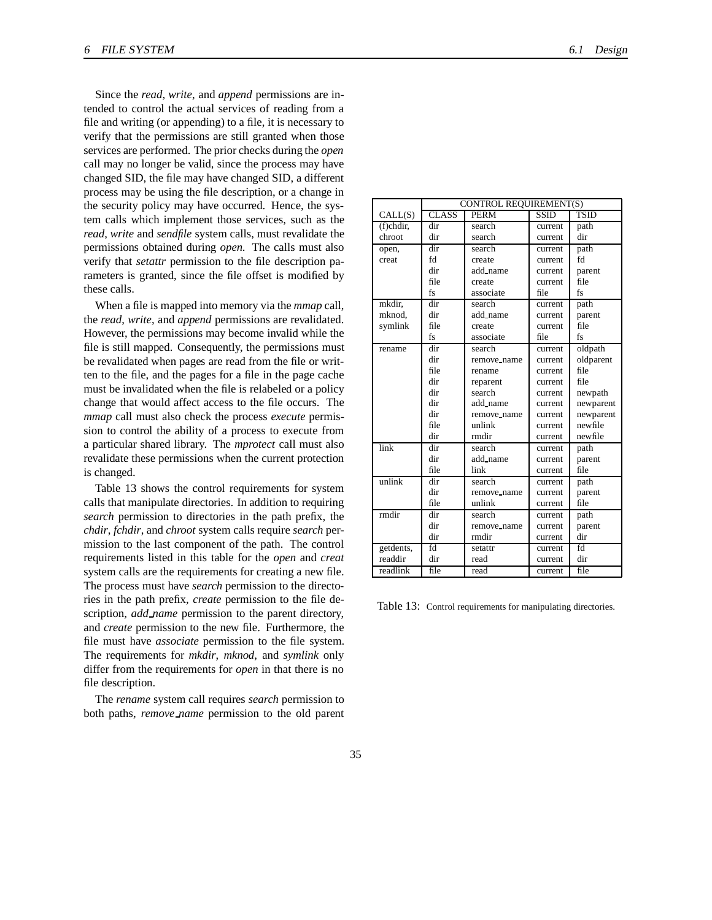Since the *read*, *write*, and *append* permissions are intended to control the actual services of reading from a file and writing (or appending) to a file, it is necessary to verify that the permissions are still granted when those services are performed. The prior checks during the *open* call may no longer be valid, since the process may have changed SID, the file may have changed SID, a different process may be using the file description, or a change in the security policy may have occurred. Hence, the system calls which implement those services, such as the *read*, *write* and *sendfile* system calls, must revalidate the permissions obtained during *open*. The calls must also verify that *setattr* permission to the file description parameters is granted, since the file offset is modified by these calls.

When a file is mapped into memory via the *mmap* call, the *read*, *write*, and *append* permissions are revalidated. However, the permissions may become invalid while the file is still mapped. Consequently, the permissions must be revalidated when pages are read from the file or written to the file, and the pages for a file in the page cache must be invalidated when the file is relabeled or a policy change that would affect access to the file occurs. The *mmap* call must also check the process *execute* permission to control the ability of a process to execute from a particular shared library. The *mprotect* call must also revalidate these permissions when the current protection is changed.

Table 13 shows the control requirements for system calls that manipulate directories. In addition to requiring *search* permission to directories in the path prefix, the *chdir*, *fchdir*, and *chroot* system calls require *search* permission to the last component of the path. The control requirements listed in this table for the *open* and *creat* system calls are the requirements for creating a new file. The process must have *search* permission to the directories in the path prefix, *create* permission to the file description, *add name* permission to the parent directory, and *create* permission to the new file. Furthermore, the file must have *associate* permission to the file system. The requirements for *mkdir*, *mknod*, and *symlink* only differ from the requirements for *open* in that there is no file description.

The *rename* system call requires *search* permission to both paths, *remove name* permission to the old parent

|           | <b>CONTROL REQUIREMENT(S)</b> |             |         |           |
|-----------|-------------------------------|-------------|---------|-----------|
| CALL(S)   | <b>CLASS</b>                  | <b>PERM</b> | SSID    | TSID      |
| (f)chdir, | dir                           | search      | current | path      |
| chroot    | dir                           | search      | current | dir       |
| open,     | dir                           | search      | current | path      |
| creat     | fd                            | create      | current | fd        |
|           | dir                           | add_name    | current | parent    |
|           | file                          | create      | current | file      |
|           | fs                            | associate   | file    | fs        |
| mkdir,    | dir                           | search      | current | path      |
| mknod,    | dir                           | add_name    | current | parent    |
| symlink   | file                          | create      | current | file      |
|           | fs                            | associate   | file    | fs        |
| rename    | dir                           | search      | current | oldpath   |
|           | dir                           | remove name | current | oldparent |
|           | file                          | rename      | current | file      |
|           | dir                           | reparent    | current | file      |
|           | dir                           | search      | current | newpath   |
|           | dir                           | add_name    | current | newparent |
|           | dir                           | remove_name | current | newparent |
|           | file                          | unlink      | current | newfile   |
|           | dir                           | rmdir       | current | newfile   |
| link      | dir                           | search      | current | path      |
|           | dir                           | add_name    | current | parent    |
|           | file                          | link        | current | file      |
| unlink    | dir                           | search      | current | path      |
|           | dir                           | remove_name | current | parent    |
|           | file                          | unlink      | current | file      |
| rmdir     | dir                           | search      | current | path      |
|           | dir                           | remove name | current | parent    |
|           | dir                           | rmdir       | current | dir       |
| getdents, | fd                            | setattr     | current | fd        |
| readdir   | dir                           | read        | current | dir       |
| readlink  | file                          | read        | current | file      |

Table 13: Control requirements for manipulating directories.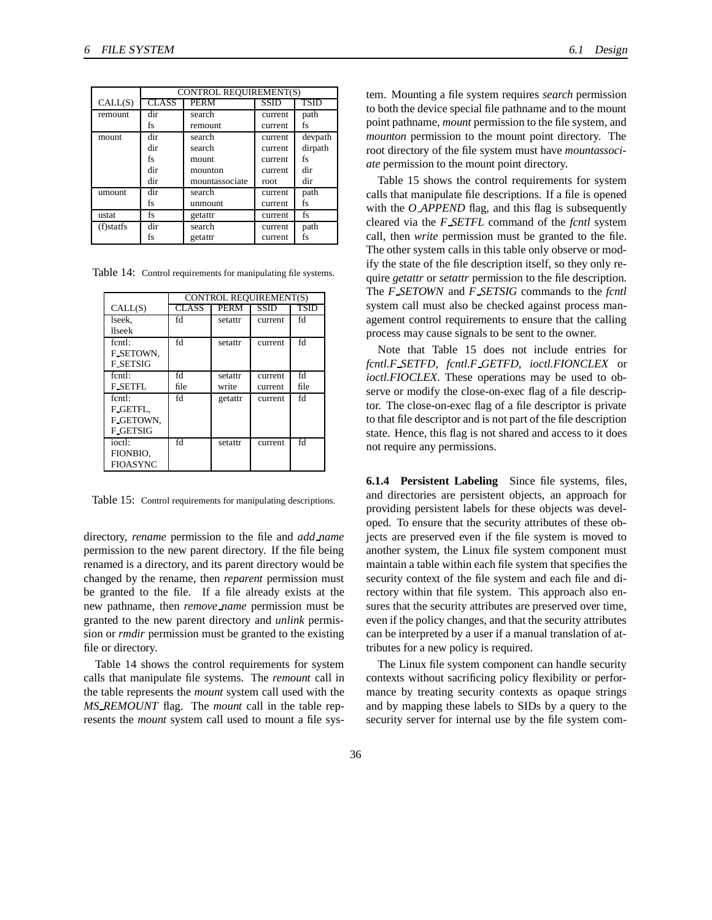|           | CONTROL REQUIREMENT(S) |                |             |             |
|-----------|------------------------|----------------|-------------|-------------|
| CALL(S)   | <b>CLASS</b>           | <b>PERM</b>    | <b>SSID</b> | <b>TSID</b> |
| remount   | dir                    | search         | current     | path        |
|           | fs                     | remount        | current     | fs          |
| mount     | dir                    | search         | current     | devpath     |
|           | dir                    | search         | current     | dirpath     |
|           | fs                     | mount          | current     | fs          |
|           | dir                    | mounton        | current     | dir         |
|           | dir                    | mountassociate | root        | dir         |
| umount    | dir                    | search         | current     | path        |
|           | fs                     | unmount        | current     | fs          |
| ustat     | fs                     | getattr        | current     | fs          |
| (f)statfs | dir                    | search         | current     | path        |
|           | fs                     | getattr        | current     | fs          |

Table 14: Control requirements for manipulating file systems.

|                 | <b>CONTROL REOUIREMENT(S)</b> |         |         |      |
|-----------------|-------------------------------|---------|---------|------|
| CALL(S)         | <b>CLASS</b>                  | PERM    | SSID    | TSID |
| lseek,          | fd                            | setattr | current | fd   |
| llseek          |                               |         |         |      |
| fcntl:          | fd                            | setattr | current | fd   |
| F_SETOWN.       |                               |         |         |      |
| <b>F_SETSIG</b> |                               |         |         |      |
| fcntl:          | fd                            | setattr | current | fd   |
| <b>F_SETFL</b>  | file                          | write   | current | file |
| $f$ cnt $\cdot$ | fd                            | getattr | current | fd   |
| F_GETFL,        |                               |         |         |      |
| F_GETOWN.       |                               |         |         |      |
| <b>F_GETSIG</b> |                               |         |         |      |
| ioctl:          | fd                            | setattr | current | fd   |
| FIONBIO,        |                               |         |         |      |
| <b>FIOASYNC</b> |                               |         |         |      |

Table 15: Control requirements for manipulating descriptions.

directory, *rename* permission to the file and *add name* permission to the new parent directory. If the file being renamed is a directory, and its parent directory would be changed by the rename, then *reparent* permission must be granted to the file. If a file already exists at the new pathname, then *remove name* permission must be granted to the new parent directory and *unlink* permission or *rmdir* permission must be granted to the existing file or directory.

Table 14 shows the control requirements for system calls that manipulate file systems. The *remount* call in the table represents the *mount* system call used with the *MS REMOUNT* flag. The *mount* call in the table represents the *mount* system call used to mount a file system. Mounting a file system requires *search* permission to both the device special file pathname and to the mount point pathname, *mount* permission to the file system, and *mounton* permission to the mount point directory. The root directory of the file system must have *mountassociate* permission to the mount point directory.

Table 15 shows the control requirements for system calls that manipulate file descriptions. If a file is opened with the *O APPEND* flag, and this flag is subsequently cleared via the *F SETFL* command of the *fcntl* system call, then *write* permission must be granted to the file. The other system calls in this table only observe or modify the state of the file description itself, so they only require *getattr* or *setattr* permission to the file description. The *F SETOWN* and *F SETSIG* commands to the *fcntl* system call must also be checked against process management control requirements to ensure that the calling process may cause signals to be sent to the owner.

Note that Table 15 does not include entries for *fcntl.F SETFD*, *fcntl.F GETFD*, *ioctl.FIONCLEX* or *ioctl.FIOCLEX*. These operations may be used to observe or modify the close-on-exec flag of a file descriptor. The close-on-exec flag of a file descriptor is private to that file descriptor and is not part of the file description state. Hence, this flag is not shared and access to it does not require any permissions.

**6.1.4 Persistent Labeling** Since file systems, files, and directories are persistent objects, an approach for providing persistent labels for these objects was developed. To ensure that the security attributes of these objects are preserved even if the file system is moved to another system, the Linux file system component must maintain a table within each file system that specifies the security context of the file system and each file and directory within that file system. This approach also ensures that the security attributes are preserved over time, even if the policy changes, and that the security attributes can be interpreted by a user if a manual translation of attributes for a new policy is required.

The Linux file system component can handle security contexts without sacrificing policy flexibility or performance by treating security contexts as opaque strings and by mapping these labels to SIDs by a query to the security server for internal use by the file system com-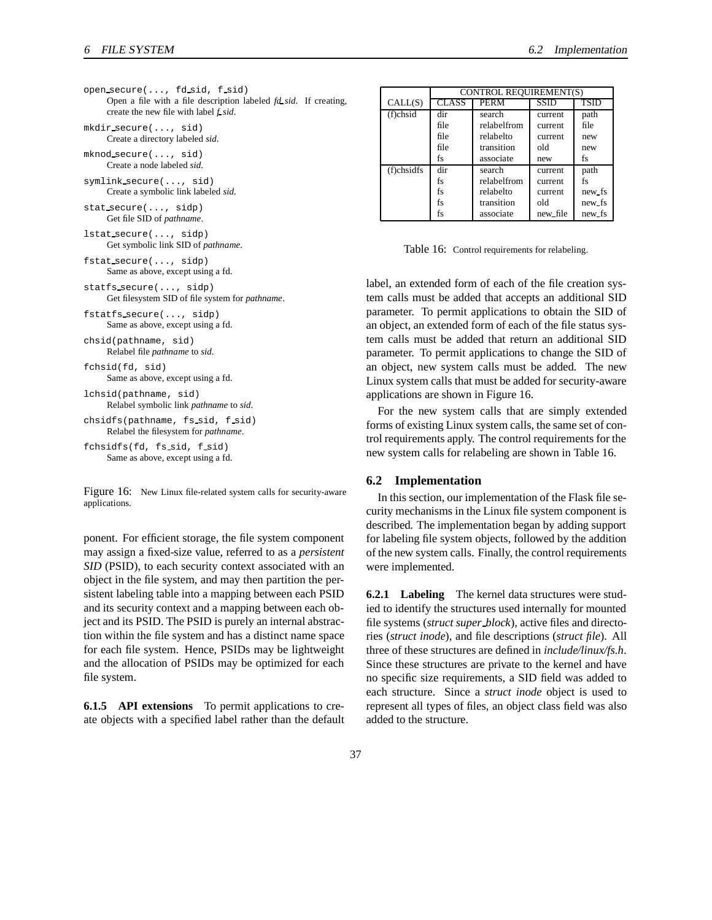| open secure $(,$ fd sid, f sid)                                          |  |
|--------------------------------------------------------------------------|--|
| Open a file with a file description labeled <i>fd sid</i> . If creating, |  |
| create the new file with label f sid.                                    |  |
| $mkdir$ , secure $( \ldots, \text{sid})$                                 |  |
| Create a directory labeled <i>sid</i> .                                  |  |

mknod secure(..., sid) Create a node labeled *sid*.

symlink secure(..., sid) Create a symbolic link labeled *sid*.

stat secure(..., sidp) Get file SID of *pathname*.

lstat secure(..., sidp) Get symbolic link SID of *pathname*.

fstat secure(..., sidp) Same as above, except using a fd.

statfs secure(..., sidp) Get filesystem SID of file system for *pathname*.

fstatfs secure(..., sidp) Same as above, except using a fd.

chsid(pathname, sid) Relabel file *pathname* to *sid*.

```
fchsid(fd, sid)
     Same as above, except using a fd.
```
lchsid(pathname, sid) Relabel symbolic link *pathname* to *sid*.

chsidfs(pathname, fs sid, f sid) Relabel the filesystem for *pathname*.

fchsidfs(fd, fs sid, f sid) Same as above, except using a fd.

Figure 16: New Linux file-related system calls for security-aware applications.

ponent. For efficient storage, the file system component may assign a fixed-size value, referred to as a *persistent SID* (PSID), to each security context associated with an object in the file system, and may then partition the persistent labeling table into a mapping between each PSID and its security context and a mapping between each object and its PSID. The PSID is purely an internal abstraction within the file system and has a distinct name space for each file system. Hence, PSIDs may be lightweight and the allocation of PSIDs may be optimized for each file system.

**6.1.5 API extensions** To permit applications to create objects with a specified label rather than the default

|               | CONTROL REQUIREMENT(S)  |             |             |             |
|---------------|-------------------------|-------------|-------------|-------------|
| CALL(S)       | $\overline{\rm{CLASS}}$ | <b>PERM</b> | <b>SSID</b> | <b>TSID</b> |
| (f)chsid      | dir                     | search      | current     | path        |
|               | file                    | relabelfrom | current     | file        |
|               | file                    | relabelto   | current     | new         |
|               | file                    | transition  | old         | new         |
|               | fs                      | associate   | new         | fs          |
| $(f)$ chsidfs | dir                     | search      | current     | path        |
|               | fs                      | relabelfrom | current     | fs          |
|               | fs                      | relabelto   | current     | new fs      |
|               | fs                      | transition  | old         | new fs      |
|               | fs                      | associate   | new file    | new_fs      |

Table 16: Control requirements for relabeling.

label, an extended form of each of the file creation system calls must be added that accepts an additional SID parameter. To permit applications to obtain the SID of an object, an extended form of each of the file status system calls must be added that return an additional SID parameter. To permit applications to change the SID of an object, new system calls must be added. The new Linux system calls that must be added for security-aware applications are shown in Figure 16.

For the new system calls that are simply extended forms of existing Linux system calls, the same set of control requirements apply. The control requirements for the new system calls for relabeling are shown in Table 16.

#### **6.2 Implementation**

In this section, our implementation of the Flask file security mechanisms in the Linux file system component is described. The implementation began by adding support for labeling file system objects, followed by the addition of the new system calls. Finally, the control requirements were implemented.

**6.2.1 Labeling** The kernel data structures were studied to identify the structures used internally for mounted file systems (*struct super block*), active files and directories (*struct inode*), and file descriptions (*struct file*). All three of these structures are defined in *include/linux/fs.h*. Since these structures are private to the kernel and have no specific size requirements, a SID field was added to each structure. Since a *struct inode* object is used to represent all types of files, an object class field was also added to the structure.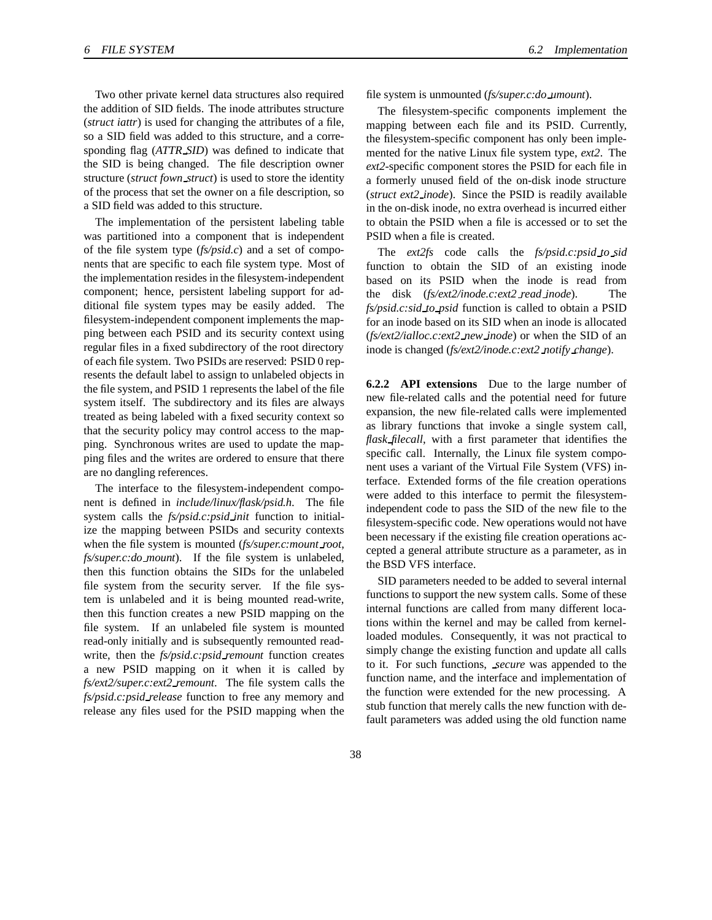Two other private kernel data structures also required the addition of SID fields. The inode attributes structure (*struct iattr*) is used for changing the attributes of a file, so a SID field was added to this structure, and a corresponding flag (*ATTR SID*) was defined to indicate that the SID is being changed. The file description owner structure (*struct fown struct*) is used to store the identity of the process that set the owner on a file description, so a SID field was added to this structure.

The implementation of the persistent labeling table was partitioned into a component that is independent of the file system type (*fs/psid.c*) and a set of components that are specific to each file system type. Most of the implementation resides in the filesystem-independent component; hence, persistent labeling support for additional file system types may be easily added. The filesystem-independent component implements the mapping between each PSID and its security context using regular files in a fixed subdirectory of the root directory of each file system. Two PSIDs are reserved: PSID 0 represents the default label to assign to unlabeled objects in the file system, and PSID 1 represents the label of the file system itself. The subdirectory and its files are always treated as being labeled with a fixed security context so that the security policy may control access to the mapping. Synchronous writes are used to update the mapping files and the writes are ordered to ensure that there are no dangling references.

The interface to the filesystem-independent component is defined in *include/linux/flask/psid.h*. The file system calls the *fs/psid.c:psid init* function to initialize the mapping between PSIDs and security contexts when the file system is mounted (*fs/super.c:mount root*, *fs/super.c:do mount*). If the file system is unlabeled, then this function obtains the SIDs for the unlabeled file system from the security server. If the file system is unlabeled and it is being mounted read-write, then this function creates a new PSID mapping on the file system. If an unlabeled file system is mounted read-only initially and is subsequently remounted readwrite, then the *fs/psid.c:psid remount* function creates a new PSID mapping on it when it is called by *fs/ext2/super.c:ext2 remount*. The file system calls the *fs/psid.c:psid release* function to free any memory and release any files used for the PSID mapping when the

file system is unmounted (*fs/super.c:do umount*).

The filesystem-specific components implement the mapping between each file and its PSID. Currently, the filesystem-specific component has only been implemented for the native Linux file system type, *ext2*. The *ext2*-specific component stores the PSID for each file in a formerly unused field of the on-disk inode structure (*struct ext2 inode*). Since the PSID is readily available in the on-disk inode, no extra overhead is incurred either to obtain the PSID when a file is accessed or to set the PSID when a file is created.

The *ext2fs* code calls the *fs/psid.c:psid to sid* function to obtain the SID of an existing inode based on its PSID when the inode is read from the disk (*fs/ext2/inode.c:ext2 read inode*). The *fs/psid.c:sid to psid* function is called to obtain a PSID for an inode based on its SID when an inode is allocated (*fs/ext2/ialloc.c:ext2 new inode*) or when the SID of an inode is changed (*fs/ext2/inode.c:ext2 notify change*).

**6.2.2 API extensions** Due to the large number of new file-related calls and the potential need for future expansion, the new file-related calls were implemented as library functions that invoke a single system call, *flask filecall*, with a first parameter that identifies the specific call. Internally, the Linux file system component uses a variant of the Virtual File System (VFS) interface. Extended forms of the file creation operations were added to this interface to permit the filesystemindependent code to pass the SID of the new file to the filesystem-specific code. New operations would not have been necessary if the existing file creation operations accepted a general attribute structure as a parameter, as in the BSD VFS interface.

SID parameters needed to be added to several internal functions to support the new system calls. Some of these internal functions are called from many different locations within the kernel and may be called from kernelloaded modules. Consequently, it was not practical to simply change the existing function and update all calls to it. For such functions, *secure* was appended to the function name, and the interface and implementation of the function were extended for the new processing. A stub function that merely calls the new function with default parameters was added using the old function name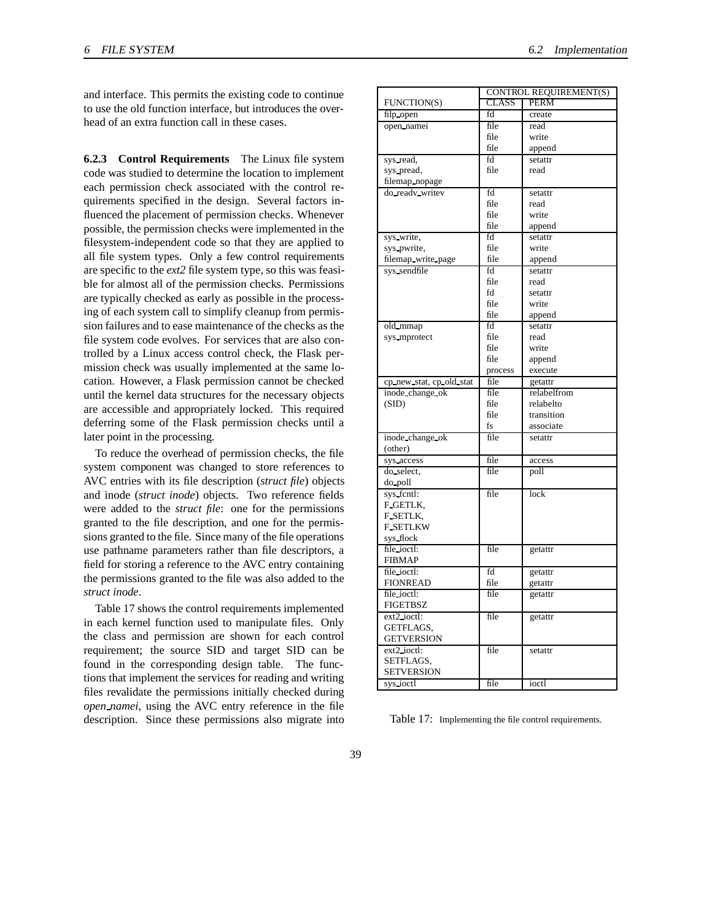and interface. This permits the existing code to continue to use the old function interface, but introduces the overhead of an extra function call in these cases.

**6.2.3 Control Requirements** The Linux file system code was studied to determine the location to implement each permission check associated with the control requirements specified in the design. Several factors influenced the placement of permission checks. Whenever possible, the permission checks were implemented in the filesystem-independent code so that they are applied to all file system types. Only a few control requirements are specific to the *ext2* file system type, so this was feasible for almost all of the permission checks. Permissions are typically checked as early as possible in the processing of each system call to simplify cleanup from permission failures and to ease maintenance of the checks as the file system code evolves. For services that are also controlled by a Linux access control check, the Flask permission check was usually implemented at the same location. However, a Flask permission cannot be checked until the kernel data structures for the necessary objects are accessible and appropriately locked. This required deferring some of the Flask permission checks until a later point in the processing.

To reduce the overhead of permission checks, the file system component was changed to store references to AVC entries with its file description (*struct file*) objects and inode (*struct inode*) objects. Two reference fields were added to the *struct file*: one for the permissions granted to the file description, and one for the permissions granted to the file. Since many of the file operations use pathname parameters rather than file descriptors, a field for storing a reference to the AVC entry containing the permissions granted to the file was also added to the *struct inode*.

Table 17 shows the control requirements implemented in each kernel function used to manipulate files. Only the class and permission are shown for each control requirement; the source SID and target SID can be found in the corresponding design table. The functions that implement the services for reading and writing files revalidate the permissions initially checked during *open namei*, using the AVC entry reference in the file description. Since these permissions also migrate into

|              | <b>CONTROL REQUIREMENT(S)</b> |
|--------------|-------------------------------|
| <b>CLASS</b> | <b>PERM</b>                   |
| fd           | create                        |
| file         | read                          |
| file         | write                         |
| file         | append                        |
| fd           | setattr                       |
| file         | read                          |
|              |                               |
| fd           | setattr                       |
| file         | read                          |

file write file append

file read fd setattr file write file append

file write file append process execute

file transition fs associate

sys\_write, fd setattr sys\_pwrite, hile write filemap write page file append sys\_sendfile fd setattr

old\_mmap fd setattr sys\_mprotect iii file read

cp\_new\_stat, cp\_old\_stat file getattr inode change ok file relabelfrom (SID) file relabelto

inode change ok file setattr

sys access file access do select, he file poll

sys\_fcntl: | file | lock

file ioctl: file getattr

file ioctl: fd getattr FIONREAD file getattr file ioctl: file getattr

ext2 ioctl: | file getattr

ext2 ioctl: | file setattr

sys\_ioctl file ioctl

FUNCTION(S) filp open open namei

sys read, sys\_pread, filemap nopage do readv writev

(other)

do poll

F GETLK, F SETLK, F SETLKW sys flock

FIBMAP

**FIGETBSZ** 

GETFLAGS, GETVERSION

SETFLAGS, **SETVERSION** 

Table 17: Implementing the file control requirements.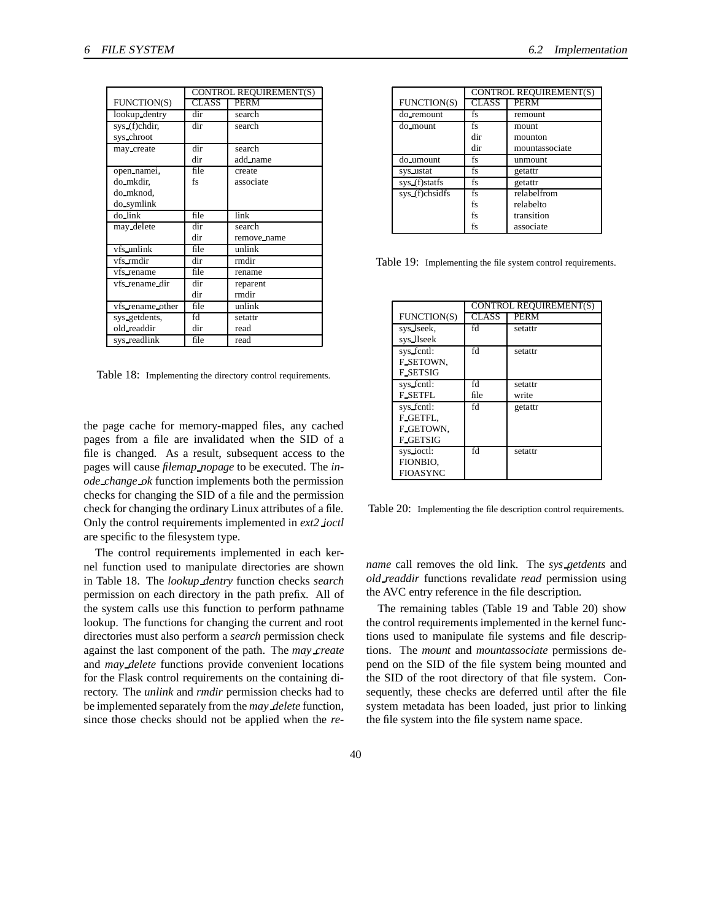|                  | CONTROL REQUIREMENT(S) |             |
|------------------|------------------------|-------------|
| FUNCTION(S)      | <b>CLASS</b>           | <b>PERM</b> |
| lookup_dentry    | dir                    | search      |
| sys_(f)chdir,    | dir                    | search      |
| sys_chroot       |                        |             |
| may_create       | dir                    | search      |
|                  | dir                    | add_name    |
| open namei,      | file                   | create      |
| do mkdir,        | fs                     | associate   |
| do mknod,        |                        |             |
| do_symlink       |                        |             |
| do_link          | file                   | link        |
| may_delete       | dir                    | search      |
|                  | dir                    | remove name |
| vfs_unlink       | file                   | unlink      |
| vfs_rmdir        | dir                    | rmdir       |
| vfs_rename       | file                   | rename      |
| vfs_rename_dir   | dir                    | reparent    |
|                  | dir                    | rmdir       |
| vfs_rename_other | file                   | unlink      |
| sys_getdents,    | fd                     | setattr     |
| old_readdir      | dir                    | read        |
| sys_readlink     | file                   | read        |

Table 18: Implementing the directory control requirements.

the page cache for memory-mapped files, any cached pages from a file are invalidated when the SID of a file is changed. As a result, subsequent access to the pages will cause *filemap nopage* to be executed. The *inode change ok* function implements both the permission checks for changing the SID of a file and the permission check for changing the ordinary Linux attributes of a file. Only the control requirements implemented in *ext2 ioctl* are specific to the filesystem type.

The control requirements implemented in each kernel function used to manipulate directories are shown in Table 18. The *lookup dentry* function checks *search* permission on each directory in the path prefix. All of the system calls use this function to perform pathname lookup. The functions for changing the current and root directories must also perform a *search* permission check against the last component of the path. The *may create* and *may delete* functions provide convenient locations for the Flask control requirements on the containing directory. The *unlink* and *rmdir* permission checks had to be implemented separately from the *may delete* function, since those checks should not be applied when the *re-*

|                | CONTROL REQUIREMENT(S)      |                |  |  |
|----------------|-----------------------------|----------------|--|--|
| FUNCTION(S)    | <b>CLASS</b><br><b>PERM</b> |                |  |  |
| do_remount     | fs                          | remount        |  |  |
| do_mount       | fs                          | mount          |  |  |
|                | dir                         | mounton        |  |  |
|                | dir                         | mountassociate |  |  |
| do umount      | fs                          | unmount        |  |  |
| sys ustat      | fs                          | getattr        |  |  |
| sys_(f)statfs  | fs                          | getattr        |  |  |
| sys_(f)chsidfs | fs                          | relabelfrom    |  |  |
|                | fs                          | relabelto      |  |  |
|                | fs                          | transition     |  |  |
|                | fs                          | associate      |  |  |

Table 19: Implementing the file system control requirements.

|                 | <b>CONTROL REQUIREMENT(S)</b> |             |  |
|-----------------|-------------------------------|-------------|--|
| FUNCTION(S)     | <b>CLASS</b>                  | <b>PERM</b> |  |
| sys lseek,      | fd                            | setattr     |  |
| sys_llseek      |                               |             |  |
| sys_fcntl:      | fd                            | setattr     |  |
| F_SETOWN,       |                               |             |  |
| <b>F_SETSIG</b> |                               |             |  |
| sys_fcntl:      | fd                            | setattr     |  |
| <b>F_SETFL</b>  | file                          | write       |  |
| sys fentl:      | fd                            | getattr     |  |
| F_GETFL.        |                               |             |  |
| F_GETOWN,       |                               |             |  |
| <b>F_GETSIG</b> |                               |             |  |
| sys_ioctl:      | fd                            | setattr     |  |
| FIONBIO.        |                               |             |  |
| <b>FIOASYNC</b> |                               |             |  |

Table 20: Implementing the file description control requirements.

*name* call removes the old link. The *sys getdents* and *old readdir* functions revalidate *read* permission using the AVC entry reference in the file description.

The remaining tables (Table 19 and Table 20) show the control requirements implemented in the kernel functions used to manipulate file systems and file descriptions. The *mount* and *mountassociate* permissions depend on the SID of the file system being mounted and the SID of the root directory of that file system. Consequently, these checks are deferred until after the file system metadata has been loaded, just prior to linking the file system into the file system name space.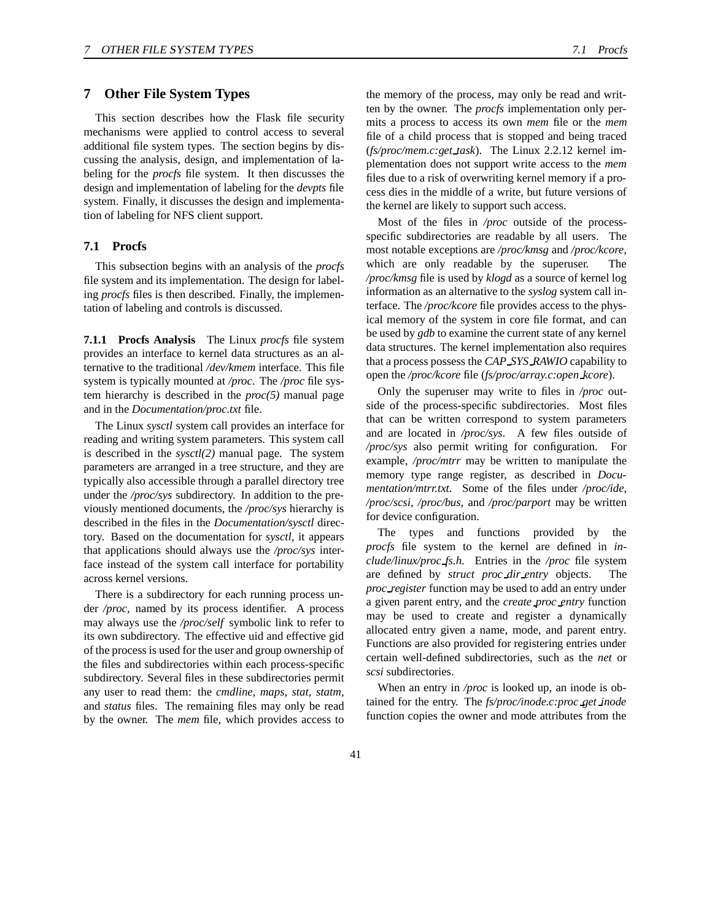# **7 Other File System Types**

This section describes how the Flask file security mechanisms were applied to control access to several additional file system types. The section begins by discussing the analysis, design, and implementation of labeling for the *procfs* file system. It then discusses the design and implementation of labeling for the *devpts* file system. Finally, it discusses the design and implementation of labeling for NFS client support.

#### **7.1 Procfs**

This subsection begins with an analysis of the *procfs* file system and its implementation. The design for labeling *procfs* files is then described. Finally, the implementation of labeling and controls is discussed.

**7.1.1 Procfs Analysis** The Linux *procfs* file system provides an interface to kernel data structures as an alternative to the traditional */dev/kmem* interface. This file system is typically mounted at */proc*. The */proc* file system hierarchy is described in the *proc(5)* manual page and in the *Documentation/proc.txt* file.

The Linux *sysctl* system call provides an interface for reading and writing system parameters. This system call is described in the *sysctl(2)* manual page. The system parameters are arranged in a tree structure, and they are typically also accessible through a parallel directory tree under the */proc/sys* subdirectory. In addition to the previously mentioned documents, the */proc/sys* hierarchy is described in the files in the *Documentation/sysctl* directory. Based on the documentation for *sysctl*, it appears that applications should always use the */proc/sys* interface instead of the system call interface for portability across kernel versions.

There is a subdirectory for each running process under */proc*, named by its process identifier. A process may always use the */proc/self* symbolic link to refer to its own subdirectory. The effective uid and effective gid of the processis used for the user and group ownership of the files and subdirectories within each process-specific subdirectory. Several files in these subdirectories permit any user to read them: the *cmdline*, *maps*, *stat*, *statm*, and *status* files. The remaining files may only be read by the owner. The *mem* file, which provides access to

the memory of the process, may only be read and written by the owner. The *procfs* implementation only permits a process to access its own *mem* file or the *mem* file of a child process that is stopped and being traced (*fs/proc/mem.c:get task*). The Linux 2.2.12 kernel implementation does not support write access to the *mem* files due to a risk of overwriting kernel memory if a process dies in the middle of a write, but future versions of the kernel are likely to support such access.

Most of the files in */proc* outside of the processspecific subdirectories are readable by all users. The most notable exceptions are */proc/kmsg* and */proc/kcore*, which are only readable by the superuser. The */proc/kmsg* file is used by *klogd* as a source of kernel log information as an alternative to the *syslog* system call interface. The */proc/kcore* file provides access to the physical memory of the system in core file format, and can be used by *gdb* to examine the current state of any kernel data structures. The kernel implementation also requires that a process possess the *CAP SYS RAWIO* capability to open the */proc/kcore* file (*fs/proc/array.c:open kcore*).

Only the superuser may write to files in */proc* outside of the process-specific subdirectories. Most files that can be written correspond to system parameters and are located in */proc/sys*. A few files outside of */proc/sys* also permit writing for configuration. For example, */proc/mtrr* may be written to manipulate the memory type range register, as described in *Documentation/mtrr.txt*. Some of the files under */proc/ide*, */proc/scsi*, */proc/bus*, and */proc/parport* may be written for device configuration.

The types and functions provided by the *procfs* file system to the kernel are defined in *include/linux/proc fs.h*. Entries in the */proc* file system are defined by *struct proc dir entry* objects. The *proc register* function may be used to add an entry under a given parent entry, and the *create proc entry* function may be used to create and register a dynamically allocated entry given a name, mode, and parent entry. Functions are also provided for registering entries under certain well-defined subdirectories, such as the *net* or *scsi* subdirectories.

When an entry in */proc* is looked up, an inode is obtained for the entry. The *fs/proc/inode.c:proc get inode* function copies the owner and mode attributes from the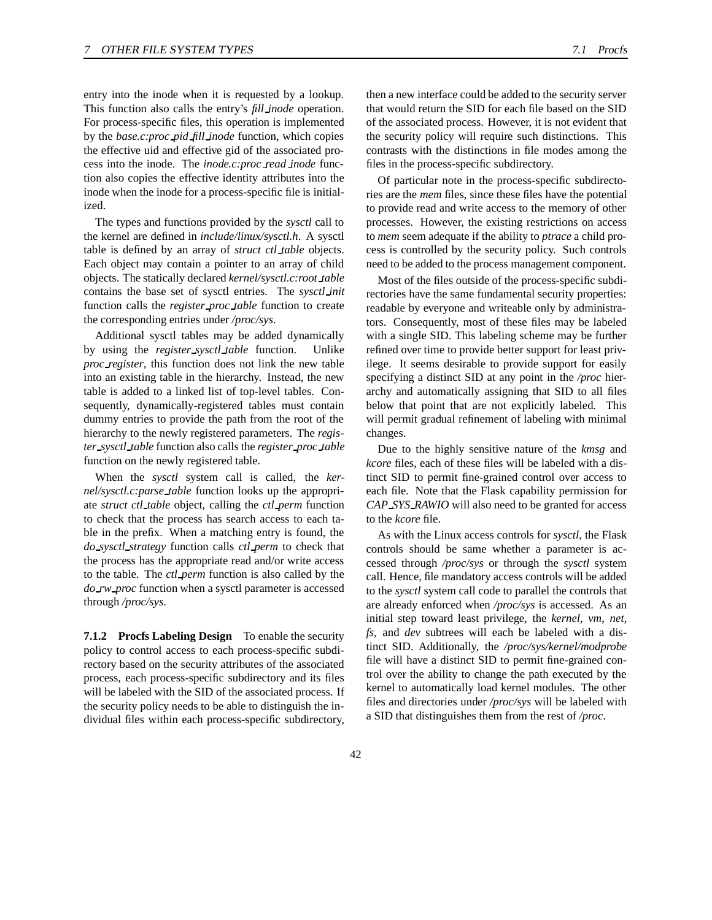entry into the inode when it is requested by a lookup. This function also calls the entry's *fill inode* operation. For process-specific files, this operation is implemented by the *base.c:proc pid fill inode* function, which copies the effective uid and effective gid of the associated process into the inode. The *inode.c:proc read inode* function also copies the effective identity attributes into the inode when the inode for a process-specific file is initialized.

The types and functions provided by the *sysctl* call to the kernel are defined in *include/linux/sysctl.h*. A sysctl table is defined by an array of *struct ctl table* objects. Each object may contain a pointer to an array of child objects. The statically declared *kernel/sysctl.c:root table* contains the base set of sysctl entries. The *sysctl init* function calls the *register proc table* function to create the corresponding entries under */proc/sys*.

Additional sysctl tables may be added dynamically by using the *register sysctl table* function. Unlike *proc register*, this function does not link the new table into an existing table in the hierarchy. Instead, the new table is added to a linked list of top-level tables. Consequently, dynamically-registered tables must contain dummy entries to provide the path from the root of the hierarchy to the newly registered parameters. The *register sysctl table* function also calls the *register proc table* function on the newly registered table.

When the *sysctl* system call is called, the *kernel/sysctl.c:parse table* function looks up the appropriate *struct ctl table* object, calling the *ctl perm* function to check that the process has search access to each table in the prefix. When a matching entry is found, the *do sysctl strategy* function calls *ctl perm* to check that the process has the appropriate read and/or write access to the table. The *ctl perm* function is also called by the *do rw proc* function when a sysctl parameter is accessed through */proc/sys*.

**7.1.2 Procfs Labeling Design** To enable the security policy to control access to each process-specific subdirectory based on the security attributes of the associated process, each process-specific subdirectory and its files will be labeled with the SID of the associated process. If the security policy needs to be able to distinguish the individual files within each process-specific subdirectory,

then a new interface could be added to the security server that would return the SID for each file based on the SID of the associated process. However, it is not evident that the security policy will require such distinctions. This contrasts with the distinctions in file modes among the files in the process-specific subdirectory.

Of particular note in the process-specific subdirectories are the *mem* files, since these files have the potential to provide read and write access to the memory of other processes. However, the existing restrictions on access to *mem* seem adequate if the ability to *ptrace* a child process is controlled by the security policy. Such controls need to be added to the process management component.

Most of the files outside of the process-specific subdirectories have the same fundamental security properties: readable by everyone and writeable only by administrators. Consequently, most of these files may be labeled with a single SID. This labeling scheme may be further refined over time to provide better support for least privilege. It seems desirable to provide support for easily specifying a distinct SID at any point in the */proc* hierarchy and automatically assigning that SID to all files below that point that are not explicitly labeled. This will permit gradual refinement of labeling with minimal changes.

Due to the highly sensitive nature of the *kmsg* and *kcore* files, each of these files will be labeled with a distinct SID to permit fine-grained control over access to each file. Note that the Flask capability permission for *CAP SYS RAWIO* will also need to be granted for access to the *kcore* file.

As with the Linux access controls for *sysctl*, the Flask controls should be same whether a parameter is accessed through */proc/sys* or through the *sysctl* system call. Hence, file mandatory access controls will be added to the *sysctl* system call code to parallel the controls that are already enforced when */proc/sys* is accessed. As an initial step toward least privilege, the *kernel*, *vm*, *net*, *fs*, and *dev* subtrees will each be labeled with a distinct SID. Additionally, the */proc/sys/kernel/modprobe* file will have a distinct SID to permit fine-grained control over the ability to change the path executed by the kernel to automatically load kernel modules. The other files and directories under */proc/sys* will be labeled with a SID that distinguishes them from the rest of */proc*.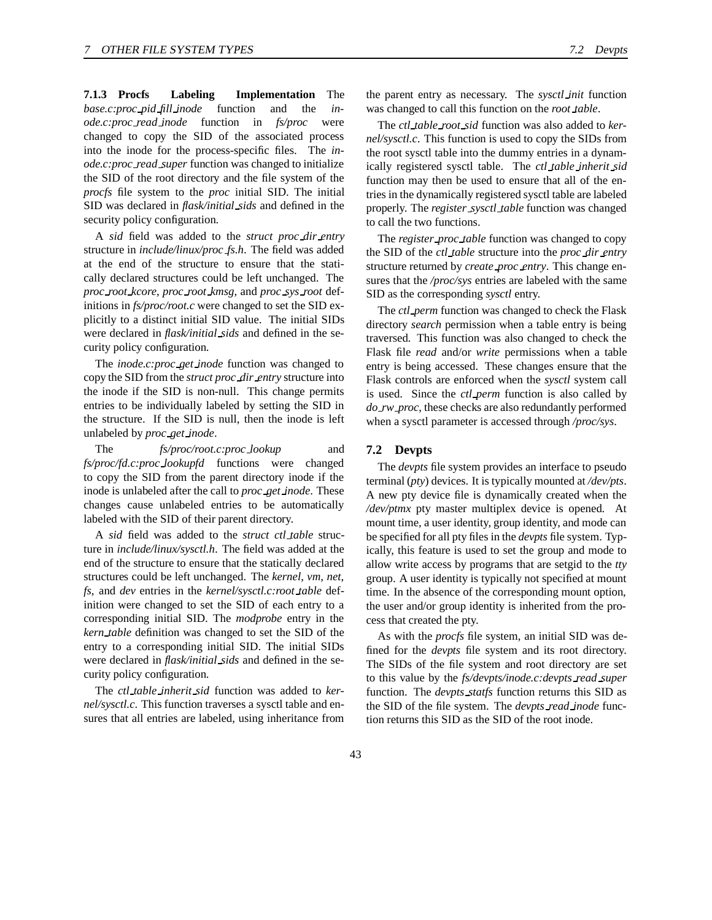**7.1.3 Procfs Labeling Implementation** The *base.c:proc pid fill inode* function and the *inode.c:proc read inode* function in *fs/proc* were changed to copy the SID of the associated process into the inode for the process-specific files. The *inode.c:proc read super* function was changed to initialize the SID of the root directory and the file system of the *procfs* file system to the *proc* initial SID. The initial SID was declared in *flask/initial sids* and defined in the security policy configuration.

A *sid* field was added to the *struct proc dir entry* structure in *include/linux/proc fs.h*. The field was added at the end of the structure to ensure that the statically declared structures could be left unchanged. The *proc root kcore*, *proc root kmsg*, and *proc sys root* definitions in *fs/proc/root.c* were changed to set the SID explicitly to a distinct initial SID value. The initial SIDs were declared in *flask/initial sids* and defined in the security policy configuration.

The *inode.c:proc get inode* function was changed to copy the SID from the *struct proc dir entry* structure into the inode if the SID is non-null. This change permits entries to be individually labeled by setting the SID in the structure. If the SID is null, then the inode is left unlabeled by *proc get inode*.

The *fs/proc/root.c:proc lookup* and *fs/proc/fd.c:proc lookupfd* functions were changed to copy the SID from the parent directory inode if the inode is unlabeled after the call to *proc get inode*. These changes cause unlabeled entries to be automatically labeled with the SID of their parent directory.

A *sid* field was added to the *struct ctl table* structure in *include/linux/sysctl.h*. The field was added at the end of the structure to ensure that the statically declared structures could be left unchanged. The *kernel*, *vm*, *net*, *fs*, and *dev* entries in the *kernel/sysctl.c:root table* definition were changed to set the SID of each entry to a corresponding initial SID. The *modprobe* entry in the *kern table* definition was changed to set the SID of the entry to a corresponding initial SID. The initial SIDs were declared in *flask/initial sids* and defined in the security policy configuration.

The *ctl table inherit sid* function was added to *kernel/sysctl.c*. This function traverses a sysctl table and ensures that all entries are labeled, using inheritance from the parent entry as necessary. The *sysctl init* function was changed to call this function on the *root table*.

The *ctl table root sid* function was also added to *kernel/sysctl.c*. This function is used to copy the SIDs from the root sysctl table into the dummy entries in a dynamically registered sysctl table. The *ctl table inherit sid* function may then be used to ensure that all of the entries in the dynamically registered sysctl table are labeled properly. The *register sysctl table* function was changed to call the two functions.

The *register proc table* function was changed to copy the SID of the *ctl table* structure into the *proc dir entry* structure returned by *create proc entry*. This change ensures that the */proc/sys* entries are labeled with the same SID as the corresponding *sysctl* entry.

The *ctl perm* function was changed to check the Flask directory *search* permission when a table entry is being traversed. This function was also changed to check the Flask file *read* and/or *write* permissions when a table entry is being accessed. These changes ensure that the Flask controls are enforced when the *sysctl* system call is used. Since the *ctl perm* function is also called by *do rw proc*, these checks are also redundantly performed when a sysctl parameter is accessed through */proc/sys*.

#### **7.2 Devpts**

The *devpts* file system provides an interface to pseudo terminal (*pty*) devices. It is typically mounted at */dev/pts*. A new pty device file is dynamically created when the */dev/ptmx* pty master multiplex device is opened. At mount time, a user identity, group identity, and mode can be specified for all pty files in the *devpts* file system. Typically, this feature is used to set the group and mode to allow write access by programs that are setgid to the *tty* group. A user identity is typically not specified at mount time. In the absence of the corresponding mount option, the user and/or group identity is inherited from the process that created the pty.

As with the *procfs* file system, an initial SID was defined for the *devpts* file system and its root directory. The SIDs of the file system and root directory are set to this value by the *fs/devpts/inode.c:devpts read super* function. The *devpts statfs* function returns this SID as the SID of the file system. The *devpts read inode* function returns this SID as the SID of the root inode.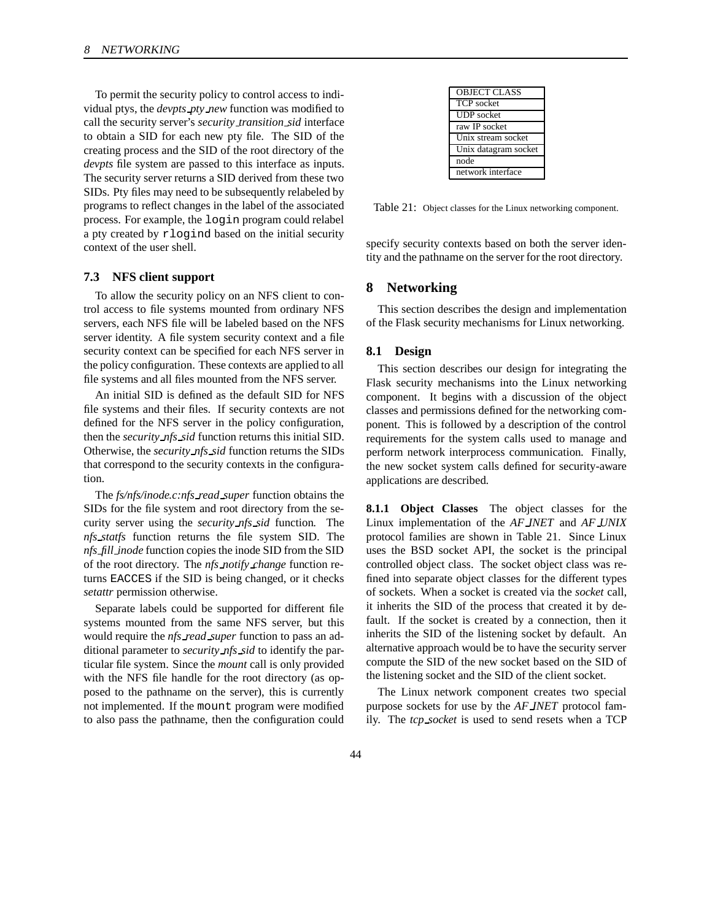To permit the security policy to control access to individual ptys, the *devpts pty new* function was modified to call the security server's *security transition sid* interface to obtain a SID for each new pty file. The SID of the creating process and the SID of the root directory of the *devpts* file system are passed to this interface as inputs. The security server returns a SID derived from these two SIDs. Pty files may need to be subsequently relabeled by programs to reflect changes in the label of the associated process. For example, the login program could relabel a pty created by rlogind based on the initial security context of the user shell.

#### **7.3 NFS client support**

To allow the security policy on an NFS client to control access to file systems mounted from ordinary NFS servers, each NFS file will be labeled based on the NFS server identity. A file system security context and a file security context can be specified for each NFS server in the policy configuration. These contexts are applied to all file systems and all files mounted from the NFS server.

An initial SID is defined as the default SID for NFS file systems and their files. If security contexts are not defined for the NFS server in the policy configuration, then the *security nfs sid* function returns this initial SID. Otherwise, the *security nfs sid* function returns the SIDs that correspond to the security contexts in the configuration.

The *fs/nfs/inode.c:nfs read super* function obtains the SIDs for the file system and root directory from the security server using the *security nfs sid* function. The *nfs statfs* function returns the file system SID. The *nfs fill inode* function copies the inode SID from the SID of the root directory. The *nfs notify change* function returns EACCES if the SID is being changed, or it checks *setattr* permission otherwise.

Separate labels could be supported for different file systems mounted from the same NFS server, but this would require the *nfs read super* function to pass an additional parameter to *security nfs sid* to identify the particular file system. Since the *mount* call is only provided with the NFS file handle for the root directory (as opposed to the pathname on the server), this is currently not implemented. If the mount program were modified to also pass the pathname, then the configuration could

| <b>OBJECT CLASS</b>  |
|----------------------|
| <b>TCP</b> socket    |
| <b>UDP</b> socket    |
| raw IP socket        |
| Unix stream socket   |
| Unix datagram socket |
| node                 |
| network interface    |
|                      |

Table 21: Object classes for the Linux networking component.

specify security contexts based on both the server identity and the pathname on the server for the root directory.

# **8 Networking**

This section describes the design and implementation of the Flask security mechanisms for Linux networking.

#### **8.1 Design**

This section describes our design for integrating the Flask security mechanisms into the Linux networking component. It begins with a discussion of the object classes and permissions defined for the networking component. This is followed by a description of the control requirements for the system calls used to manage and perform network interprocess communication. Finally, the new socket system calls defined for security-aware applications are described.

**8.1.1 Object Classes** The object classes for the Linux implementation of the *AF INET* and *AF UNIX* protocol families are shown in Table 21. Since Linux uses the BSD socket API, the socket is the principal controlled object class. The socket object class was refined into separate object classes for the different types of sockets. When a socket is created via the *socket* call, it inherits the SID of the process that created it by default. If the socket is created by a connection, then it inherits the SID of the listening socket by default. An alternative approach would be to have the security server compute the SID of the new socket based on the SID of the listening socket and the SID of the client socket.

The Linux network component creates two special purpose sockets for use by the *AF INET* protocol family. The *tcp socket* is used to send resets when a TCP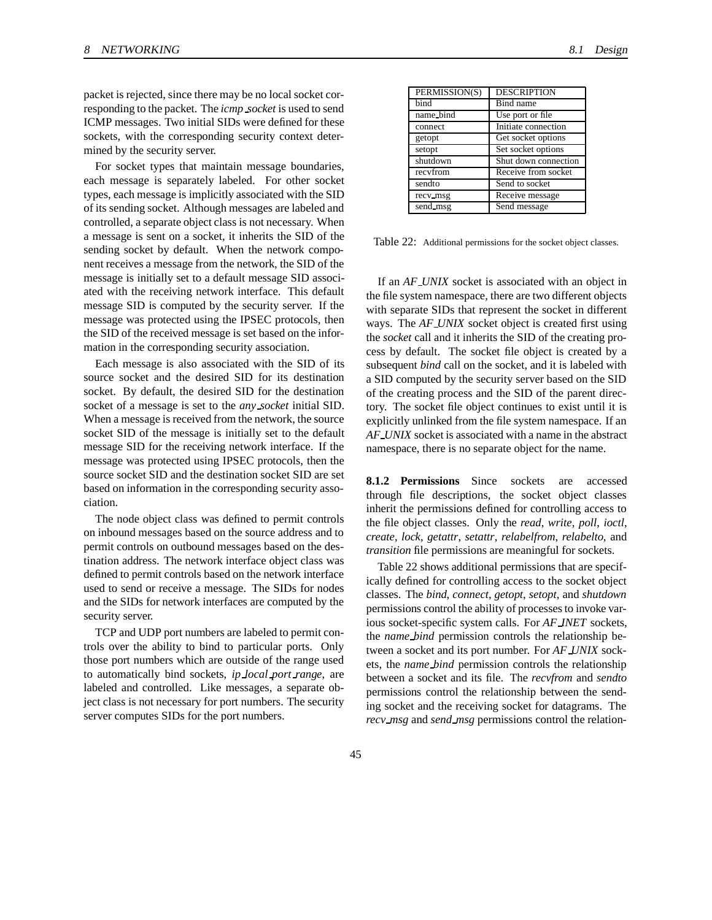packet is rejected, since there may be no local socket corresponding to the packet. The *icmp socket* is used to send ICMP messages. Two initial SIDs were defined for these sockets, with the corresponding security context determined by the security server.

For socket types that maintain message boundaries, each message is separately labeled. For other socket types, each message is implicitly associated with the SID of its sending socket. Although messages are labeled and controlled, a separate object class is not necessary. When a message is sent on a socket, it inherits the SID of the sending socket by default. When the network component receives a message from the network, the SID of the message is initially set to a default message SID associated with the receiving network interface. This default message SID is computed by the security server. If the message was protected using the IPSEC protocols, then the SID of the received message is set based on the information in the corresponding security association.

Each message is also associated with the SID of its source socket and the desired SID for its destination socket. By default, the desired SID for the destination socket of a message is set to the *any socket* initial SID. When a message is received from the network, the source socket SID of the message is initially set to the default message SID for the receiving network interface. If the message was protected using IPSEC protocols, then the source socket SID and the destination socket SID are set based on information in the corresponding security association.

The node object class was defined to permit controls on inbound messages based on the source address and to permit controls on outbound messages based on the destination address. The network interface object class was defined to permit controls based on the network interface used to send or receive a message. The SIDs for nodes and the SIDs for network interfaces are computed by the security server.

TCP and UDP port numbers are labeled to permit controls over the ability to bind to particular ports. Only those port numbers which are outside of the range used to automatically bind sockets, *ip local port range*, are labeled and controlled. Like messages, a separate object class is not necessary for port numbers. The security server computes SIDs for the port numbers.

| PERMISSION(S) | <b>DESCRIPTION</b>   |
|---------------|----------------------|
| bind          | Bind name            |
| name_bind     | Use port or file     |
| connect       | Initiate connection  |
| getopt        | Get socket options   |
| setopt        | Set socket options   |
| shutdown      | Shut down connection |
| recyfrom      | Receive from socket  |
| sendto        | Send to socket       |
| recv_msg      | Receive message      |
| send_msg      | Send message         |

Table 22: Additional permissions for the socket object classes.

If an *AF UNIX* socket is associated with an object in the file system namespace, there are two different objects with separate SIDs that represent the socket in different ways. The *AF UNIX* socket object is created first using the *socket* call and it inherits the SID of the creating process by default. The socket file object is created by a subsequent *bind* call on the socket, and it is labeled with a SID computed by the security server based on the SID of the creating process and the SID of the parent directory. The socket file object continues to exist until it is explicitly unlinked from the file system namespace. If an *AF UNIX* socket is associated with a name in the abstract namespace, there is no separate object for the name.

**8.1.2 Permissions** Since sockets are accessed through file descriptions, the socket object classes inherit the permissions defined for controlling access to the file object classes. Only the *read*, *write*, *poll*, *ioctl*, *create*, *lock*, *getattr*, *setattr*, *relabelfrom*, *relabelto*, and *transition* file permissions are meaningful for sockets.

Table 22 shows additional permissions that are specifically defined for controlling access to the socket object classes. The *bind*, *connect*, *getopt*, *setopt*, and *shutdown* permissions control the ability of processesto invoke various socket-specific system calls. For *AF INET* sockets, the *name bind* permission controls the relationship between a socket and its port number. For *AF UNIX* sockets, the *name bind* permission controls the relationship between a socket and its file. The *recvfrom* and *sendto* permissions control the relationship between the sending socket and the receiving socket for datagrams. The *recv msg* and *send msg* permissions control the relation-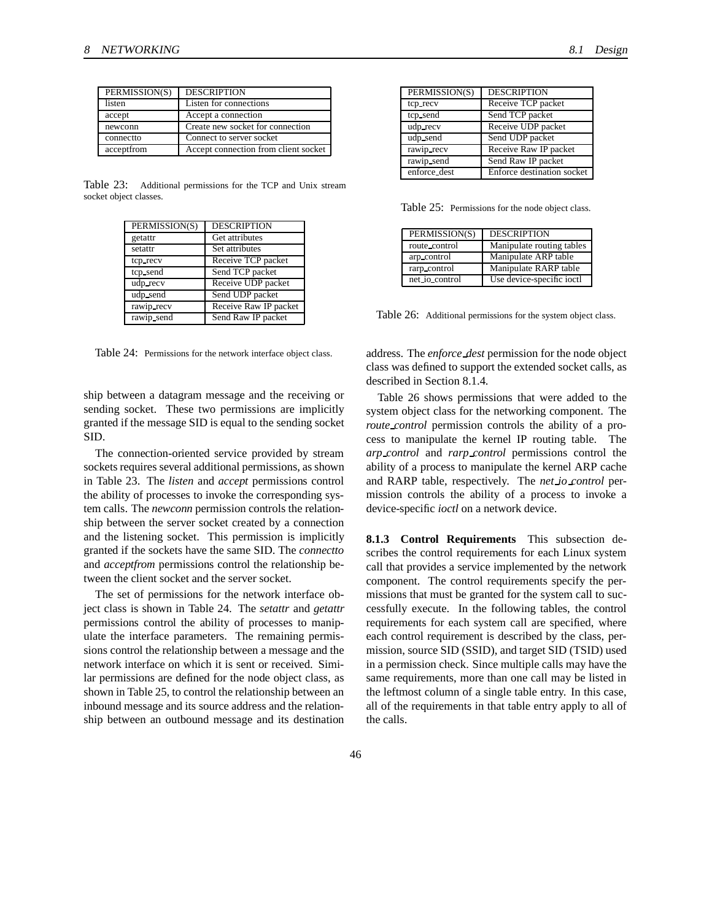| PERMISSION(S) | <b>DESCRIPTION</b>                   |
|---------------|--------------------------------------|
| listen        | Listen for connections               |
| accept        | Accept a connection                  |
| newconn       | Create new socket for connection     |
| connectto     | Connect to server socket             |
| acceptfrom    | Accept connection from client socket |

Table 23: Additional permissions for the TCP and Unix stream socket object classes.

| PERMISSION(S) | <b>DESCRIPTION</b>    |
|---------------|-----------------------|
| getattr       | Get attributes        |
| setattr       | Set attributes        |
| tcp_recv      | Receive TCP packet    |
| tcp_send      | Send TCP packet       |
| udp_recv      | Receive UDP packet    |
| udp_send      | Send UDP packet       |
| rawip recv    | Receive Raw IP packet |
| rawip_send    | Send Raw IP packet    |

Table 24: Permissions for the network interface object class.

ship between a datagram message and the receiving or sending socket. These two permissions are implicitly granted if the message SID is equal to the sending socket SID.

The connection-oriented service provided by stream sockets requires several additional permissions, as shown in Table 23. The *listen* and *accept* permissions control the ability of processes to invoke the corresponding system calls. The *newconn* permission controls the relationship between the server socket created by a connection and the listening socket. This permission is implicitly granted if the sockets have the same SID. The *connectto* and *acceptfrom* permissions control the relationship between the client socket and the server socket.

The set of permissions for the network interface object class is shown in Table 24. The *setattr* and *getattr* permissions control the ability of processes to manipulate the interface parameters. The remaining permissions control the relationship between a message and the network interface on which it is sent or received. Similar permissions are defined for the node object class, as shown in Table 25, to control the relationship between an inbound message and its source address and the relationship between an outbound message and its destination

| PERMISSION(S) | <b>DESCRIPTION</b>         |
|---------------|----------------------------|
| tcp_recv      | Receive TCP packet         |
| tcp_send      | Send TCP packet            |
| udp_recv      | Receive UDP packet         |
| udp_send      | Send UDP packet            |
| rawip recv    | Receive Raw IP packet      |
| rawip_send    | Send Raw IP packet         |
| enforce_dest  | Enforce destination socket |

Table 25: Permissions for the node object class.

| PERMISSION(S)  | <b>DESCRIPTION</b>        |
|----------------|---------------------------|
| route_control  | Manipulate routing tables |
| arp_control    | Manipulate ARP table      |
| rarp_control   | Manipulate RARP table     |
| net io control | Use device-specific ioctl |

Table 26: Additional permissions for the system object class.

address. The *enforce dest* permission for the node object class was defined to support the extended socket calls, as described in Section 8.1.4.

Table 26 shows permissions that were added to the system object class for the networking component. The *route control* permission controls the ability of a process to manipulate the kernel IP routing table. The *arp control* and *rarp control* permissions control the ability of a process to manipulate the kernel ARP cache and RARP table, respectively. The *net io control* permission controls the ability of a process to invoke a device-specific *ioctl* on a network device.

**8.1.3 Control Requirements** This subsection describes the control requirements for each Linux system call that provides a service implemented by the network component. The control requirements specify the permissions that must be granted for the system call to successfully execute. In the following tables, the control requirements for each system call are specified, where each control requirement is described by the class, permission, source SID (SSID), and target SID (TSID) used in a permission check. Since multiple calls may have the same requirements, more than one call may be listed in the leftmost column of a single table entry. In this case, all of the requirements in that table entry apply to all of the calls.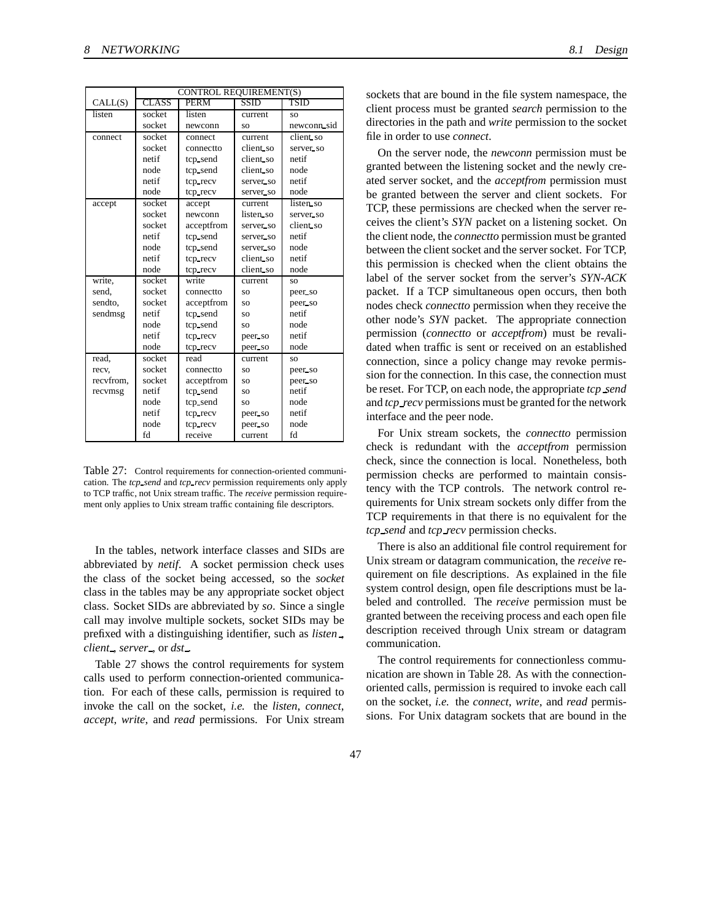|           | CONTROL REQUIREMENT(S) |             |             |             |
|-----------|------------------------|-------------|-------------|-------------|
| CALL(S)   | <b>CLASS</b>           | <b>PERM</b> | <b>SSID</b> | TSID        |
| listen    | socket                 | listen      | current     | SO.         |
|           | socket                 | newconn     | SO.         | newconn sid |
| connect   | socket                 | connect     | current     | client so   |
|           | socket                 | connectto   | client so   | server_so   |
|           | netif                  | tcp_send    | client_so   | netif       |
|           | node                   | tcp_send    | client_so   | node        |
|           | netif                  | tcp_recv    | server_so   | netif       |
|           | node                   | tcp_recv    | server so   | node        |
| accept    | socket                 | accept      | current     | listen so   |
|           | socket                 | newconn     | listen so   | server_so   |
|           | socket                 | acceptfrom  | server so   | client so   |
|           | netif                  | tcp_send    | server so   | netif       |
|           | node                   | tcp_send    | server so   | node        |
|           | netif                  | tcp_recv    | client_so   | netif       |
|           | node                   | tcp_recv    | client so   | node        |
| write,    | socket                 | write       | current     | SO.         |
| send.     | socket                 | connectto   | <b>SO</b>   | peer so     |
| sendto,   | socket                 | acceptfrom  | SO.         | peer so     |
| sendmsg   | netif                  | tcp_send    | SO          | netif       |
|           | node                   | tcp_send    | SO.         | node        |
|           | netif                  | tcp_recv    | peer so     | netif       |
|           | node                   | tcp_recv    | peer so     | node        |
| read.     | socket                 | read        | current     | SO.         |
| recv,     | socket                 | connectto   | SO.         | peer so     |
| recvfrom, | socket                 | acceptfrom  | SO          | peer so     |
| recvmsg   | netif                  | tcp_send    | SO.         | netif       |
|           | node                   | tcp_send    | SO          | node        |
|           | netif                  | tcp_recv    | peer so     | netif       |
|           | node                   | tcp_recv    | peer so     | node        |
|           | fd                     | receive     | current     | fd          |

Table 27: Control requirements for connection-oriented communication. The *tcp send* and *tcp recv* permission requirements only apply to TCP traffic, not Unix stream traffic. The *receive* permission requirement only applies to Unix stream traffic containing file descriptors.

In the tables, network interface classes and SIDs are abbreviated by *netif*. A socket permission check uses the class of the socket being accessed, so the *socket* class in the tables may be any appropriate socket object class. Socket SIDs are abbreviated by *so*. Since a single call may involve multiple sockets, socket SIDs may be prefixed with a distinguishing identifier, such as *listen* , *client* , *server* , or *dst* .

Table 27 shows the control requirements for system calls used to perform connection-oriented communication. For each of these calls, permission is required to invoke the call on the socket, *i.e.* the *listen*, *connect*, *accept*, *write*, and *read* permissions. For Unix stream

sockets that are bound in the file system namespace, the client process must be granted *search* permission to the directories in the path and *write* permission to the socket file in order to use *connect*.

On the server node, the *newconn* permission must be granted between the listening socket and the newly created server socket, and the *acceptfrom* permission must be granted between the server and client sockets. For TCP, these permissions are checked when the server receives the client's *SYN* packet on a listening socket. On the client node, the *connectto* permission must be granted between the client socket and the server socket. For TCP, this permission is checked when the client obtains the label of the server socket from the server's *SYN-ACK* packet. If a TCP simultaneous open occurs, then both nodes check *connectto* permission when they receive the other node's *SYN* packet. The appropriate connection permission (*connectto* or *acceptfrom*) must be revalidated when traffic is sent or received on an established connection, since a policy change may revoke permission for the connection. In this case, the connection must be reset. For TCP, on each node, the appropriate *tcp send* and *tcp recv* permissions must be granted for the network interface and the peer node.

For Unix stream sockets, the *connectto* permission check is redundant with the *acceptfrom* permission check, since the connection is local. Nonetheless, both permission checks are performed to maintain consistency with the TCP controls. The network control requirements for Unix stream sockets only differ from the TCP requirements in that there is no equivalent for the *tcp send* and *tcp recv* permission checks.

There is also an additional file control requirement for Unix stream or datagram communication, the *receive* requirement on file descriptions. As explained in the file system control design, open file descriptions must be labeled and controlled. The *receive* permission must be granted between the receiving process and each open file description received through Unix stream or datagram communication.

The control requirements for connectionless communication are shown in Table 28. As with the connectionoriented calls, permission is required to invoke each call on the socket, *i.e.* the *connect*, *write*, and *read* permissions. For Unix datagram sockets that are bound in the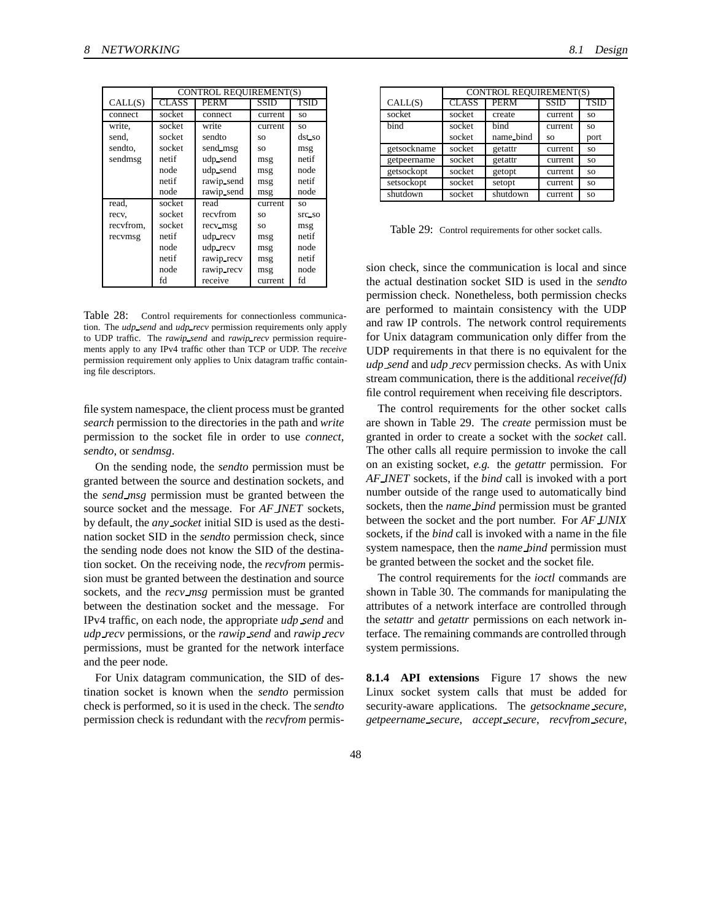|           | CONTROL REQUIREMENT(S) |            |             |           |
|-----------|------------------------|------------|-------------|-----------|
| CALL(S)   | <b>CLASS</b>           | PERM       | <b>SSID</b> | TSID      |
| connect   | socket                 | connect    | current     | SO.       |
| write,    | socket                 | write      | current     | SO.       |
| send,     | socket                 | sendto     | SO.         | dst_so    |
| sendto.   | socket                 | send_msg   | SO.         | msg       |
| sendmsg   | netif                  | udp_send   | msg         | netif     |
|           | node                   | udp_send   | msg         | node      |
|           | netif                  | rawip send | msg         | netif     |
|           | node                   | rawip_send | msg         | node      |
| read,     | socket                 | read       | current     | <b>SO</b> |
| recv,     | socket                 | recyfrom   | SO.         | Src_so    |
| recyfrom, | socket                 | recv_msg   | SO          | msg       |
| recvmsg   | netif                  | udp_recv   | msg         | netif     |
|           | node                   | udp_recv   | msg         | node      |
|           | netif                  | rawip recv | msg         | netif     |
|           | node                   | rawip_recv | msg         | node      |
|           | fd                     | receive    | current     | fd        |

Table 28: Control requirements for connectionless communication. The *udp send* and *udp recv* permission requirements only apply to UDP traffic. The *rawip send* and *rawip recv* permission requirements apply to any IPv4 traffic other than TCP or UDP. The *receive* permission requirement only applies to Unix datagram traffic containing file descriptors.

file system namespace, the client process must be granted *search* permission to the directories in the path and *write* permission to the socket file in order to use *connect*, *sendto*, or *sendmsg*.

On the sending node, the *sendto* permission must be granted between the source and destination sockets, and the *send msg* permission must be granted between the source socket and the message. For *AF INET* sockets, by default, the *any socket* initial SID is used as the destination socket SID in the *sendto* permission check, since the sending node does not know the SID of the destination socket. On the receiving node, the *recvfrom* permission must be granted between the destination and source sockets, and the *recv msg* permission must be granted between the destination socket and the message. For IPv4 traffic, on each node, the appropriate *udp send* and *udp recv* permissions, or the *rawip send* and *rawip recv* permissions, must be granted for the network interface and the peer node.

For Unix datagram communication, the SID of destination socket is known when the *sendto* permission check is performed, so it is used in the check. The *sendto* permission check is redundant with the *recvfrom* permis-

|             | CONTROL REQUIREMENT(S) |             |             |           |
|-------------|------------------------|-------------|-------------|-----------|
| CALL(S)     | <b>CLASS</b>           | <b>PERM</b> | <b>SSID</b> | TSID      |
| socket      | socket                 | create      | current     | <b>SO</b> |
| bind        | socket                 | bind        | current     | <b>SO</b> |
|             | socket                 | name_bind   | SO.         | port      |
| getsockname | socket                 | getattr     | current     | SO.       |
| getpeername | socket                 | getattr     | current     | SO.       |
| getsockopt  | socket                 | getopt      | current     | <b>SO</b> |
| setsockopt  | socket                 | setopt      | current     | <b>SO</b> |
| shutdown    | socket                 | shutdown    | current     | <b>SO</b> |

Table 29: Control requirements for other socket calls.

sion check, since the communication is local and since the actual destination socket SID is used in the *sendto* permission check. Nonetheless, both permission checks are performed to maintain consistency with the UDP and raw IP controls. The network control requirements for Unix datagram communication only differ from the UDP requirements in that there is no equivalent for the *udp send* and *udp recv* permission checks. As with Unix stream communication, there is the additional *receive(fd)* file control requirement when receiving file descriptors.

The control requirements for the other socket calls are shown in Table 29. The *create* permission must be granted in order to create a socket with the *socket* call. The other calls all require permission to invoke the call on an existing socket, *e.g.* the *getattr* permission. For *AF INET* sockets, if the *bind* call is invoked with a port number outside of the range used to automatically bind sockets, then the *name bind* permission must be granted between the socket and the port number. For *AF UNIX* sockets, if the *bind* call is invoked with a name in the file system namespace, then the *name bind* permission must be granted between the socket and the socket file.

The control requirements for the *ioctl* commands are shown in Table 30. The commands for manipulating the attributes of a network interface are controlled through the *setattr* and *getattr* permissions on each network interface. The remaining commands are controlled through system permissions.

**8.1.4 API extensions** Figure 17 shows the new Linux socket system calls that must be added for security-aware applications. The *getsockname secure*, *getpeername secure*, *accept secure*, *recvfrom secure*,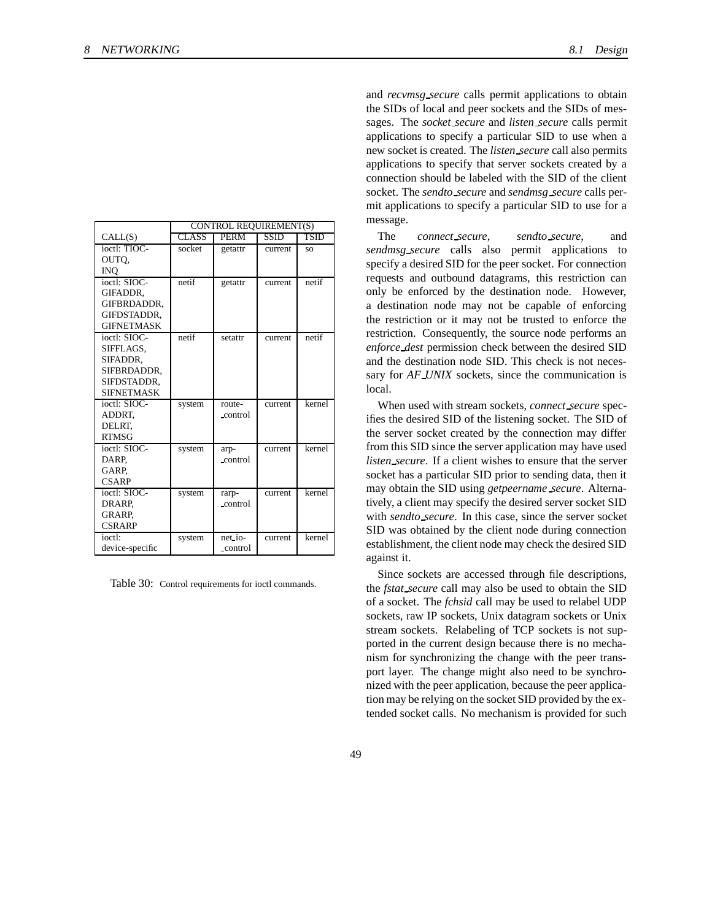|                   | <b>CONTROL REQUIREMENT(S)</b> |             |             |             |
|-------------------|-------------------------------|-------------|-------------|-------------|
| CALL(S)           | <b>CLASS</b>                  | <b>PERM</b> | <b>SSID</b> | <b>TSID</b> |
| ioctl: TIOC-      | socket                        | getattr     | current     | SO.         |
| OUTQ,             |                               |             |             |             |
| <b>INO</b>        |                               |             |             |             |
| ioctl: SIOC-      | netif                         | getattr     | current     | netif       |
| GIFADDR.          |                               |             |             |             |
| GIFBRDADDR,       |                               |             |             |             |
| GIFDSTADDR.       |                               |             |             |             |
| <b>GIFNETMASK</b> |                               |             |             |             |
| ioctl: SIOC-      | netif                         | setattr     | current     | netif       |
| SIFFLAGS,         |                               |             |             |             |
| SIFADDR,          |                               |             |             |             |
| SIFBRDADDR,       |                               |             |             |             |
| SIFDSTADDR,       |                               |             |             |             |
| <b>SIFNETMASK</b> |                               |             |             |             |
| ioctl: SIOC-      | system                        | route-      | current     | kernel      |
| ADDRT.            |                               | control     |             |             |
| DELRT.            |                               |             |             |             |
| <b>RTMSG</b>      |                               |             |             |             |
| ioctl: $SIOC-$    | system                        | arp-        | current     | kernel      |
| DARP,             |                               | control     |             |             |
| GARP.             |                               |             |             |             |
| <b>CSARP</b>      |                               |             |             |             |
| ioctl: SIOC-      | system                        | rarp-       | current     | kernel      |
| DRARP.            |                               | control     |             |             |
| GRARP.            |                               |             |             |             |
| <b>CSRARP</b>     |                               |             |             |             |
| ioctl:            | system                        | net_io-     | current     | kernel      |
| device-specific   |                               | control     |             |             |

Table 30: Control requirements for ioctl commands.

and *recvmsg secure* calls permit applications to obtain the SIDs of local and peer sockets and the SIDs of messages. The *socket secure* and *listen secure* calls permit applications to specify a particular SID to use when a new socket is created. The *listen secure* call also permits applications to specify that server sockets created by a connection should be labeled with the SID of the client socket. The *sendto secure* and *sendmsg secure* calls permit applications to specify a particular SID to use for a message.

The *connect secure*, *sendto secure*, and *sendmsg secure* calls also permit applications to specify a desired SID for the peer socket. For connection requests and outbound datagrams, this restriction can only be enforced by the destination node. However, a destination node may not be capable of enforcing the restriction or it may not be trusted to enforce the restriction. Consequently, the source node performs an *enforce dest* permission check between the desired SID and the destination node SID. This check is not necessary for *AF UNIX* sockets, since the communication is local.

When used with stream sockets, *connect secure* specifies the desired SID of the listening socket. The SID of the server socket created by the connection may differ from this SID since the server application may have used *listen secure*. If a client wishes to ensure that the server socket has a particular SID prior to sending data, then it may obtain the SID using *getpeername secure*. Alternatively, a client may specify the desired server socket SID with *sendto secure*. In this case, since the server socket SID was obtained by the client node during connection establishment, the client node may check the desired SID against it.

Since sockets are accessed through file descriptions, the *fstat secure* call may also be used to obtain the SID of a socket. The *fchsid* call may be used to relabel UDP sockets, raw IP sockets, Unix datagram sockets or Unix stream sockets. Relabeling of TCP sockets is not supported in the current design because there is no mechanism for synchronizing the change with the peer transport layer. The change might also need to be synchronized with the peer application, because the peer application may be relying on the socket SID provided by the extended socket calls. No mechanism is provided for such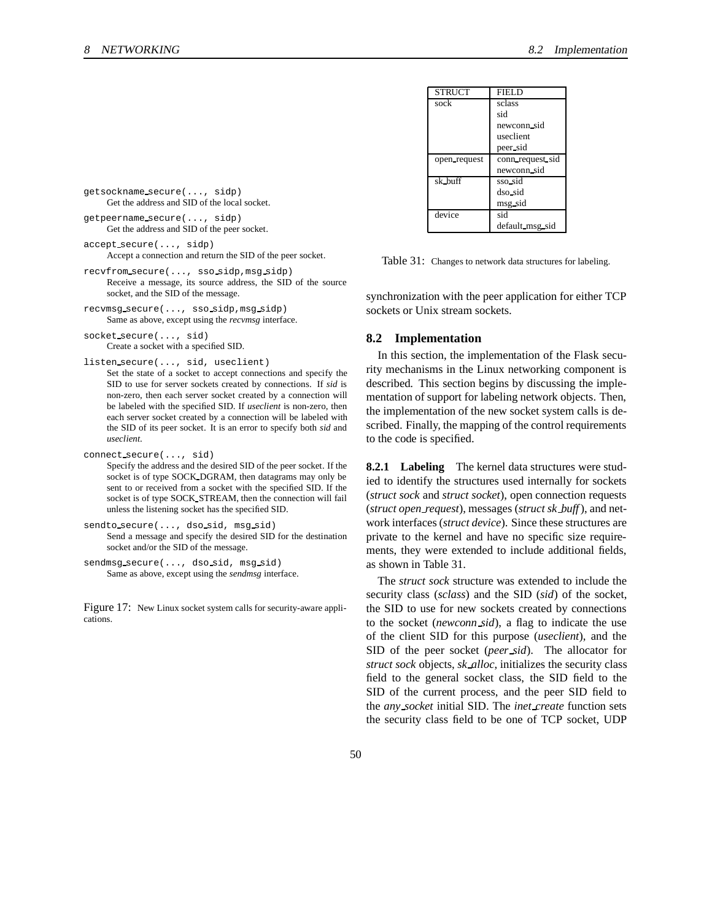| <b>STRUCT</b> | <b>FIELD</b>     |
|---------------|------------------|
| sock          | sclass           |
|               | sid              |
|               | newconn_sid      |
|               | useclient        |
|               | peer sid         |
| open_request  | conn_request_sid |
|               | newconn sid      |
| sk_buff       | sso_sid          |
|               | dso_sid          |
|               | msg_sid          |
| device        | sid              |
|               | default_msg_sid  |

getsockname secure(..., sidp) Get the address and SID of the local socket.

getpeername secure(..., sidp) Get the address and SID of the peer socket.

accept secure(..., sidp) Accept a connection and return the SID of the peer socket.

- recvfrom secure(..., sso sidp,msg sidp) Receive a message, its source address, the SID of the source socket, and the SID of the message.
- recvmsg secure(..., sso sidp,msg sidp) Same as above, except using the *recvmsg* interface.

socket secure(..., sid) Create a socket with a specified SID.

listen secure(..., sid, useclient)

Set the state of a socket to accept connections and specify the SID to use for server sockets created by connections. If *sid* is non-zero, then each server socket created by a connection will be labeled with the specified SID. If *useclient* is non-zero, then each server socket created by a connection will be labeled with the SID of its peer socket. It is an error to specify both *sid* and *useclient*.

```
connect secure(..., sid)
```
Specify the address and the desired SID of the peer socket. If the socket is of type SOCK DGRAM, then datagrams may only be sent to or received from a socket with the specified SID. If the socket is of type SOCK STREAM, then the connection will fail unless the listening socket has the specified SID.

```
sendto secure(..., dso sid, msg sid)
     Send a message and specify the desired SID for the destination
     socket and/or the SID of the message.
```

```
sendmsg secure(..., dso sid, msg sid)
    Same as above, except using the sendmsg interface.
```
Figure 17: New Linux socket system calls for security-aware applications.

Table 31: Changes to network data structures for labeling.

synchronization with the peer application for either TCP sockets or Unix stream sockets.

# **8.2 Implementation**

In this section, the implementation of the Flask security mechanisms in the Linux networking component is described. This section begins by discussing the implementation of support for labeling network objects. Then, the implementation of the new socket system calls is described. Finally, the mapping of the control requirements to the code is specified.

**8.2.1 Labeling** The kernel data structures were studied to identify the structures used internally for sockets (*struct sock* and *struct socket*), open connection requests (*struct open request*), messages (*struct sk buff*), and network interfaces(*struct device*). Since these structures are private to the kernel and have no specific size requirements, they were extended to include additional fields, as shown in Table 31.

The *struct sock* structure was extended to include the security class (*sclass*) and the SID (*sid*) of the socket, the SID to use for new sockets created by connections to the socket (*newconn sid*), a flag to indicate the use of the client SID for this purpose (*useclient*), and the SID of the peer socket (*peer sid*). The allocator for *struct sock* objects, *sk alloc*, initializes the security class field to the general socket class, the SID field to the SID of the current process, and the peer SID field to the *any socket* initial SID. The *inet create* function sets the security class field to be one of TCP socket, UDP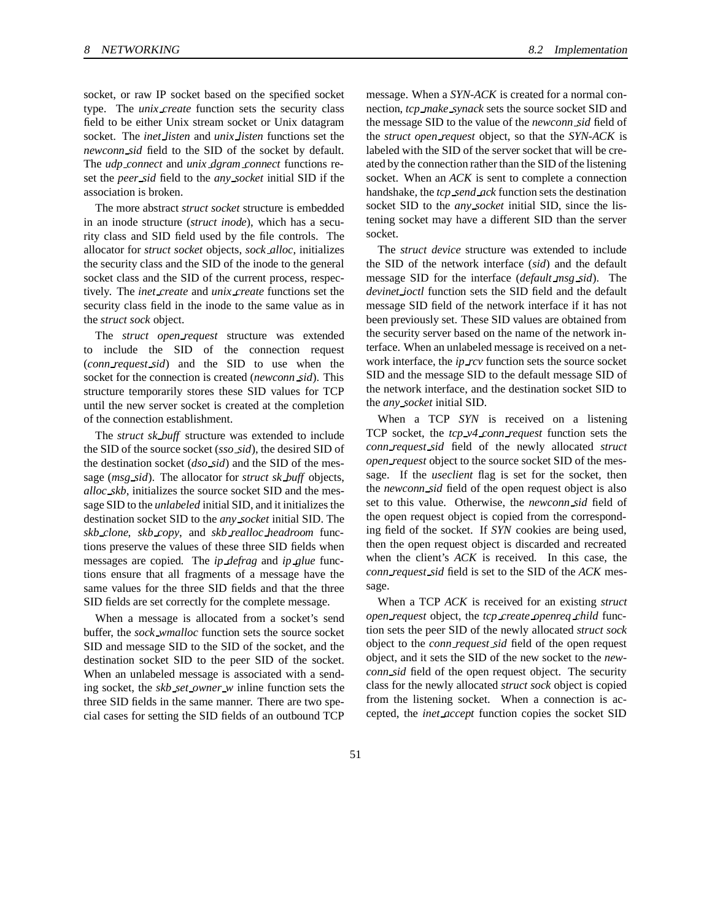socket, or raw IP socket based on the specified socket type. The *unix create* function sets the security class field to be either Unix stream socket or Unix datagram socket. The *inet listen* and *unix listen* functions set the *newconn sid* field to the SID of the socket by default. The *udp connect* and *unix dgram connect* functions reset the *peer sid* field to the *any socket* initial SID if the association is broken.

The more abstract *struct socket* structure is embedded in an inode structure (*struct inode*), which has a security class and SID field used by the file controls. The allocator for *struct socket* objects, *sock alloc*, initializes the security class and the SID of the inode to the general socket class and the SID of the current process, respectively. The *inet create* and *unix create* functions set the security class field in the inode to the same value as in the *struct sock* object.

The *struct open request* structure was extended to include the SID of the connection request (*conn request sid*) and the SID to use when the socket for the connection is created (*newconn sid*). This structure temporarily stores these SID values for TCP until the new server socket is created at the completion of the connection establishment.

The *struct sk buff* structure was extended to include the SID of the source socket (*sso sid*), the desired SID of the destination socket (*dso sid*) and the SID of the message (*msg sid*). The allocator for *struct sk buff* objects, *alloc skb*, initializes the source socket SID and the message SID to the *unlabeled* initial SID, and it initializes the destination socket SID to the *any socket* initial SID. The *skb clone*, *skb copy*, and *skb realloc headroom* functions preserve the values of these three SID fields when messages are copied. The *ip defrag* and *ip glue* functions ensure that all fragments of a message have the same values for the three SID fields and that the three SID fields are set correctly for the complete message.

When a message is allocated from a socket's send buffer, the *sock wmalloc* function sets the source socket SID and message SID to the SID of the socket, and the destination socket SID to the peer SID of the socket. When an unlabeled message is associated with a sending socket, the *skb set owner w* inline function sets the three SID fields in the same manner. There are two special cases for setting the SID fields of an outbound TCP message. When a *SYN-ACK* is created for a normal connection, *tcp make synack* sets the source socket SID and the message SID to the value of the *newconn sid* field of the *struct open request* object, so that the *SYN-ACK* is labeled with the SID of the server socket that will be created by the connection rather than the SID of the listening socket. When an *ACK* is sent to complete a connection handshake, the *tcp send ack* function sets the destination socket SID to the *any socket* initial SID, since the listening socket may have a different SID than the server socket.

The *struct device* structure was extended to include the SID of the network interface (*sid*) and the default message SID for the interface (*default msg sid*). The *devinet ioctl* function sets the SID field and the default message SID field of the network interface if it has not been previously set. These SID values are obtained from the security server based on the name of the network interface. When an unlabeled message is received on a network interface, the *ip rcv* function sets the source socket SID and the message SID to the default message SID of the network interface, and the destination socket SID to the *any socket* initial SID.

When a TCP *SYN* is received on a listening TCP socket, the *tcp v4 conn request* function sets the *conn request sid* field of the newly allocated *struct open request* object to the source socket SID of the message. If the *useclient* flag is set for the socket, then the *newconn sid* field of the open request object is also set to this value. Otherwise, the *newconn sid* field of the open request object is copied from the corresponding field of the socket. If *SYN* cookies are being used, then the open request object is discarded and recreated when the client's *ACK* is received. In this case, the *conn request sid* field is set to the SID of the *ACK* message.

When a TCP *ACK* is received for an existing *struct open request* object, the *tcp create openreq child* function sets the peer SID of the newly allocated *struct sock* object to the *conn request sid* field of the open request object, and it sets the SID of the new socket to the *newconn sid* field of the open request object. The security class for the newly allocated *struct sock* object is copied from the listening socket. When a connection is accepted, the *inet accept* function copies the socket SID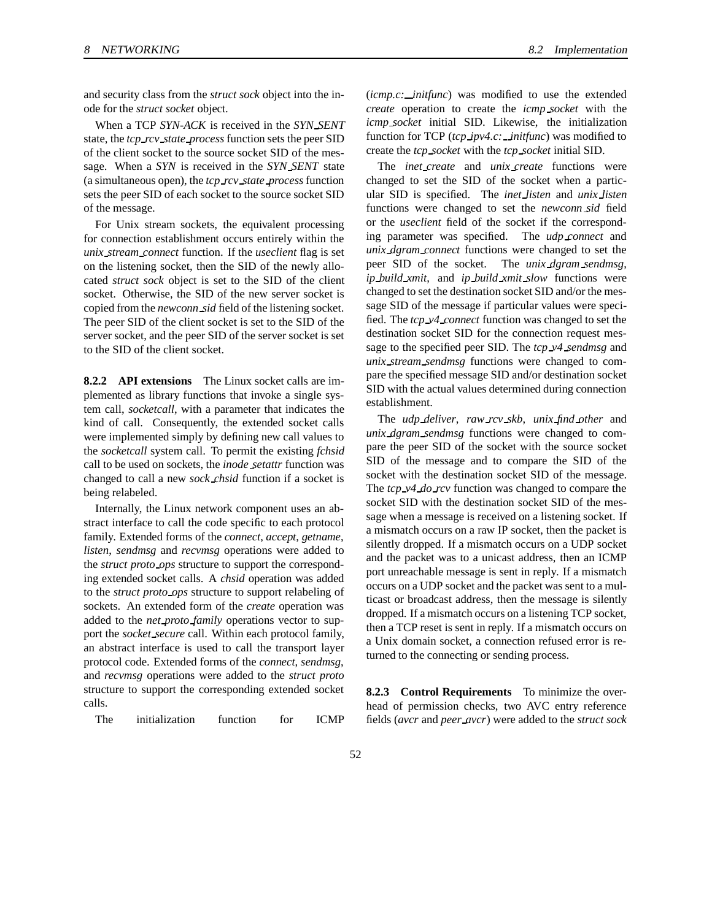and security class from the *struct sock* object into the inode for the *struct socket* object.

When a TCP *SYN-ACK* is received in the *SYN SENT* state, the *tcp rcv state process* function sets the peer SID of the client socket to the source socket SID of the message. When a *SYN* is received in the *SYN SENT* state (a simultaneous open), the *tcp rcv state process*function sets the peer SID of each socket to the source socket SID of the message.

For Unix stream sockets, the equivalent processing for connection establishment occurs entirely within the *unix stream connect* function. If the *useclient* flag is set on the listening socket, then the SID of the newly allocated *struct sock* object is set to the SID of the client socket. Otherwise, the SID of the new server socket is copied from the *newconn sid* field of the listening socket. The peer SID of the client socket is set to the SID of the server socket, and the peer SID of the server socket is set to the SID of the client socket.

**8.2.2 API extensions** The Linux socket calls are implemented as library functions that invoke a single system call, *socketcall*, with a parameter that indicates the kind of call. Consequently, the extended socket calls were implemented simply by defining new call values to the *socketcall* system call. To permit the existing *fchsid* call to be used on sockets, the *inode setattr* function was changed to call a new *sock chsid* function if a socket is being relabeled.

Internally, the Linux network component uses an abstract interface to call the code specific to each protocol family. Extended forms of the *connect*, *accept*, *getname*, *listen*, *sendmsg* and *recvmsg* operations were added to the *struct proto ops* structure to support the corresponding extended socket calls. A *chsid* operation was added to the *struct proto ops* structure to support relabeling of sockets. An extended form of the *create* operation was added to the *net proto family* operations vector to support the *socket secure* call. Within each protocol family, an abstract interface is used to call the transport layer protocol code. Extended forms of the *connect*, *sendmsg*, and *recvmsg* operations were added to the *struct proto* structure to support the corresponding extended socket calls.

The initialization function for ICMP

(*icmp.c: initfunc*) was modified to use the extended *create* operation to create the *icmp socket* with the *icmp socket* initial SID. Likewise, the initialization function for TCP (*tcp ipv4.c: initfunc*) was modified to create the *tcp socket* with the *tcp socket* initial SID.

The *inet create* and *unix create* functions were changed to set the SID of the socket when a particular SID is specified. The *inet listen* and *unix listen* functions were changed to set the *newconn sid* field or the *useclient* field of the socket if the corresponding parameter was specified. The *udp connect* and *unix dgram connect* functions were changed to set the peer SID of the socket. The *unix dgram sendmsg*, *ip build xmit*, and *ip build xmit slow* functions were changed to set the destination socket SID and/or the message SID of the message if particular values were specified. The *tcp v4 connect* function was changed to set the destination socket SID for the connection request message to the specified peer SID. The *tcp v4 sendmsg* and *unix stream sendmsg* functions were changed to compare the specified message SID and/or destination socket SID with the actual values determined during connection establishment.

The *udp deliver*, *raw rcv skb*, *unix find other* and *unix dgram sendmsg* functions were changed to compare the peer SID of the socket with the source socket SID of the message and to compare the SID of the socket with the destination socket SID of the message. The *tcp v4 do rcv* function was changed to compare the socket SID with the destination socket SID of the message when a message is received on a listening socket. If a mismatch occurs on a raw IP socket, then the packet is silently dropped. If a mismatch occurs on a UDP socket and the packet was to a unicast address, then an ICMP port unreachable message is sent in reply. If a mismatch occurs on a UDP socket and the packet was sent to a multicast or broadcast address, then the message is silently dropped. If a mismatch occurs on a listening TCP socket, then a TCP reset is sent in reply. If a mismatch occurs on a Unix domain socket, a connection refused error is returned to the connecting or sending process.

**8.2.3 Control Requirements** To minimize the overhead of permission checks, two AVC entry reference fields (*avcr* and *peer avcr*) were added to the *struct sock*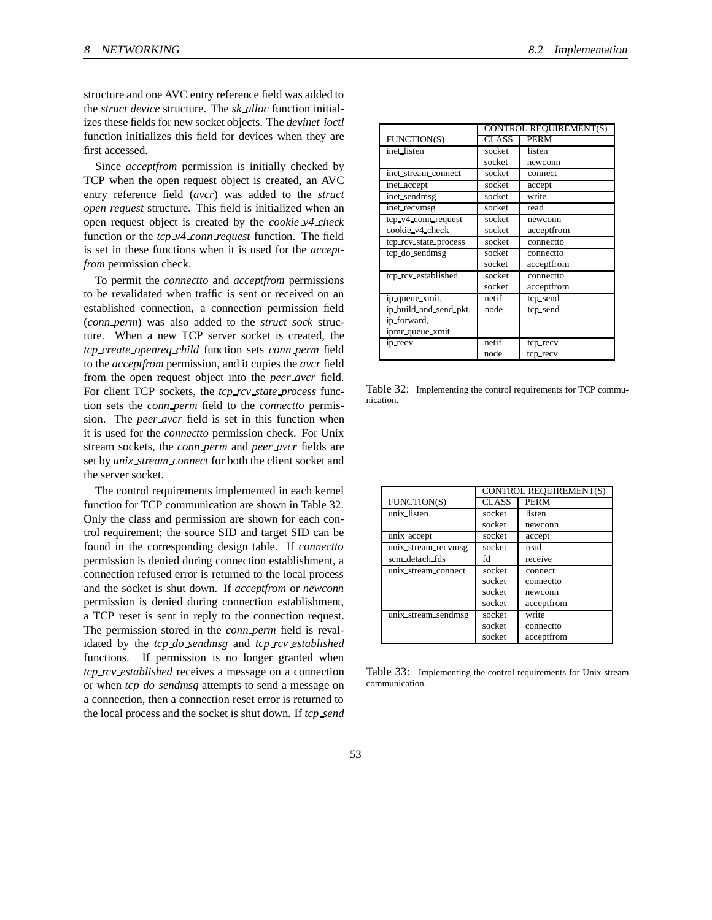structure and one AVC entry reference field was added to the *struct device* structure. The *sk alloc* function initializes these fields for new socket objects. The *devinet ioctl* function initializes this field for devices when they are first accessed.

Since *acceptfrom* permission is initially checked by TCP when the open request object is created, an AVC entry reference field (*avcr*) was added to the *struct open request* structure. This field is initialized when an open request object is created by the *cookie v4 check* function or the *tcp v4 conn request* function. The field is set in these functions when it is used for the *acceptfrom* permission check.

To permit the *connectto* and *acceptfrom* permissions to be revalidated when traffic is sent or received on an established connection, a connection permission field (*conn perm*) was also added to the *struct sock* structure. When a new TCP server socket is created, the *tcp create openreq child* function sets *conn perm* field to the *acceptfrom* permission, and it copies the *avcr* field from the open request object into the *peer avcr* field. For client TCP sockets, the *tcp rcv state process* function sets the *conn perm* field to the *connectto* permission. The *peer avcr* field is set in this function when it is used for the *connectto* permission check. For Unix stream sockets, the *conn perm* and *peer avcr* fields are set by *unix stream connect* for both the client socket and the server socket.

The control requirements implemented in each kernel function for TCP communication are shown in Table 32. Only the class and permission are shown for each control requirement; the source SID and target SID can be found in the corresponding design table. If *connectto* permission is denied during connection establishment, a connection refused error is returned to the local process and the socket is shut down. If *acceptfrom* or *newconn* permission is denied during connection establishment, a TCP reset is sent in reply to the connection request. The permission stored in the *conn perm* field is revalidated by the *tcp do sendmsg* and *tcp rcv established* functions. If permission is no longer granted when *tcp rcv established* receives a message on a connection or when *tcp do sendmsg* attempts to send a message on a connection, then a connection reset error is returned to the local process and the socket is shut down. If *tcp send*

|                        |              | <b>CONTROL REQUIREMENT(S)</b> |
|------------------------|--------------|-------------------------------|
| FUNCTION(S)            | <b>CLASS</b> | PERM                          |
| inet_listen            | socket       | listen                        |
|                        | socket       | newconn                       |
| inet_stream_connect    | socket       | connect                       |
| inet_accept            | socket       | accept                        |
| inet_sendmsg           | socket       | write                         |
| inet recvmsg           | socket       | read                          |
| tcp_v4_conn_request    | socket       | newconn                       |
| cookie_v4_check        | socket       | acceptfrom                    |
| tcp_rcv_state_process  | socket       | connectto                     |
| tcp_do_sendmsg         | socket       | connectto                     |
|                        | socket       | acceptfrom                    |
| tcp_rcv_established    | socket       | connectto                     |
|                        | socket       | acceptfrom                    |
| ip_queue_xmit,         | netif        | tcp_send                      |
| ip_build_and_send_pkt, | node         | tcp_send                      |
| ip_forward,            |              |                               |
| ipmr_queue_xmit        |              |                               |
| ip_recv                | netif        | tcp_recv                      |
|                        | node         | tcp_recv                      |

Table 32: Implementing the control requirements for TCP communication.

|                     | CONTROL REQUIREMENT(S) |             |
|---------------------|------------------------|-------------|
| <b>FUNCTION(S)</b>  | <b>CLASS</b>           | <b>PERM</b> |
| unix listen         | socket                 | listen      |
|                     | socket                 | newconn     |
| unix accept         | socket                 | accept      |
| unix stream recvmsg | socket                 | read        |
| scm_detach_fds      | fd                     | receive     |
| unix_stream_connect | socket                 | connect     |
|                     | socket                 | connectto   |
|                     | socket                 | newconn     |
|                     | socket                 | acceptfrom  |
| unix_stream_sendmsg | socket                 | write       |
|                     | socket                 | connectto   |
|                     | socket                 | acceptfrom  |

Table 33: Implementing the control requirements for Unix stream communication.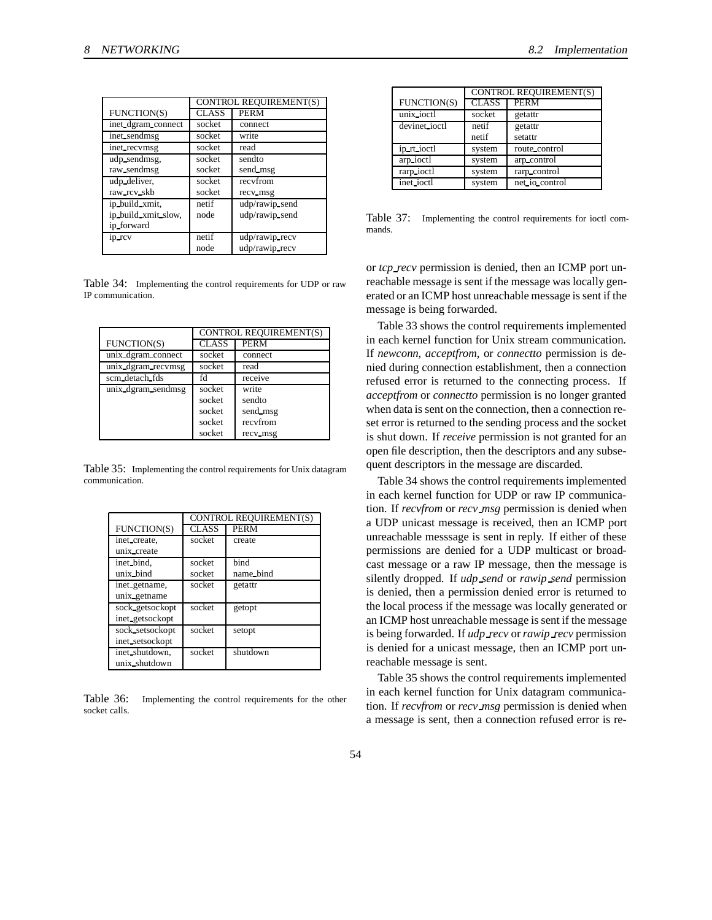|                     | <b>CONTROL REQUIREMENT(S)</b> |                |
|---------------------|-------------------------------|----------------|
| FUNCTION(S)         | <b>CLASS</b>                  | <b>PERM</b>    |
| inet_dgram_connect  | socket                        | connect        |
| inet_sendmsg        | socket                        | write          |
| inet recvmsg        | socket                        | read           |
| udp_sendmsg,        | socket                        | sendto         |
| raw_sendmsg         | socket                        | send_msg       |
| udp_deliver,        | socket                        | recyfrom       |
| raw_rcv_skb         | socket                        | recv msg       |
| ip_build_xmit,      | netif                         | udp/rawip_send |
| ip build xmit slow, | node                          | udp/rawip_send |
| ip_forward          |                               |                |
| ip rcv              | netif                         | udp/rawip_recv |
|                     | node                          | udp/rawip_recv |

Table 34: Implementing the control requirements for UDP or raw IP communication.

|                    | CONTROL REQUIREMENT(S) |             |
|--------------------|------------------------|-------------|
| FUNCTION(S)        | <b>CLASS</b>           | <b>PERM</b> |
| unix_dgram_connect | socket                 | connect     |
| unix_dgram_recvmsg | socket                 | read        |
| scm_detach_fds     | fd                     | receive     |
| unix_dgram_sendmsg | socket                 | write       |
|                    | socket                 | sendto      |
|                    | socket                 | send_msg    |
|                    | socket                 | recyfrom    |
|                    | socket                 | recv_msg    |

Table 35: Implementing the control requirements for Unix datagram communication.

|                 |              | CONTROL REQUIREMENT(S) |
|-----------------|--------------|------------------------|
| FUNCTION(S)     | <b>CLASS</b> | <b>PERM</b>            |
| inet create,    | socket       | create                 |
| unix create     |              |                        |
| inet_bind.      | socket       | bind                   |
| unix_bind       | socket       | name_bind              |
| inet_getname,   | socket       | getattr                |
| unix_getname    |              |                        |
| sock_getsockopt | socket       | getopt                 |
| inet_getsockopt |              |                        |
| sock_setsockopt | socket       | setopt                 |
| inet_setsockopt |              |                        |
| inet_shutdown.  | socket       | shutdown               |
| unix_shutdown   |              |                        |

Table 36: Implementing the control requirements for the other socket calls.

|                                                    | CONTROL REQUIREMENT(S) |                |
|----------------------------------------------------|------------------------|----------------|
| FUNCTION(S)                                        | <b>CLASS</b>           | PERM           |
| $\overline{unix\_i}$ <sub>c</sub> $t$ <sup>1</sup> | socket                 | getattr        |
| devinet_ioctl                                      | netif                  | getattr        |
|                                                    | netif                  | setattr        |
| ip_rt_ioctl                                        | system                 | route_control  |
| arp_ioctl                                          | system                 | arp_control    |
| rarp_ioctl                                         | system                 | rarp_control   |
| inet_ioctl                                         | system                 | net io control |

Table 37: Implementing the control requirements for ioctl commands.

or *tcp recv* permission is denied, then an ICMP port unreachable message is sent if the message was locally generated or an ICMP host unreachable message is sent if the message is being forwarded.

Table 33 shows the control requirements implemented in each kernel function for Unix stream communication. If *newconn*, *acceptfrom*, or *connectto* permission is denied during connection establishment, then a connection refused error is returned to the connecting process. If *acceptfrom* or *connectto* permission is no longer granted when data is sent on the connection, then a connection reset error is returned to the sending process and the socket is shut down. If *receive* permission is not granted for an open file description, then the descriptors and any subsequent descriptors in the message are discarded.

Table 34 shows the control requirements implemented in each kernel function for UDP or raw IP communication. If *recvfrom* or *recv msg* permission is denied when a UDP unicast message is received, then an ICMP port unreachable messsage is sent in reply. If either of these permissions are denied for a UDP multicast or broadcast message or a raw IP message, then the message is silently dropped. If *udp send* or *rawip send* permission is denied, then a permission denied error is returned to the local process if the message was locally generated or an ICMP host unreachable message is sent if the message is being forwarded. If *udp recv* or*rawip recv* permission is denied for a unicast message, then an ICMP port unreachable message is sent.

Table 35 shows the control requirements implemented in each kernel function for Unix datagram communication. If *recvfrom* or *recv msg* permission is denied when a message is sent, then a connection refused error is re-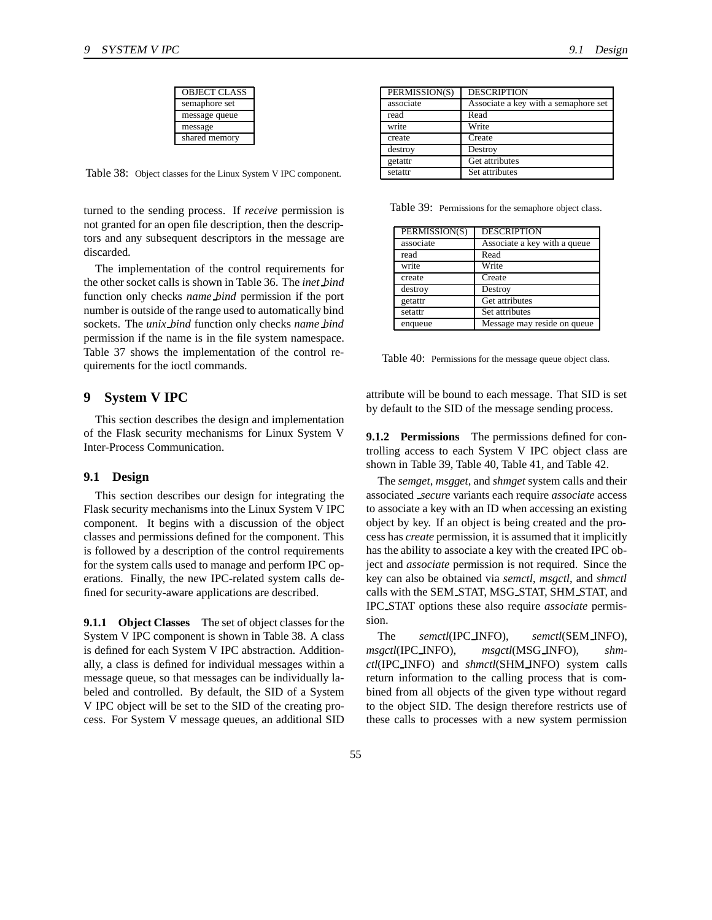| <b>OBJECT CLASS</b> |
|---------------------|
| semaphore set       |
| message queue       |
| message             |
| shared memory       |

Table 38: Object classes for the Linux System V IPC component.

turned to the sending process. If *receive* permission is not granted for an open file description, then the descriptors and any subsequent descriptors in the message are discarded.

The implementation of the control requirements for the other socket calls is shown in Table 36. The *inet bind* function only checks *name bind* permission if the port number is outside of the range used to automatically bind sockets. The *unix bind* function only checks *name bind* permission if the name is in the file system namespace. Table 37 shows the implementation of the control requirements for the ioctl commands.

# **9 System V IPC**

This section describes the design and implementation of the Flask security mechanisms for Linux System V Inter-Process Communication.

#### **9.1 Design**

This section describes our design for integrating the Flask security mechanisms into the Linux System V IPC component. It begins with a discussion of the object classes and permissions defined for the component. This is followed by a description of the control requirements for the system calls used to manage and perform IPC operations. Finally, the new IPC-related system calls defined for security-aware applications are described.

**9.1.1 Object Classes** The set of object classes for the System V IPC component is shown in Table 38. A class is defined for each System V IPC abstraction. Additionally, a class is defined for individual messages within a message queue, so that messages can be individually labeled and controlled. By default, the SID of a System V IPC object will be set to the SID of the creating process. For System V message queues, an additional SID

| PERMISSION(S) | <b>DESCRIPTION</b>                   |
|---------------|--------------------------------------|
| associate     | Associate a key with a semaphore set |
| read          | Read                                 |
| write         | Write                                |
| create        | Create                               |
| destroy       | Destroy                              |
| getattr       | Get attributes                       |
| setattr       | Set attributes                       |

Table 39: Permissions for the semaphore object class.

| PERMISSION(S) | <b>DESCRIPTION</b>           |
|---------------|------------------------------|
| associate     | Associate a key with a queue |
| read          | Read                         |
| write         | Write                        |
| create        | Create                       |
| destroy       | Destroy                      |
| getattr       | Get attributes               |
| setattr       | Set attributes               |
| enqueue       | Message may reside on queue  |

Table 40: Permissions for the message queue object class.

attribute will be bound to each message. That SID is set by default to the SID of the message sending process.

**9.1.2 Permissions** The permissions defined for controlling access to each System V IPC object class are shown in Table 39, Table 40, Table 41, and Table 42.

The *semget*, *msgget*, and *shmget* system calls and their associated *secure* variants each require *associate* access to associate a key with an ID when accessing an existing object by key. If an object is being created and the process has *create* permission, it is assumed that it implicitly has the ability to associate a key with the created IPC object and *associate* permission is not required. Since the key can also be obtained via *semctl*, *msgctl*, and *shmctl* calls with the SEM STAT, MSG STAT, SHM STAT, and IPC STAT options these also require *associate* permission.

The *semctl*(IPC INFO), *semctl*(SEM INFO), *msgctl*(IPC INFO), *msgctl*(MSG INFO), *shmctl*(IPC INFO) and *shmctl*(SHM INFO) system calls return information to the calling process that is combined from all objects of the given type without regard to the object SID. The design therefore restricts use of these calls to processes with a new system permission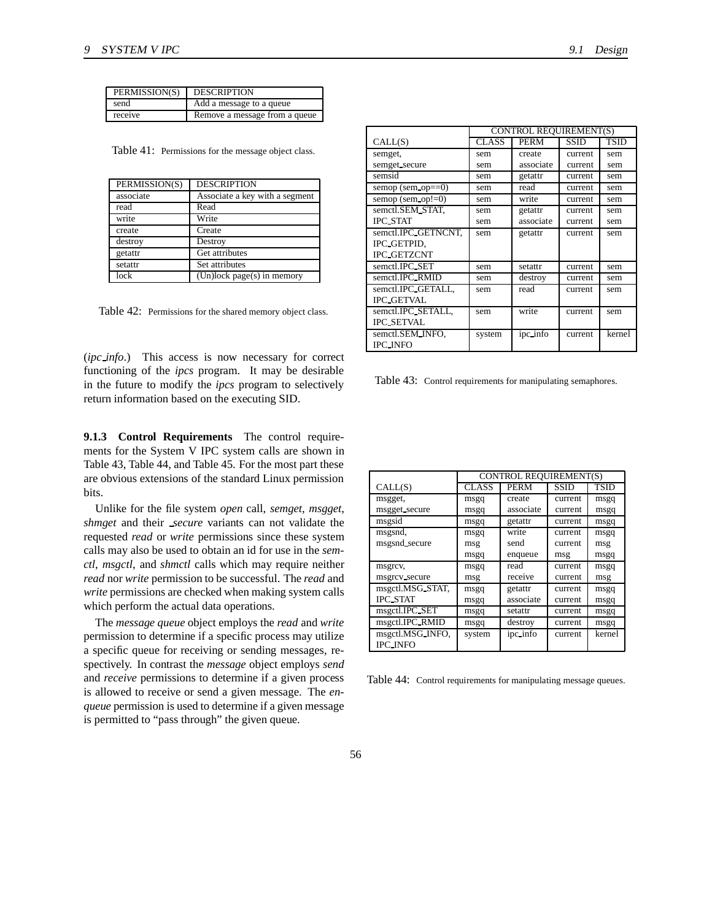| PERMISSION(S) | <b>DESCRIPTION</b>            |
|---------------|-------------------------------|
| send          | Add a message to a queue      |
| receive       | Remove a message from a queue |

Table 41: Permissions for the message object class.

| PERMISSION(S) | <b>DESCRIPTION</b>             |
|---------------|--------------------------------|
| associate     | Associate a key with a segment |
| read          | Read                           |
| write         | Write                          |
| create        | Create                         |
| destroy       | Destroy                        |
| getattr       | Get attributes                 |
| setattr       | Set attributes                 |
| lock          | $(Un)lock page(s)$ in memory   |

Table 42: Permissions for the shared memory object class.

(*ipc info*.) This access is now necessary for correct functioning of the *ipcs* program. It may be desirable in the future to modify the *ipcs* program to selectively return information based on the executing SID.

**9.1.3 Control Requirements** The control requirements for the System V IPC system calls are shown in Table 43, Table 44, and Table 45. For the most part these are obvious extensions of the standard Linux permission bits.

Unlike for the file system *open* call, *semget*, *msgget*, *shmget* and their *secure* variants can not validate the requested *read* or *write* permissions since these system calls may also be used to obtain an id for use in the *semctl*, *msgctl*, and *shmctl* calls which may require neither *read* nor *write* permission to be successful. The *read* and *write* permissions are checked when making system calls which perform the actual data operations.

The *message queue* object employs the *read* and *write* permission to determine if a specific process may utilize a specific queue for receiving or sending messages, respectively. In contrast the *message* object employs *send* and *receive* permissions to determine if a given process is allowed to receive or send a given message. The *enqueue* permission is used to determine if a given message is permitted to "pass through" the given queue.

|                        | CONTROL REQUIREMENT(S) |           |             |             |
|------------------------|------------------------|-----------|-------------|-------------|
| CALL(S)                | <b>CLASS</b>           | PERM      | <b>SSID</b> | <b>TSID</b> |
| semget,                | sem                    | create    | current     | sem         |
| semget_secure          | sem                    | associate | current     | sem         |
| semsid                 | sem                    | getattr   | current     | sem         |
| semop (sem $op==0$ )   | sem                    | read      | current     | sem         |
| semop (sem $op (=0)$ ) | sem                    | write     | current     | sem         |
| semctl.SEM_STAT.       | sem                    | getattr   | current     | sem         |
| <b>IPC_STAT</b>        | sem                    | associate | current     | sem         |
| semctl.IPC_GETNCNT,    | sem                    | getattr   | current     | sem         |
| IPC GETPID.            |                        |           |             |             |
| <b>IPC_GETZCNT</b>     |                        |           |             |             |
| semctl.IPC_SET         | sem                    | setattr   | current     | sem         |
| semctl.IPC_RMID        | sem                    | destroy   | current     | sem         |
| semctl.IPC_GETALL.     | sem                    | read      | current     | sem         |
| <b>IPC_GETVAL</b>      |                        |           |             |             |
| semctl.IPC_SETALL,     | sem                    | write     | current     | sem         |
| <b>IPC_SETVAL</b>      |                        |           |             |             |
| semctl.SEM_INFO,       | system                 | ipc_info  | current     | kernel      |
| <b>IPC_INFO</b>        |                        |           |             |             |

Table 43: Control requirements for manipulating semaphores.

|                  | <b>CONTROL REQUIREMENT(S)</b> |             |             |             |
|------------------|-------------------------------|-------------|-------------|-------------|
| CALL(S)          | <b>CLASS</b>                  | <b>PERM</b> | <b>SSID</b> | <b>TSID</b> |
| msgget,          | msgq                          | create      | current     | msgq        |
| msgget_secure    | msgq                          | associate   | current     | msgq        |
| msgsid           | msgq                          | getattr     | current     | msgq        |
| msgsnd,          | msgq                          | write       | current     | msgq        |
| msgsnd_secure    | msg                           | send        | current     | msg         |
|                  | msgq                          | enqueue     | msg         | msgq        |
| msgrcv,          | msgq                          | read        | current     | msgq        |
| msgrcv_secure    | msg                           | receive     | current     | msg         |
| msgctl.MSG_STAT, | msgq                          | getattr     | current     | msgq        |
| <b>IPC_STAT</b>  | msgq                          | associate   | current     | msgq        |
| msgctl.IPC_SET   | msgq                          | setattr     | current     | msgq        |
| msgctl.IPC_RMID  | msgq                          | destroy     | current     | msgq        |
| msgctl.MSG_INFO, | system                        | ipc_info    | current     | kernel      |
| <b>IPC_INFO</b>  |                               |             |             |             |

Table 44: Control requirements for manipulating message queues.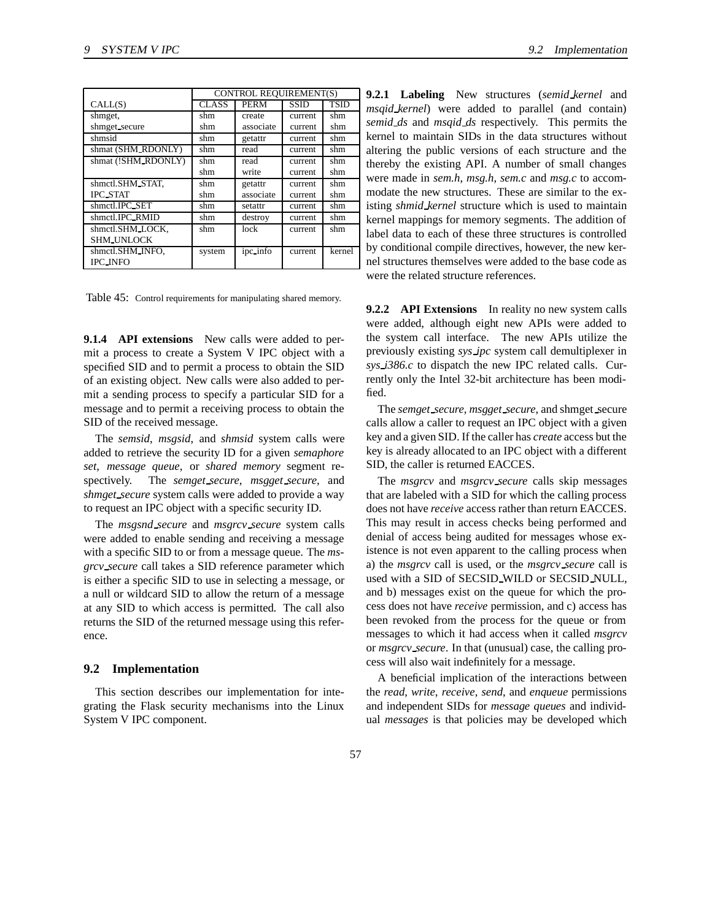|                     | <b>CONTROL REOUIREMENT(S)</b> |             |             |             |
|---------------------|-------------------------------|-------------|-------------|-------------|
| CALL(S)             | <b>CLASS</b>                  | <b>PERM</b> | <b>SSID</b> | <b>TSID</b> |
| shmget,             | shm                           | create      | current     | shm         |
| shmget_secure       | shm                           | associate   | current     | shm         |
| shmsid              | shm                           | getattr     | current     | shm         |
| shmat (SHM_RDONLY)  | shm                           | read        | current     | shm         |
| shmat (!SHM_RDONLY) | shm                           | read        | current     | shm         |
|                     | shm                           | write       | current     | shm         |
| shmctl.SHM_STAT,    | shm                           | getattr     | current     | shm         |
| <b>IPC STAT</b>     | shm                           | associate   | current     | shm         |
| shmctl.IPC_SET      | shm                           | setattr     | current     | shm         |
| shmctl.IPC_RMID     | shm                           | destroy     | current     | shm         |
| shmctl.SHM_LOCK.    | shm                           | lock        | current     | shm         |
| <b>SHM_UNLOCK</b>   |                               |             |             |             |
| shmctl.SHM_INFO,    | system                        | ipc_info    | current     | kernel      |
| <b>IPC_INFO</b>     |                               |             |             |             |

Table 45: Control requirements for manipulating shared memory.

**9.1.4 API extensions** New calls were added to permit a process to create a System V IPC object with a specified SID and to permit a process to obtain the SID of an existing object. New calls were also added to permit a sending process to specify a particular SID for a message and to permit a receiving process to obtain the SID of the received message.

The *semsid*, *msgsid*, and *shmsid* system calls were added to retrieve the security ID for a given *semaphore set*, *message queue*, or *shared memory* segment respectively. The *semget secure*, *msgget secure*, and *shmget secure* system calls were added to provide a way to request an IPC object with a specific security ID.

The *msgsnd secure* and *msgrcv secure* system calls were added to enable sending and receiving a message with a specific SID to or from a message queue. The *msgrcv secure* call takes a SID reference parameter which is either a specific SID to use in selecting a message, or a null or wildcard SID to allow the return of a message at any SID to which access is permitted. The call also returns the SID of the returned message using this reference.

### **9.2 Implementation**

This section describes our implementation for integrating the Flask security mechanisms into the Linux System V IPC component.

**9.2.1 Labeling** New structures (*semid kernel* and *msqid kernel*) were added to parallel (and contain) *semid ds* and *msqid ds* respectively. This permits the kernel to maintain SIDs in the data structures without altering the public versions of each structure and the thereby the existing API. A number of small changes were made in *sem.h*, *msg.h*, *sem.c* and *msg.c* to accommodate the new structures. These are similar to the existing *shmid kernel* structure which is used to maintain kernel mappings for memory segments. The addition of label data to each of these three structures is controlled by conditional compile directives, however, the new kernel structures themselves were added to the base code as were the related structure references.

**9.2.2 API Extensions** In reality no new system calls were added, although eight new APIs were added to the system call interface. The new APIs utilize the previously existing *sys ipc* system call demultiplexer in *sys i386.c* to dispatch the new IPC related calls. Currently only the Intel 32-bit architecture has been modified.

The *semget secure*, *msgget secure*, and shmget secure calls allow a caller to request an IPC object with a given key and a given SID. If the caller has *create* access but the key is already allocated to an IPC object with a different SID, the caller is returned EACCES.

The *msgrcv* and *msgrcv secure* calls skip messages that are labeled with a SID for which the calling process does not have *receive* access rather than return EACCES. This may result in access checks being performed and denial of access being audited for messages whose existence is not even apparent to the calling process when a) the *msgrcv* call is used, or the *msgrcv secure* call is used with a SID of SECSID WILD or SECSID NULL, and b) messages exist on the queue for which the process does not have *receive* permission, and c) access has been revoked from the process for the queue or from messages to which it had access when it called *msgrcv* or *msgrcv secure*. In that (unusual) case, the calling process will also wait indefinitely for a message.

A beneficial implication of the interactions between the *read*, *write*, *receive*, *send*, and *enqueue* permissions and independent SIDs for *message queues* and individual *messages* is that policies may be developed which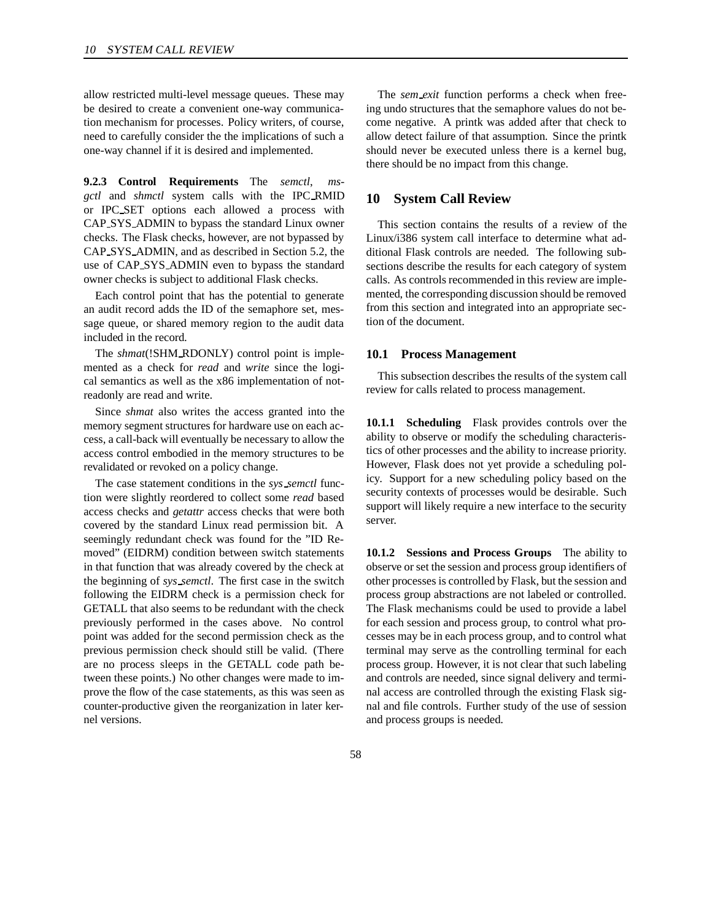allow restricted multi-level message queues. These may be desired to create a convenient one-way communication mechanism for processes. Policy writers, of course, need to carefully consider the the implications of such a one-way channel if it is desired and implemented.

**9.2.3 Control Requirements** The *semctl*, *msgctl* and *shmctl* system calls with the IPC RMID or IPC SET options each allowed a process with CAP SYS ADMIN to bypass the standard Linux owner checks. The Flask checks, however, are not bypassed by CAP SYS ADMIN, and as described in Section 5.2, the use of CAP SYS ADMIN even to bypass the standard owner checks is subject to additional Flask checks.

Each control point that has the potential to generate an audit record adds the ID of the semaphore set, message queue, or shared memory region to the audit data included in the record.

The *shmat*(!SHM RDONLY) control point is implemented as a check for *read* and *write* since the logical semantics as well as the x86 implementation of notreadonly are read and write.

Since *shmat* also writes the access granted into the memory segment structures for hardware use on each access, a call-back will eventually be necessary to allow the access control embodied in the memory structures to be revalidated or revoked on a policy change.

The case statement conditions in the *sys semctl* function were slightly reordered to collect some *read* based access checks and *getattr* access checks that were both covered by the standard Linux read permission bit. A seemingly redundant check was found for the "ID Removed" (EIDRM) condition between switch statements in that function that was already covered by the check at the beginning of *sys semctl*. The first case in the switch following the EIDRM check is a permission check for GETALL that also seems to be redundant with the check previously performed in the cases above. No control point was added for the second permission check as the previous permission check should still be valid. (There are no process sleeps in the GETALL code path between these points.) No other changes were made to improve the flow of the case statements, as this was seen as counter-productive given the reorganization in later kernel versions.

The *sem\_exit* function performs a check when freeing undo structures that the semaphore values do not become negative. A printk was added after that check to allow detect failure of that assumption. Since the printk should never be executed unless there is a kernel bug, there should be no impact from this change.

# **10 System Call Review**

This section contains the results of a review of the Linux/i386 system call interface to determine what additional Flask controls are needed. The following subsections describe the results for each category of system calls. As controls recommended in this review are implemented, the corresponding discussion should be removed from this section and integrated into an appropriate section of the document.

#### **10.1 Process Management**

This subsection describes the results of the system call review for calls related to process management.

**10.1.1 Scheduling** Flask provides controls over the ability to observe or modify the scheduling characteristics of other processes and the ability to increase priority. However, Flask does not yet provide a scheduling policy. Support for a new scheduling policy based on the security contexts of processes would be desirable. Such support will likely require a new interface to the security server.

**10.1.2 Sessions and Process Groups** The ability to observe orset the session and process group identifiers of other processes is controlled by Flask, but the session and process group abstractions are not labeled or controlled. The Flask mechanisms could be used to provide a label for each session and process group, to control what processes may be in each process group, and to control what terminal may serve as the controlling terminal for each process group. However, it is not clear that such labeling and controls are needed, since signal delivery and terminal access are controlled through the existing Flask signal and file controls. Further study of the use of session and process groups is needed.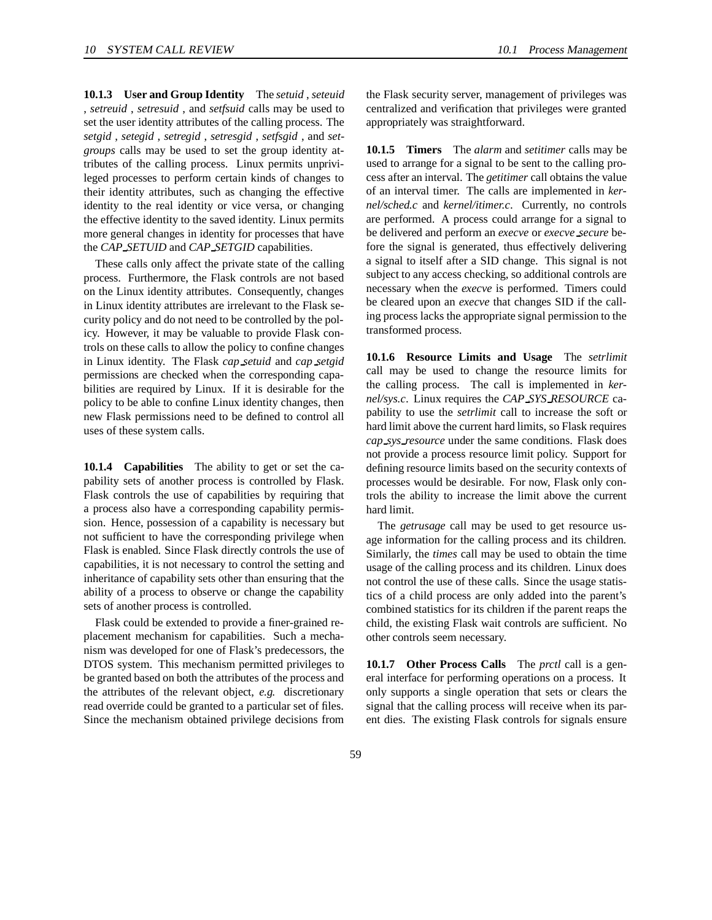**10.1.3 User and Group Identity** The *setuid* , *seteuid* , *setreuid* , *setresuid* , and *setfsuid* calls may be used to set the user identity attributes of the calling process. The *setgid* , *setegid* , *setregid* , *setresgid* , *setfsgid* , and *setgroups* calls may be used to set the group identity attributes of the calling process. Linux permits unprivileged processes to perform certain kinds of changes to their identity attributes, such as changing the effective identity to the real identity or vice versa, or changing the effective identity to the saved identity. Linux permits more general changes in identity for processes that have the *CAP SETUID* and *CAP SETGID* capabilities.

These calls only affect the private state of the calling process. Furthermore, the Flask controls are not based on the Linux identity attributes. Consequently, changes in Linux identity attributes are irrelevant to the Flask security policy and do not need to be controlled by the policy. However, it may be valuable to provide Flask controls on these calls to allow the policy to confine changes in Linux identity. The Flask *cap setuid* and *cap setgid* permissions are checked when the corresponding capabilities are required by Linux. If it is desirable for the policy to be able to confine Linux identity changes, then new Flask permissions need to be defined to control all uses of these system calls.

**10.1.4 Capabilities** The ability to get or set the capability sets of another process is controlled by Flask. Flask controls the use of capabilities by requiring that a process also have a corresponding capability permission. Hence, possession of a capability is necessary but not sufficient to have the corresponding privilege when Flask is enabled. Since Flask directly controls the use of capabilities, it is not necessary to control the setting and inheritance of capability sets other than ensuring that the ability of a process to observe or change the capability sets of another process is controlled.

Flask could be extended to provide a finer-grained replacement mechanism for capabilities. Such a mechanism was developed for one of Flask's predecessors, the DTOS system. This mechanism permitted privileges to be granted based on both the attributes of the process and the attributes of the relevant object, *e.g.* discretionary read override could be granted to a particular set of files. Since the mechanism obtained privilege decisions from the Flask security server, management of privileges was centralized and verification that privileges were granted appropriately was straightforward.

**10.1.5 Timers** The *alarm* and *setitimer* calls may be used to arrange for a signal to be sent to the calling process after an interval. The *getitimer* call obtains the value of an interval timer. The calls are implemented in *kernel/sched.c* and *kernel/itimer.c*. Currently, no controls are performed. A process could arrange for a signal to be delivered and perform an *execve* or *execve secure* before the signal is generated, thus effectively delivering a signal to itself after a SID change. This signal is not subject to any access checking, so additional controls are necessary when the *execve* is performed. Timers could be cleared upon an *execve* that changes SID if the calling process lacks the appropriate signal permission to the transformed process.

**10.1.6 Resource Limits and Usage** The *setrlimit* call may be used to change the resource limits for the calling process. The call is implemented in *kernel/sys.c*. Linux requires the *CAP SYS RESOURCE* capability to use the *setrlimit* call to increase the soft or hard limit above the current hard limits, so Flask requires *cap sys resource* under the same conditions. Flask does not provide a process resource limit policy. Support for defining resource limits based on the security contexts of processes would be desirable. For now, Flask only controls the ability to increase the limit above the current hard limit.

The *getrusage* call may be used to get resource usage information for the calling process and its children. Similarly, the *times* call may be used to obtain the time usage of the calling process and its children. Linux does not control the use of these calls. Since the usage statistics of a child process are only added into the parent's combined statistics for its children if the parent reaps the child, the existing Flask wait controls are sufficient. No other controls seem necessary.

**10.1.7 Other Process Calls** The *prctl* call is a general interface for performing operations on a process. It only supports a single operation that sets or clears the signal that the calling process will receive when its parent dies. The existing Flask controls for signals ensure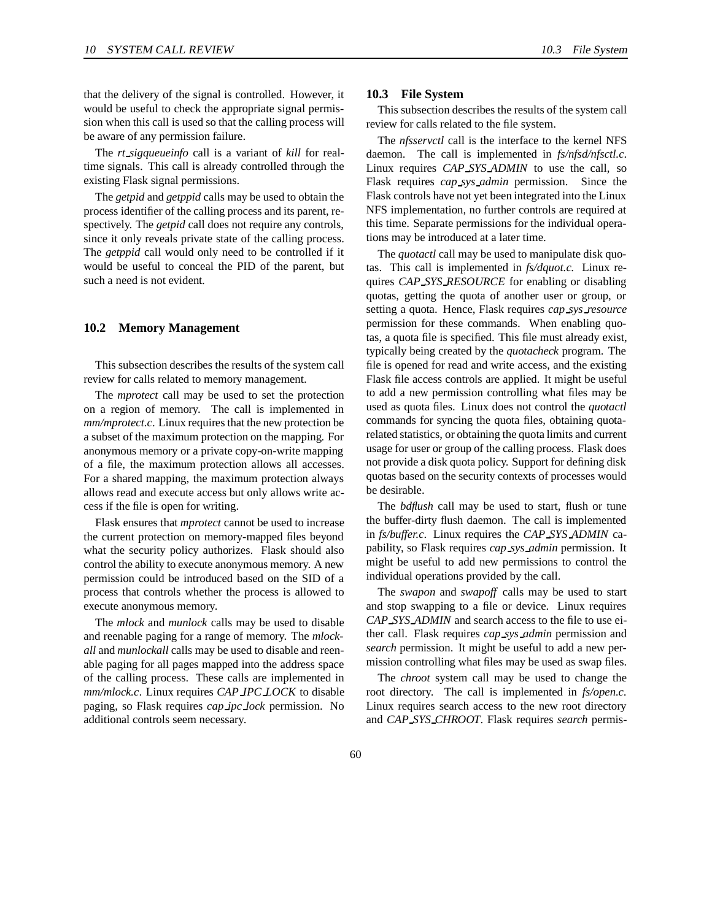that the delivery of the signal is controlled. However, it would be useful to check the appropriate signal permission when this call is used so that the calling process will be aware of any permission failure.

The *rt sigqueueinfo* call is a variant of *kill* for realtime signals. This call is already controlled through the existing Flask signal permissions.

The *getpid* and *getppid* calls may be used to obtain the process identifier of the calling process and its parent, respectively. The *getpid* call does not require any controls, since it only reveals private state of the calling process. The *getppid* call would only need to be controlled if it would be useful to conceal the PID of the parent, but such a need is not evident.

#### **10.2 Memory Management**

This subsection describes the results of the system call review for calls related to memory management.

The *mprotect* call may be used to set the protection on a region of memory. The call is implemented in *mm/mprotect.c.* Linux requires that the new protection be a subset of the maximum protection on the mapping. For anonymous memory or a private copy-on-write mapping of a file, the maximum protection allows all accesses. For a shared mapping, the maximum protection always allows read and execute access but only allows write access if the file is open for writing.

Flask ensures that *mprotect* cannot be used to increase the current protection on memory-mapped files beyond what the security policy authorizes. Flask should also control the ability to execute anonymous memory. A new permission could be introduced based on the SID of a process that controls whether the process is allowed to execute anonymous memory.

The *mlock* and *munlock* calls may be used to disable and reenable paging for a range of memory. The *mlockall* and *munlockall* calls may be used to disable and reenable paging for all pages mapped into the address space of the calling process. These calls are implemented in *mm/mlock.c*. Linux requires *CAP IPC LOCK* to disable paging, so Flask requires *cap ipc lock* permission. No additional controls seem necessary.

#### **10.3 File System**

This subsection describes the results of the system call review for calls related to the file system.

The *nfsservctl* call is the interface to the kernel NFS daemon. The call is implemented in *fs/nfsd/nfsctl.c*. Linux requires *CAP SYS ADMIN* to use the call, so Flask requires *cap sys admin* permission. Since the Flask controls have not yet been integrated into the Linux NFS implementation, no further controls are required at this time. Separate permissions for the individual operations may be introduced at a later time.

The *quotactl* call may be used to manipulate disk quotas. This call is implemented in *fs/dquot.c*. Linux requires *CAP SYS RESOURCE* for enabling or disabling quotas, getting the quota of another user or group, or setting a quota. Hence, Flask requires *cap sys resource* permission for these commands. When enabling quotas, a quota file is specified. This file must already exist, typically being created by the *quotacheck* program. The file is opened for read and write access, and the existing Flask file access controls are applied. It might be useful to add a new permission controlling what files may be used as quota files. Linux does not control the *quotactl* commands for syncing the quota files, obtaining quotarelated statistics, or obtaining the quota limits and current usage for user or group of the calling process. Flask does not provide a disk quota policy. Support for defining disk quotas based on the security contexts of processes would be desirable.

The *bdflush* call may be used to start, flush or tune the buffer-dirty flush daemon. The call is implemented in *fs/buffer.c*. Linux requires the *CAP SYS ADMIN* capability, so Flask requires *cap sys admin* permission. It might be useful to add new permissions to control the individual operations provided by the call.

The *swapon* and *swapoff* calls may be used to start and stop swapping to a file or device. Linux requires *CAP SYS ADMIN* and search access to the file to use either call. Flask requires *cap sys admin* permission and *search* permission. It might be useful to add a new permission controlling what files may be used as swap files.

The *chroot* system call may be used to change the root directory. The call is implemented in *fs/open.c*. Linux requires search access to the new root directory and *CAP SYS CHROOT*. Flask requires *search* permis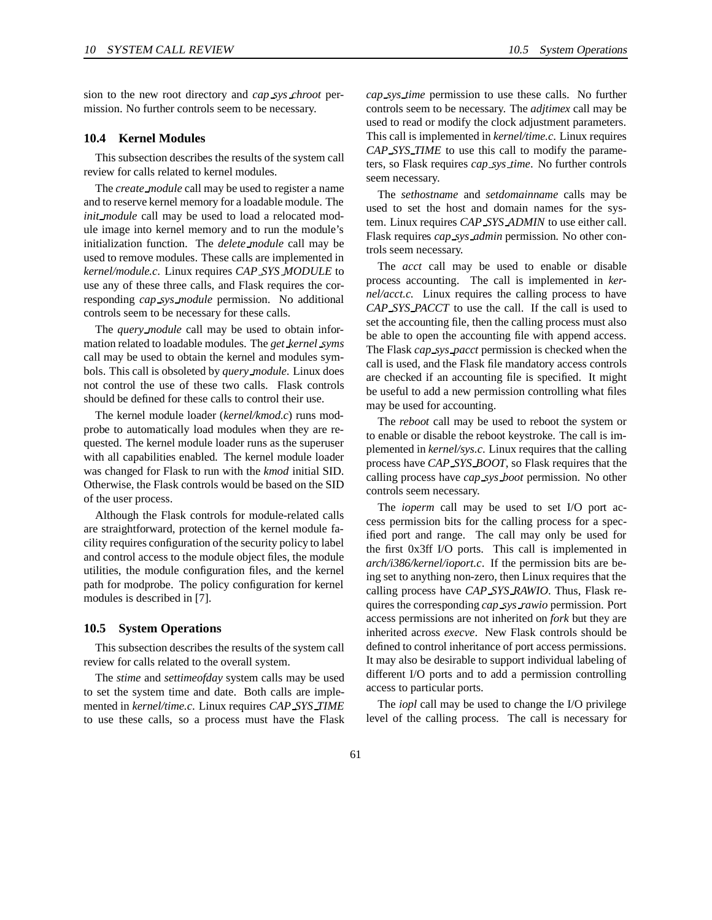sion to the new root directory and *cap sys chroot* permission. No further controls seem to be necessary.

#### **10.4 Kernel Modules**

This subsection describes the results of the system call review for calls related to kernel modules.

The *create module* call may be used to register a name and to reserve kernel memory for a loadable module. The *init module* call may be used to load a relocated module image into kernel memory and to run the module's initialization function. The *delete module* call may be used to remove modules. These calls are implemented in *kernel/module.c*. Linux requires *CAP SYS MODULE* to use any of these three calls, and Flask requires the corresponding *cap sys module* permission. No additional controls seem to be necessary for these calls.

The *query module* call may be used to obtain information related to loadable modules. The *get kernel syms* call may be used to obtain the kernel and modules symbols. This call is obsoleted by *query module*. Linux does not control the use of these two calls. Flask controls should be defined for these calls to control their use.

The kernel module loader (*kernel/kmod.c*) runs modprobe to automatically load modules when they are requested. The kernel module loader runs as the superuser with all capabilities enabled. The kernel module loader was changed for Flask to run with the *kmod* initial SID. Otherwise, the Flask controls would be based on the SID of the user process.

Although the Flask controls for module-related calls are straightforward, protection of the kernel module facility requires configuration of the security policy to label and control access to the module object files, the module utilities, the module configuration files, and the kernel path for modprobe. The policy configuration for kernel modules is described in [7].

#### **10.5 System Operations**

This subsection describes the results of the system call review for calls related to the overall system.

The *stime* and *settimeofday* system calls may be used to set the system time and date. Both calls are implemented in *kernel/time.c*. Linux requires *CAP SYS TIME* to use these calls, so a process must have the Flask

*cap sys time* permission to use these calls. No further controls seem to be necessary. The *adjtimex* call may be used to read or modify the clock adjustment parameters. This call is implemented in *kernel/time.c*. Linux requires *CAP SYS TIME* to use this call to modify the parameters, so Flask requires *cap sys time*. No further controls seem necessary.

The *sethostname* and *setdomainname* calls may be used to set the host and domain names for the system. Linux requires *CAP SYS ADMIN* to use either call. Flask requires *cap sys admin* permission. No other controls seem necessary.

The *acct* call may be used to enable or disable process accounting. The call is implemented in *kernel/acct.c*. Linux requires the calling process to have *CAP SYS PACCT* to use the call. If the call is used to set the accounting file, then the calling process must also be able to open the accounting file with append access. The Flask *cap sys pacct* permission is checked when the call is used, and the Flask file mandatory access controls are checked if an accounting file is specified. It might be useful to add a new permission controlling what files may be used for accounting.

The *reboot* call may be used to reboot the system or to enable or disable the reboot keystroke. The call is implemented in *kernel/sys.c*. Linux requires that the calling process have *CAP SYS BOOT*, so Flask requires that the calling process have *cap sys boot* permission. No other controls seem necessary.

The *ioperm* call may be used to set I/O port access permission bits for the calling process for a specified port and range. The call may only be used for the first 0x3ff I/O ports. This call is implemented in *arch/i386/kernel/ioport.c*. If the permission bits are being set to anything non-zero, then Linux requires that the calling process have *CAP SYS RAWIO*. Thus, Flask requires the corresponding *cap sys rawio* permission. Port access permissions are not inherited on *fork* but they are inherited across *execve*. New Flask controls should be defined to control inheritance of port access permissions. It may also be desirable to support individual labeling of different I/O ports and to add a permission controlling access to particular ports.

The *iopl* call may be used to change the I/O privilege level of the calling process. The call is necessary for